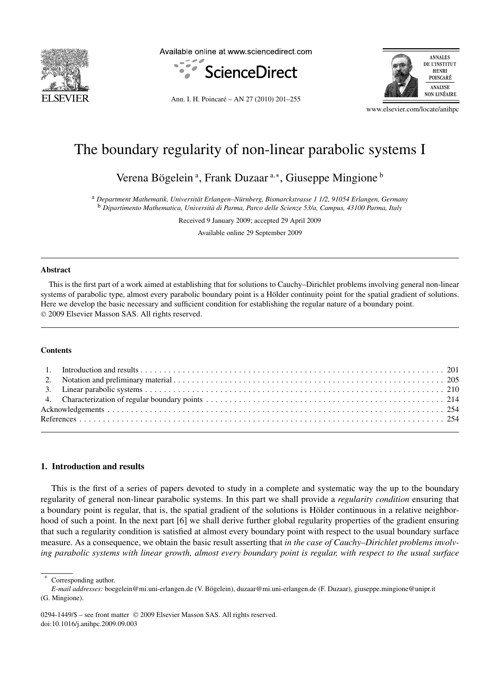

Available online at www.sciencedirect.com



Ann. I. H. Poincaré – AN 27 (2010) 201–255



www.elsevier.com/locate/anihpc

# The boundary regularity of non-linear parabolic systems I

Verena Bögelein<sup>a</sup>, Frank Duzaar<sup>a,∗</sup>, Giuseppe Mingione<sup>b</sup>

<sup>a</sup> *Department Mathematik, Universität Erlangen–Nürnberg, Bismarckstrasse 1 1/2, 91054 Erlangen, Germany* <sup>b</sup> *Dipartimento Mathematica, Università di Parma, Parco delle Scienze 53/a, Campus, 43100 Parma, Italy*

Received 9 January 2009; accepted 29 April 2009

Available online 29 September 2009

## **Abstract**

This is the first part of a work aimed at establishing that for solutions to Cauchy–Dirichlet problems involving general non-linear systems of parabolic type, almost every parabolic boundary point is a Hölder continuity point for the spatial gradient of solutions. Here we develop the basic necessary and sufficient condition for establishing the regular nature of a boundary point. © 2009 Elsevier Masson SAS. All rights reserved.

# **Contents**

## **1. Introduction and results**

This is the first of a series of papers devoted to study in a complete and systematic way the up to the boundary regularity of general non-linear parabolic systems. In this part we shall provide a *regularity condition* ensuring that a boundary point is regular, that is, the spatial gradient of the solutions is Hölder continuous in a relative neighborhood of such a point. In the next part [6] we shall derive further global regularity properties of the gradient ensuring that such a regularity condition is satisfied at almost every boundary point with respect to the usual boundary surface measure. As a consequence, we obtain the basic result asserting that *in the case of Cauchy–Dirichlet problems involving parabolic systems with linear growth, almost every boundary point is regular, with respect to the usual surface*

Corresponding author.

*E-mail addresses:* boegelein@mi.uni-erlangen.de (V. Bögelein), duzaar@mi.uni-erlangen.de (F. Duzaar), giuseppe.mingione@unipr.it (G. Mingione).

0294-1449/\$ – see front matter © 2009 Elsevier Masson SAS. All rights reserved. doi:10.1016/j.anihpc.2009.09.003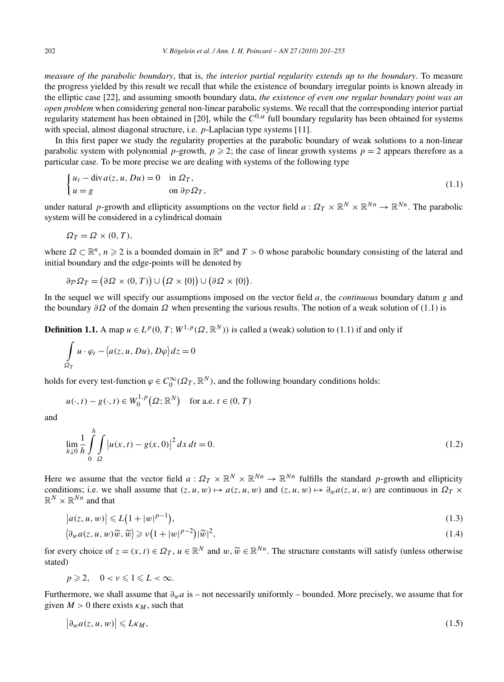*measure of the parabolic boundary*, that is, *the interior partial regularity extends up to the boundary*. To measure the progress yielded by this result we recall that while the existence of boundary irregular points is known already in the elliptic case [22], and assuming smooth boundary data, *the existence of even one regular boundary point was an open problem* when considering general non-linear parabolic systems. We recall that the corresponding interior partial regularity statement has been obtained in [20], while the *C*0*,α* full boundary regularity has been obtained for systems with special, almost diagonal structure, i.e. *p*-Laplacian type systems [11].

In this first paper we study the regularity properties at the parabolic boundary of weak solutions to a non-linear parabolic system with polynomial *p*-growth,  $p \ge 2$ ; the case of linear growth systems  $p = 2$  appears therefore as a particular case. To be more precise we are dealing with systems of the following type

$$
\begin{cases} u_t - \operatorname{div} a(z, u, Du) = 0 & \text{in } \Omega_T, \\ u = g & \text{on } \partial_{\mathcal{P}} \Omega_T, \end{cases}
$$
 (1.1)

under natural *p*-growth and ellipticity assumptions on the vector field  $a: \Omega_T \times \mathbb{R}^N \times \mathbb{R}^{N_n} \to \mathbb{R}^{N_n}$ . The parabolic system will be considered in a cylindrical domain

$$
\Omega_T = \Omega \times (0, T),
$$

where  $\Omega \subset \mathbb{R}^n$ ,  $n \geq 2$  is a bounded domain in  $\mathbb{R}^n$  and  $T > 0$  whose parabolic boundary consisting of the lateral and initial boundary and the edge-points will be denoted by

$$
\partial_{\mathcal{P}} \Omega_T = (\partial \Omega \times (0, T)) \cup (\Omega \times \{0\}) \cup (\partial \Omega \times \{0\}).
$$

In the sequel we will specify our assumptions imposed on the vector field *a*, the *continuous* boundary datum *g* and the boundary *∂Ω* of the domain *Ω* when presenting the various results. The notion of a weak solution of (1.1) is

**Definition 1.1.** A map  $u \in L^p(0, T; W^{1,p}(\Omega, \mathbb{R}^N))$  is called a (weak) solution to (1.1) if and only if

$$
\int_{\Omega_T} u \cdot \varphi_t - \langle a(z, u, Du), D\varphi \rangle dz = 0
$$

holds for every test-function  $\varphi \in C_0^{\infty}(\Omega_T, \mathbb{R}^N)$ , and the following boundary conditions holds:

$$
u(\cdot, t) - g(\cdot, t) \in W_0^{1, p}(\Omega; \mathbb{R}^N) \quad \text{for a.e. } t \in (0, T)
$$

and

$$
\lim_{h \downarrow 0} \frac{1}{h} \int_{0}^{h} \int_{\Omega} \left| u(x, t) - g(x, 0) \right|^{2} dx dt = 0.
$$
\n(1.2)

Here we assume that the vector field  $a: \Omega_T \times \mathbb{R}^N \times \mathbb{R}^{N_n} \to \mathbb{R}^{N_n}$  fulfills the standard *p*-growth and ellipticity conditions; i.e. we shall assume that  $(z, u, w) \mapsto a(z, u, w)$  and  $(z, u, w) \mapsto \partial_w a(z, u, w)$  are continuous in  $\Omega_T \times$  $\mathbb{R}^N \times \mathbb{R}^{Nn}$  and that

$$
|a(z, u, w)| \le L(1 + |w|^{p-1}),
$$
\n(1.3)

$$
\langle \partial_w a(z, u, w)\widetilde{w}, \widetilde{w} \rangle \geqslant \nu \left(1 + |w|^{p-2}\right) |\widetilde{w}|^2, \tag{1.4}
$$

for every choice of  $z = (x, t) \in \Omega_T$ ,  $u \in \mathbb{R}^N$  and  $w, \tilde{w} \in \mathbb{R}^{N_n}$ . The structure constants will satisfy (unless otherwise stated)

$$
p\geqslant 2,\quad 0
$$

Furthermore, we shall assume that *∂wa* is – not necessarily uniformly – bounded. More precisely, we assume that for given  $M > 0$  there exists  $\kappa_M$ , such that

$$
\left|\partial_w a(z, u, w)\right| \leqslant L\kappa_M,\tag{1.5}
$$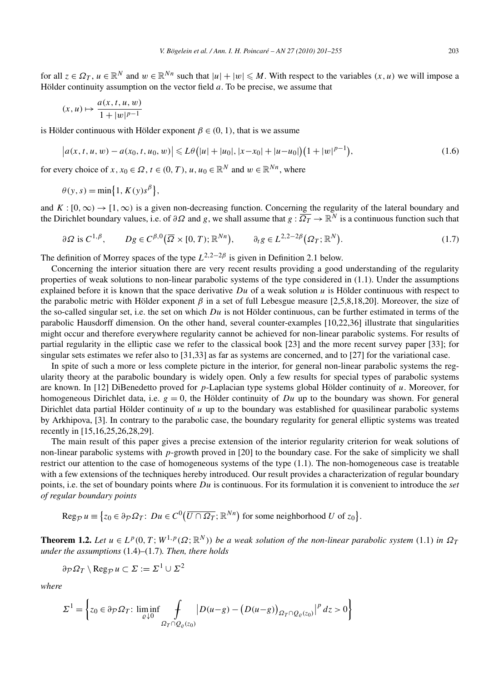$$
(x, u) \mapsto \frac{a(x, t, u, w)}{1 + |w|^{p-1}}
$$

is Hölder continuous with Hölder exponent  $\beta \in (0, 1)$ , that is we assume

$$
\left| a(x, t, u, w) - a(x_0, t, u_0, w) \right| \leqslant L\theta \left( |u| + |u_0|, |x - x_0| + |u - u_0| \right) \left( 1 + |w|^{p-1} \right),\tag{1.6}
$$

for every choice of *x*,  $x_0 \in \Omega$ ,  $t \in (0, T)$ ,  $u, u_0 \in \mathbb{R}^N$  and  $w \in \mathbb{R}^{N_n}$ , where

$$
\theta(y, s) = \min\{1, K(y)s^{\beta}\},
$$

and  $K : [0, \infty) \to [1, \infty)$  is a given non-decreasing function. Concerning the regularity of the lateral boundary and the Dirichlet boundary values, i.e. of  $\partial\Omega$  and *g*, we shall assume that  $g: \overline{\Omega_T} \to \mathbb{R}^N$  is a continuous function such that

$$
\partial \Omega \text{ is } C^{1,\beta}, \qquad Dg \in C^{\beta,0}(\overline{\Omega} \times [0,T); \mathbb{R}^{Nn}), \qquad \partial_t g \in L^{2,2-2\beta}(\Omega_T; \mathbb{R}^N). \tag{1.7}
$$

The definition of Morrey spaces of the type  $L^{2,2-2\beta}$  is given in Definition 2.1 below.

Concerning the interior situation there are very recent results providing a good understanding of the regularity properties of weak solutions to non-linear parabolic systems of the type considered in (1.1). Under the assumptions explained before it is known that the space derivative  $Du$  of a weak solution  $u$  is Hölder continuous with respect to the parabolic metric with Hölder exponent *β* in a set of full Lebesgue measure [2,5,8,18,20]. Moreover, the size of the so-called singular set, i.e. the set on which *Du* is not Hölder continuous, can be further estimated in terms of the parabolic Hausdorff dimension. On the other hand, several counter-examples [10,22,36] illustrate that singularities might occur and therefore everywhere regularity cannot be achieved for non-linear parabolic systems. For results of partial regularity in the elliptic case we refer to the classical book [23] and the more recent survey paper [33]; for singular sets estimates we refer also to [31,33] as far as systems are concerned, and to [27] for the variational case.

In spite of such a more or less complete picture in the interior, for general non-linear parabolic systems the regularity theory at the parabolic boundary is widely open. Only a few results for special types of parabolic systems are known. In [12] DiBenedetto proved for *p*-Laplacian type systems global Hölder continuity of *u*. Moreover, for homogeneous Dirichlet data, i.e.  $g = 0$ , the Hölder continuity of *Du* up to the boundary was shown. For general Dirichlet data partial Hölder continuity of *u* up to the boundary was established for quasilinear parabolic systems by Arkhipova, [3]. In contrary to the parabolic case, the boundary regularity for general elliptic systems was treated recently in [15,16,25,26,28,29].

The main result of this paper gives a precise extension of the interior regularity criterion for weak solutions of non-linear parabolic systems with *p*-growth proved in [20] to the boundary case. For the sake of simplicity we shall restrict our attention to the case of homogeneous systems of the type (1.1). The non-homogeneous case is treatable with a few extensions of the techniques hereby introduced. Our result provides a characterization of regular boundary points, i.e. the set of boundary points where *Du* is continuous. For its formulation it is convenient to introduce the *set of regular boundary points*

$$
\operatorname{Reg}_{\mathcal{P}} u \equiv \{ z_0 \in \partial_{\mathcal{P}} \Omega_T : Du \in C^0(\overline{U \cap \Omega_T}; \mathbb{R}^{Nn}) \text{ for some neighborhood } U \text{ of } z_0 \}.
$$

**Theorem 1.2.** *Let*  $u \in L^p(0,T;W^{1,p}(\Omega;\mathbb{R}^N))$  *be a weak solution of the non-linear parabolic system* (1.1) *in*  $\Omega_T$ *under the assumptions* (1.4)–(1.7)*. Then, there holds*

$$
\partial \mathcal{P} \Omega_T \setminus \operatorname{Reg}_{\mathcal{P}} u \subset \Sigma := \Sigma^1 \cup \Sigma^2
$$

*where*

$$
\Sigma^{1} = \left\{ z_{0} \in \partial_{\mathcal{P}} \Omega_{T}: \liminf_{\varrho \downarrow 0} \int_{\Omega_{T} \cap Q_{\varrho}(z_{0})} \left| D(u-g) - \left( D(u-g) \right)_{\Omega_{T} \cap Q_{\varrho}(z_{0})} \right|^{p} dz > 0 \right\}
$$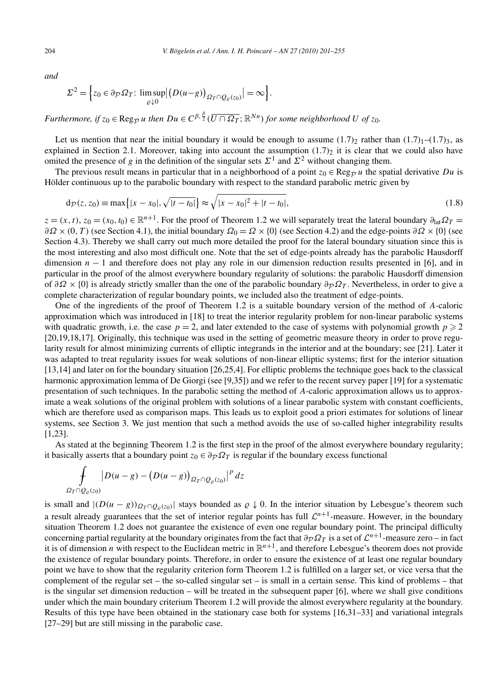*and*

$$
\Sigma^2 = \Big\{ z_0 \in \partial_{\mathcal{P}} \Omega_T : \limsup_{\varrho \downarrow 0} \Big| \big( D(u - g) \big)_{\Omega_T \cap Q_{\varrho}(z_0)} \Big| = \infty \Big\}.
$$

*Furthermore, if*  $z_0 \in \text{Reg}_{\mathcal{P}}$  *u then*  $Du \in C^{\beta, \frac{\beta}{2}}(\overline{U \cap \Omega_T}; \mathbb{R}^{Nn})$  for some neighborhood  $U$  of  $z_0$ .

Let us mention that near the initial boundary it would be enough to assume  $(1.7)_2$  rather than  $(1.7)_1$ – $(1.7)_3$ , as explained in Section 2.1. Moreover, taking into account the assumption  $(1.7)_2$  it is clear that we could also have omited the presence of *g* in the definition of the singular sets  $\Sigma^1$  and  $\Sigma^2$  without changing them.

The previous result means in particular that in a neighborhood of a point  $z_0 \in \text{Reg}_{\mathcal{D}} u$  the spatial derivative *Du* is Hölder continuous up to the parabolic boundary with respect to the standard parabolic metric given by

$$
d_{\mathcal{P}}(z, z_0) \equiv \max\{|x - x_0|, \sqrt{|t - t_0|}\} \approx \sqrt{|x - x_0|^2 + |t - t_0|},\tag{1.8}
$$

 $z = (x, t)$ ,  $z_0 = (x_0, t_0) \in \mathbb{R}^{n+1}$ . For the proof of Theorem 1.2 we will separately treat the lateral boundary  $\partial_{1} \Omega T =$  $\partial \Omega \times (0, T)$  (see Section 4.1), the initial boundary  $\Omega_0 = \Omega \times \{0\}$  (see Section 4.2) and the edge-points  $\partial \Omega \times \{0\}$  (see Section 4.3). Thereby we shall carry out much more detailed the proof for the lateral boundary situation since this is the most interesting and also most difficult one. Note that the set of edge-points already has the parabolic Hausdorff dimension *n* − 1 and therefore does not play any role in our dimension reduction results presented in [6], and in particular in the proof of the almost everywhere boundary regularity of solutions: the parabolic Hausdorff dimension of  $\partial \Omega \times \{0\}$  is already strictly smaller than the one of the parabolic boundary  $\partial \rho \Omega_T$ . Nevertheless, in order to give a complete characterization of regular boundary points, we included also the treatment of edge-points.

One of the ingredients of the proof of Theorem 1.2 is a suitable boundary version of the method of *A*-caloric approximation which was introduced in [18] to treat the interior regularity problem for non-linear parabolic systems with quadratic growth, i.e. the case  $p = 2$ , and later extended to the case of systems with polynomial growth  $p \ge 2$ [20,19,18,17]. Originally, this technique was used in the setting of geometric measure theory in order to prove regularity result for almost minimizing currents of elliptic integrands in the interior and at the boundary; see [21]. Later it was adapted to treat regularity issues for weak solutions of non-linear elliptic systems; first for the interior situation [13,14] and later on for the boundary situation [26,25,4]. For elliptic problems the technique goes back to the classical harmonic approximation lemma of De Giorgi (see [9,35]) and we refer to the recent survey paper [19] for a systematic presentation of such techniques. In the parabolic setting the method of *A*-caloric approximation allows us to approximate a weak solutions of the original problem with solutions of a linear parabolic system with constant coefficients, which are therefore used as comparison maps. This leads us to exploit good a priori estimates for solutions of linear systems, see Section 3. We just mention that such a method avoids the use of so-called higher integrability results [1,23].

As stated at the beginning Theorem 1.2 is the first step in the proof of the almost everywhere boundary regularity; it basically asserts that a boundary point  $z_0 \in \partial p \Omega T$  is regular if the boundary excess functional

$$
\int\limits_{\Omega_T\cap Q_\varrho(z_0)}\big|D(u-g)-\big(D(u-g)\big)_{\Omega_T\cap Q_\varrho(z_0)}\big|^p\,dz
$$

is small and  $|(D(u - g))_{\Omega_T \cap Q_\rho(\zeta_0)}|$  stays bounded as  $\rho \downarrow 0$ . In the interior situation by Lebesgue's theorem such a result already guarantees that the set of interior regular points has full  $\mathcal{L}^{n+1}$ -measure. However, in the boundary situation Theorem 1.2 does not guarantee the existence of even one regular boundary point. The principal difficulty concerning partial regularity at the boundary originates from the fact that  $\partial_p \Omega_T$  is a set of  $\mathcal{L}^{n+1}$ -measure zero – in fact it is of dimension *n* with respect to the Euclidean metric in  $\mathbb{R}^{n+1}$ , and therefore Lebesgue's theorem does not provide the existence of regular boundary points. Therefore, in order to ensure the existence of at least one regular boundary point we have to show that the regularity criterion form Theorem 1.2 is fulfilled on a larger set, or vice versa that the complement of the regular set – the so-called singular set – is small in a certain sense. This kind of problems – that is the singular set dimension reduction – will be treated in the subsequent paper [6], where we shall give conditions under which the main boundary criterium Theorem 1.2 will provide the almost everywhere regularity at the boundary. Results of this type have been obtained in the stationary case both for systems [16,31–33] and variational integrals [27–29] but are still missing in the parabolic case.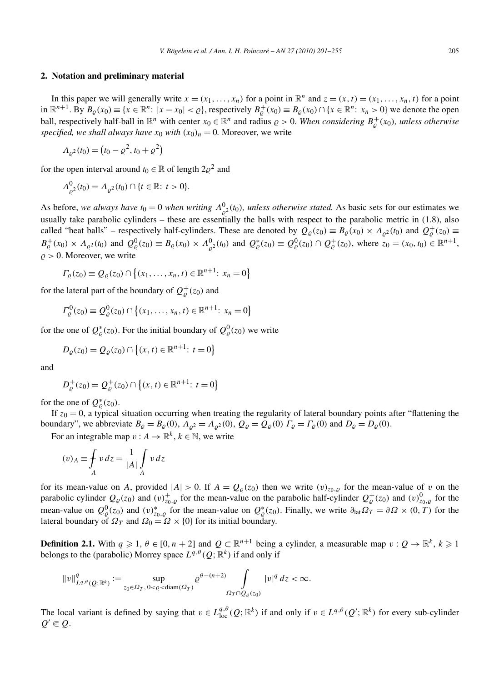#### **2. Notation and preliminary material**

In this paper we will generally write  $x = (x_1, \ldots, x_n)$  for a point in  $\mathbb{R}^n$  and  $z = (x, t) = (x_1, \ldots, x_n, t)$  for a point in  $\mathbb{R}^{n+1}$ . By  $B_{\varrho}(x_0) \equiv \{x \in \mathbb{R}^n : |x - x_0| < \varrho\}$ , respectively  $B_{\varrho}^+(x_0) \equiv B_{\varrho}(x_0) \cap \{x \in \mathbb{R}^n : x_n > 0\}$  we denote the open ball, respectively half-ball in  $\mathbb{R}^n$  with center  $x_0 \in \mathbb{R}^n$  and radius  $\rho > 0$ . When considering  $B^+_{\rho}(x_0)$ , unless otherwise *specified, we shall always have*  $x_0$  *with*  $(x_0)_n = 0$ *.* Moreover, we write

$$
\Lambda_{\varrho^2}(t_0) = \left(t_0 - \varrho^2, t_0 + \varrho^2\right)
$$

for the open interval around  $t_0 \in \mathbb{R}$  of length  $2\rho^2$  and

$$
\Lambda^0_{\varrho^2}(t_0) = \Lambda_{\varrho^2}(t_0) \cap \{t \in \mathbb{R} : t > 0\}.
$$

As before, we always have  $t_0 = 0$  when writing  $\Lambda^0_{\rho^2}(t_0)$ , unless otherwise stated. As basic sets for our estimates we usually take parabolic cylinders – these are essentially the balls with respect to the parabolic metric in (1.8), also called "heat balls" – respectively half-cylinders. These are denoted by  $Q_{\varrho}(z_0) \equiv B_{\varrho}(x_0) \times A_{\varrho^2}(t_0)$  and  $Q_{\varrho}^+(z_0) \equiv$  $B_{\varrho}^+(x_0) \times \Lambda_{\varrho^2}(t_0)$  and  $Q_{\varrho}^0(z_0) \equiv B_{\varrho}(x_0) \times \Lambda_{\varrho^2}^0(t_0)$  and  $Q_{\varrho}^*(z_0) \equiv Q_{\varrho}^0(z_0) \cap Q_{\varrho}^+(z_0)$ , where  $z_0 = (x_0, t_0) \in \mathbb{R}^{n+1}$ ,  $\rho > 0$ . Moreover, we write

$$
\Gamma_{\varrho}(z_0) \equiv \mathcal{Q}_{\varrho}(z_0) \cap \{(x_1, \ldots, x_n, t) \in \mathbb{R}^{n+1}: x_n = 0\}
$$

for the lateral part of the boundary of  $Q_{\varrho}^{+}(z_0)$  and

$$
\Gamma_{\varrho}^{0}(z_{0}) \equiv \mathcal{Q}_{\varrho}^{0}(z_{0}) \cap \{(x_{1},...,x_{n},t) \in \mathbb{R}^{n+1}: x_{n} = 0\}
$$

for the one of  $Q^*_{\rho}(z_0)$ . For the initial boundary of  $Q^0_{\rho}(z_0)$  we write

$$
D_{\varrho}(z_0) = Q_{\varrho}(z_0) \cap \{(x, t) \in \mathbb{R}^{n+1}: t = 0\}
$$

and

$$
D_{\varrho}^{+}(z_0) = Q_{\varrho}^{+}(z_0) \cap \{(x,t) \in \mathbb{R}^{n+1}: t = 0\}
$$

for the one of  $Q^*_{\varrho}(z_0)$ .

If  $z_0 = 0$ , a typical situation occurring when treating the regularity of lateral boundary points after "flattening the boundary", we abbreviate  $B_{\varrho} = B_{\varrho}(0)$ ,  $A_{\varrho^2} = A_{\varrho^2}(0)$ ,  $Q_{\varrho} = Q_{\varrho}(0)$   $\Gamma_{\varrho} = \Gamma_{\varrho}(0)$  and  $D_{\varrho} = D_{\varrho}(0)$ .

For an integrable map  $v : A \to \mathbb{R}^k$ ,  $k \in \mathbb{N}$ , we write

$$
(v)_A \equiv \int_A v \, dz = \frac{1}{|A|} \int_A v \, dz
$$

for its mean-value on *A*, provided  $|A| > 0$ . If  $A = Q_{\rho}(z_0)$  then we write  $(v)_{z_0, \rho}$  for the mean-value of *v* on the parabolic cylinder  $Q_{\varrho}(z_0)$  and  $(v)_{z_0,\varrho}^+$  for the mean-value on the parabolic half-cylinder  $Q_{\varrho}^+(z_0)$  and  $(v)_{z_0,\varrho}^0$  for the mean-value on  $Q^0_{\varrho}(z_0)$  and  $(v)_{z_0,\varrho}^*$  for the mean-value on  $Q^*_{\varrho}(z_0)$ . Finally, we write  $\partial_{\text{lat}}\Omega_T = \partial\Omega \times (0,T)$  for the lateral boundary of  $\Omega_T$  and  $\Omega_0 = \Omega \times \{0\}$  for its initial boundary.

**Definition 2.1.** With  $q \ge 1$ ,  $\theta \in [0, n + 2]$  and  $Q \subset \mathbb{R}^{n+1}$  being a cylinder, a measurable map  $v: Q \to \mathbb{R}^k$ ,  $k \ge 1$ belongs to the (parabolic) Morrey space  $L^{q,\theta}(Q;\mathbb{R}^k)$  if and only if

$$
||v||_{L^{q,\theta}(Q;\mathbb{R}^k)}^q := \sup_{z_0 \in \Omega_T, 0 < \varrho < \text{diam}(\Omega_T)} \varrho^{\theta - (n+2)} \int_{\Omega_T \cap Q_\varrho(z_0)} |v|^q \, dz < \infty.
$$

The local variant is defined by saying that  $v \in L^{q,\theta}_{loc}(Q;\mathbb{R}^k)$  if and only if  $v \in L^{q,\theta}(Q';\mathbb{R}^k)$  for every sub-cylinder  $Q' \in Q$ .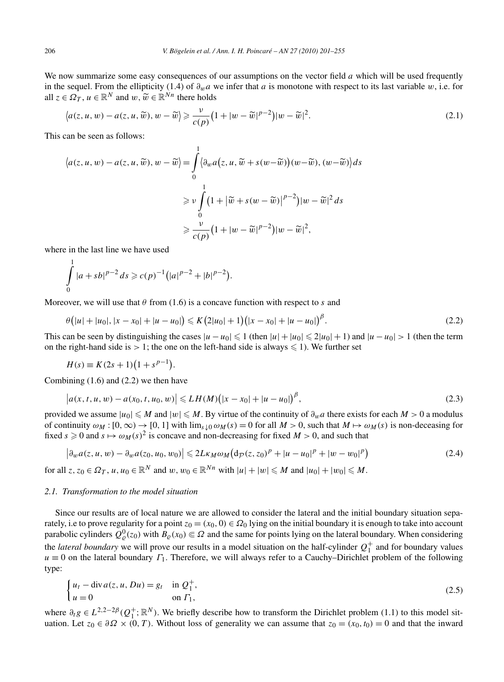We now summarize some easy consequences of our assumptions on the vector field *a* which will be used frequently in the sequel. From the ellipticity (1.4) of *∂wa* we infer that *a* is monotone with respect to its last variable *w*, i.e. for all  $z \in \Omega_T$ ,  $u \in \mathbb{R}^N$  and  $w, \widetilde{w} \in \mathbb{R}^{N_n}$  there holds

$$
\langle a(z, u, w) - a(z, u, \widetilde{w}), w - \widetilde{w} \rangle \geq \frac{\nu}{c(p)} \left( 1 + |w - \widetilde{w}|^{p-2} \right) |w - \widetilde{w}|^2. \tag{2.1}
$$

This can be seen as follows:

$$
\langle a(z, u, w) - a(z, u, \widetilde{w}), w - \widetilde{w} \rangle = \int_{0}^{1} \langle \partial_{w} a(z, u, \widetilde{w} + s(w - \widetilde{w})) (w - \widetilde{w}), (w - \widetilde{w}) \rangle ds
$$
  

$$
\geq v \int_{0}^{1} (1 + |\widetilde{w} + s(w - \widetilde{w})|^{p-2}) |w - \widetilde{w}|^{2} ds
$$
  

$$
\geq \frac{v}{c(p)} (1 + |w - \widetilde{w}|^{p-2}) |w - \widetilde{w}|^{2},
$$

where in the last line we have used

$$
\int_{0}^{1} |a+sb|^{p-2} ds \geqslant c(p)^{-1} (|a|^{p-2}+|b|^{p-2}).
$$

Moreover, we will use that  $\theta$  from (1.6) is a concave function with respect to *s* and

$$
\theta\big(|u|+|u_0|,|x-x_0|+|u-u_0|\big)\leqslant K\big(2|u_0|+1\big)\big(|x-x_0|+|u-u_0|\big)^{\beta}.\tag{2.2}
$$

This can be seen by distinguishing the cases  $|u - u_0| \leq 1$  (then  $|u| + |u_0| \leq 2|u_0| + 1$ ) and  $|u - u_0| > 1$  (then the term on the right-hand side is  $> 1$ ; the one on the left-hand side is always  $\leq 1$ ). We further set

$$
H(s) \equiv K(2s + 1)(1 + s^{p-1}).
$$

Combining (1.6) and (2.2) we then have

$$
|a(x, t, u, w) - a(x_0, t, u_0, w)| \le L H(M) (|x - x_0| + |u - u_0|)^{\beta},
$$
\n(2.3)

provided we assume  $|u_0| \leq M$  and  $|w| \leq M$ . By virtue of the continuity of  $\partial_w a$  there exists for each  $M > 0$  a modulus of continuity  $\omega_M$  :  $[0, \infty) \to [0, 1]$  with  $\lim_{s \downarrow 0} \omega_M(s) = 0$  for all  $M > 0$ , such that  $M \mapsto \omega_M(s)$  is non-deceasing for fixed  $s \ge 0$  and  $s \mapsto \omega_M(s)^2$  is concave and non-decreasing for fixed  $M > 0$ , and such that

$$
\left|\partial_w a(z, u, w) - \partial_w a(z_0, u_0, w_0)\right| \leq 2L\kappa_M \omega_M \left(\frac{d_{\mathcal{P}}(z, z_0)^p + |u - u_0|^p + |w - w_0|^p\right) \tag{2.4}
$$

for all  $z, z_0 \in \Omega_T$ ,  $u, u_0 \in \mathbb{R}^N$  and  $w, w_0 \in \mathbb{R}^{Nn}$  with  $|u| + |w| \le M$  and  $|u_0| + |w_0| \le M$ .

#### *2.1. Transformation to the model situation*

Since our results are of local nature we are allowed to consider the lateral and the initial boundary situation separately, i.e to prove regularity for a point  $z_0 = (x_0, 0) \in \Omega_0$  lying on the initial boundary it is enough to take into account parabolic cylinders  $Q^0_{\varrho}(z_0)$  with  $B_{\varrho}(x_0) \in \Omega$  and the same for points lying on the lateral boundary. When considering the *lateral boundary* we will prove our results in a model situation on the half-cylinder  $Q_1^+$  and for boundary values  $u \equiv 0$  on the lateral boundary  $\Gamma_1$ . Therefore, we will always refer to a Cauchy–Dirichlet problem of the following type:

$$
\begin{cases} u_t - \text{div}\, a(z, u, Du) = g_t & \text{in } Q_1^+, \\ u = 0 & \text{on } \Gamma_1, \end{cases}
$$
 (2.5)

where  $\partial_t g \in L^{2,2-2\beta}(Q_1^+; \mathbb{R}^N)$ . We briefly describe how to transform the Dirichlet problem (1.1) to this model situation. Let  $z_0 \in \partial \Omega \times (0, T)$ . Without loss of generality we can assume that  $z_0 = (x_0, t_0) = 0$  and that the inward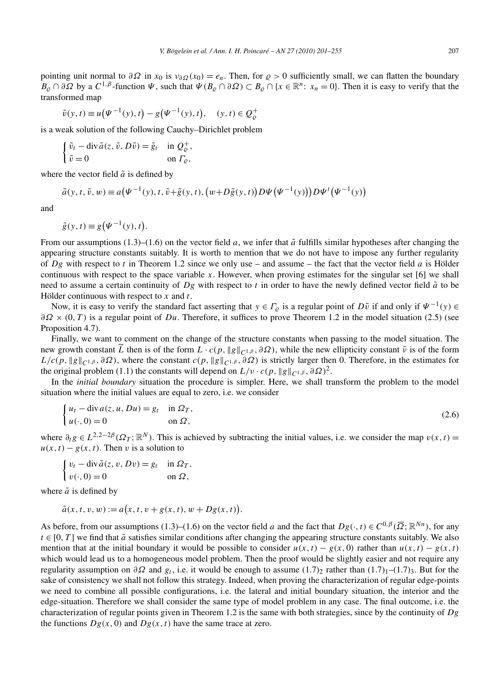pointing unit normal to  $\partial \Omega$  in  $x_0$  is  $v_{\partial \Omega}(x_0) = e_n$ . Then, for  $\rho > 0$  sufficiently small, we can flatten the boundary  $B_{\rho} \cap \partial \Omega$  by a  $C^{1,\beta}$ -function  $\Psi$ , such that  $\Psi(B_{\rho} \cap \partial \Omega) \subset B_{\rho} \cap \{x \in \mathbb{R}^n : x_n = 0\}$ . Then it is easy to verify that the transformed map

$$
\tilde{v}(y,t) \equiv u(\Psi^{-1}(y),t) - g(\Psi^{-1}(y),t), \quad (y,t) \in Q_{\varrho}^+
$$

is a weak solution of the following Cauchy–Dirichlet problem

$$
\begin{cases} \tilde{v}_t - \operatorname{div} \tilde{a}(z, \tilde{v}, D\tilde{v}) = \tilde{g}_t & \text{in } Q^+_{\varrho}, \\ \tilde{v} = 0 & \text{on } \Gamma_{\varrho}, \end{cases}
$$

where the vector field  $\tilde{a}$  is defined by

$$
\tilde{a}(y,t,\tilde{v},w) \equiv a(\Psi^{-1}(y),t,\tilde{v}+\tilde{g}(y,t),\big(w+D\tilde{g}(y,t)\big)D\Psi(\Psi^{-1}(y))\big)D\Psi^{t}(\Psi^{-1}(y))
$$

and

$$
\tilde{g}(y,t) \equiv g(\Psi^{-1}(y),t).
$$

From our assumptions  $(1.3)$ – $(1.6)$  on the vector field *a*, we infer that  $\tilde{a}$  fulfills similar hypotheses after changing the appearing structure constants suitably. It is worth to mention that we do not have to impose any further regularity of *Dg* with respect to *t* in Theorem 1.2 since we only use – and assume – the fact that the vector field *a* is Hölder continuous with respect to the space variable *x*. However, when proving estimates for the singular set [6] we shall need to assume a certain continuity of  $Dg$  with respect to  $t$  in order to have the newly defined vector field  $\tilde{a}$  to be Hölder continuous with respect to *x* and *t*.

Now, it is easy to verify the standard fact asserting that  $y \in \Gamma$ <sub>o</sub> is a regular point of  $D\tilde{v}$  if and only if  $\Psi^{-1}(y) \in$ *∂Ω* × *(*0*,T)* is a regular point of *Du*. Therefore, it suffices to prove Theorem 1.2 in the model situation (2.5) (see Proposition 4.7).

Finally, we want to comment on the change of the structure constants when passing to the model situation. The new growth constant *L* then is of the form  $L \cdot c(p, \|g\|_{C^{1,\beta}}, \partial \Omega)$ , while the new ellipticity constant  $\tilde{\nu}$  is of the form  $L/c(p, \|g\|_{C^{1,\beta}}, \partial\Omega)$ , where the constant  $c(p, \|g\|_{C^{1,\beta}}, \partial\Omega)$  is strictly larger then 0. Therefore, in the estimates for the original problem (1.1) the constants will depend on  $L/v \cdot c(p, ||g||_{C^{1,\beta}}, \partial \Omega)^2$ .

In the *initial boundary* situation the procedure is simpler. Here, we shall transform the problem to the model situation where the initial values are equal to zero, i.e. we consider

$$
\begin{cases}\n u_t - \operatorname{div} a(z, u, Du) = g_t & \text{in } \Omega_T, \\
 u(\cdot, 0) = 0 & \text{on } \Omega,\n\end{cases}
$$
\n(2.6)

where  $\partial_t g \in L^{2,2-2\beta}(\Omega_T; \mathbb{R}^N)$ . This is achieved by subtracting the initial values, i.e. we consider the map  $v(x, t)$  =  $u(x, t) - g(x, t)$ . Then *v* is a solution to

$$
\begin{cases} v_t - \operatorname{div} \tilde{a}(z, v, Dv) = g_t & \text{in } \Omega_T, \\ v(\cdot, 0) = 0 & \text{on } \Omega, \end{cases}
$$

where  $\tilde{a}$  is defined by

$$
\tilde{a}(x, t, v, w) := a(x, t, v + g(x, t), w + Dg(x, t)).
$$

As before, from our assumptions (1.3)–(1.6) on the vector field *a* and the fact that  $Dg(\cdot,t) \in C^{0,\beta}(\overline{\Omega};\mathbb{R}^{Nn})$ , for any  $t \in [0, T]$  we find that  $\tilde{a}$  satisfies similar conditions after changing the appearing structure constants suitably. We also mention that at the initial boundary it would be possible to consider  $u(x, t) - g(x, 0)$  rather than  $u(x, t) - g(x, t)$ which would lead us to a homogeneous model problem. Then the proof would be slightly easier and not require any regularity assumption on  $\partial\Omega$  and  $g_t$ , i.e. it would be enough to assume (1.7)<sub>2</sub> rather than (1.7)<sub>1</sub>–(1.7)<sub>3</sub>. But for the sake of consistency we shall not follow this strategy. Indeed, when proving the characterization of regular edge-points we need to combine all possible configurations, i.e. the lateral and initial boundary situation, the interior and the edge-situation. Therefore we shall consider the same type of model problem in any case. The final outcome, i.e. the characterization of regular points given in Theorem 1.2 is the same with both strategies, since by the continuity of *Dg* the functions  $Dg(x, 0)$  and  $Dg(x, t)$  have the same trace at zero.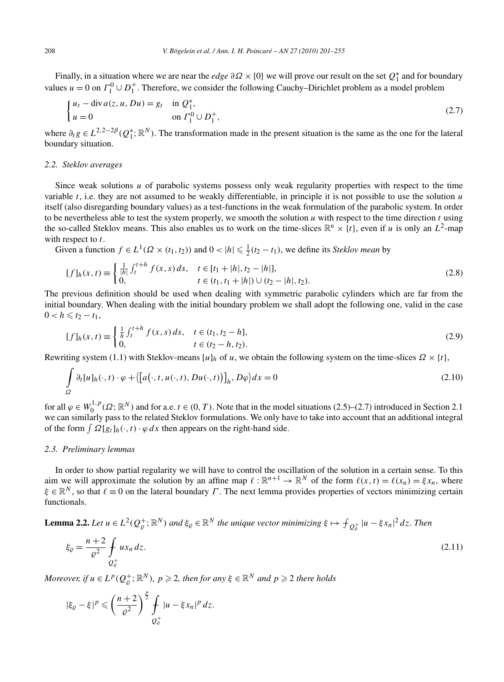Finally, in a situation where we are near the *edge*  $\partial \Omega \times \{0\}$  we will prove our result on the set  $Q_1^*$  and for boundary values  $u = 0$  on  $\Gamma_1^0 \cup D_1^+$ . Therefore, we consider the following Cauchy–Dirichlet problem as a model problem

$$
\begin{cases} u_t - \text{div}\, a(z, u, Du) = g_t & \text{in } \mathcal{Q}_1^*, \\ u = 0 & \text{on } \Gamma_1^0 \cup D_1^+, \end{cases}
$$
 (2.7)

where  $\partial_t g \in L^{2,2-2\beta}(Q_1^*,\mathbb{R}^N)$ . The transformation made in the present situation is the same as the one for the lateral boundary situation.

## *2.2. Steklov averages*

Since weak solutions *u* of parabolic systems possess only weak regularity properties with respect to the time variable *t*, i.e. they are not assumed to be weakly differentiable, in principle it is not possible to use the solution *u* itself (also disregarding boundary values) as a test-functions in the weak formulation of the parabolic system. In order to be nevertheless able to test the system properly, we smooth the solution *u* with respect to the time direction *t* using the so-called Steklov means. This also enables us to work on the time-slices  $\mathbb{R}^n \times \{t\}$ , even if *u* is only an  $L^2$ -map with respect to *t*.

Given a function  $f \in L^1(\Omega \times (t_1, t_2))$  and  $0 < |h| \leq \frac{1}{2}(t_2 - t_1)$ , we define its *Steklov mean* by

$$
[f]_h(x,t) \equiv \begin{cases} \frac{1}{|h|} \int_t^{t+h} f(x,s) \, ds, & t \in [t_1 + |h|, t_2 - |h|],\\ 0, & t \in (t_1, t_1 + |h|) \cup (t_2 - |h|, t_2). \end{cases} \tag{2.8}
$$

The previous definition should be used when dealing with symmetric parabolic cylinders which are far from the initial boundary. When dealing with the initial boundary problem we shall adopt the following one, valid in the case  $0 < h \leq t_2 - t_1$ ,

$$
[f]_h(x,t) \equiv \begin{cases} \frac{1}{h} \int_t^{t+h} f(x,s) \, ds, & t \in (t_1, t_2 - h], \\ 0, & t \in (t_2 - h, t_2). \end{cases} \tag{2.9}
$$

Rewriting system (1.1) with Steklov-means  $[u]_h$  of *u*, we obtain the following system on the time-slices  $\Omega \times \{t\}$ ,

$$
\int_{\Omega} \partial_t [u]_h(\cdot, t) \cdot \varphi + \langle [a(\cdot, t, u(\cdot, t), Du(\cdot, t))]_h, D\varphi \rangle dx = 0
$$
\n(2.10)

for all  $\varphi \in W_0^{1,p}(\Omega; \mathbb{R}^N)$  and for a.e.  $t \in (0, T)$ . Note that in the model situations (2.5)–(2.7) introduced in Section 2.1 we can similarly pass to the related Steklov formulations. We only have to take into account that an additional integral of the form  $\int \Omega[g_t]_h(\cdot, t) \cdot \varphi \, dx$  then appears on the right-hand side.

#### *2.3. Preliminary lemmas*

In order to show partial regularity we will have to control the oscillation of the solution in a certain sense. To this aim we will approximate the solution by an affine map  $\ell : \mathbb{R}^{n+1} \to \mathbb{R}^N$  of the form  $\ell(x, t) = \ell(x_n) = \xi x_n$ , where  $\xi \in \mathbb{R}^N$ , so that  $\ell \equiv 0$  on the lateral boundary *Γ*. The next lemma provides properties of vectors minimizing certain functionals.

**Lemma 2.2.** *Let*  $u \in L^2(Q^+_{\varrho}; \mathbb{R}^N)$  *and*  $\xi_{\varrho} \in \mathbb{R}^N$  *the unique vector minimizing*  $\xi \mapsto \int_{Q^+_{\varrho}} |u - \xi x_n|^2 dz$ . *Then* 

$$
\xi_{\varrho} = \frac{n+2}{\varrho^2} \int_{\mathcal{Q}_{\varrho}^+} u x_n \, dz. \tag{2.11}
$$

*Moreover, if*  $u \in L^p(Q^+_\varrho;\mathbb{R}^N)$ ,  $p \geqslant 2$ , then for any  $\xi \in \mathbb{R}^N$  and  $p \geqslant 2$  there holds

$$
|\xi_{\varrho}-\xi|^p\leqslant \left(\frac{n+2}{\varrho^2}\right)^{\frac{p}{2}}\int\limits_{Q_{\varrho}^+}|u-\xi x_n|^p\,dz.
$$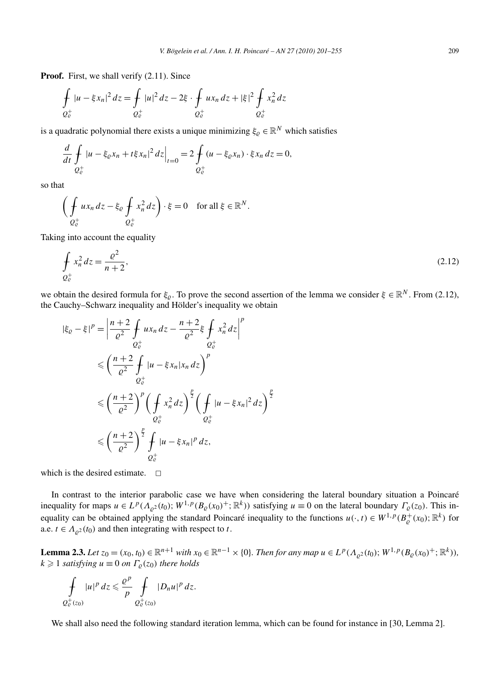Proof. First, we shall verify  $(2.11)$ . Since

$$
\oint_{Q_{\mathcal{C}}^+} |u - \xi x_n|^2 \, dz = \oint_{Q_{\mathcal{C}}^+} |u|^2 \, dz - 2\xi \cdot \oint_{Q_{\mathcal{C}}^+} u x_n \, dz + |\xi|^2 \oint_{Q_{\mathcal{C}}^+} x_n^2 \, dz
$$

is a quadratic polynomial there exists a unique minimizing  $\xi_{\rho} \in \mathbb{R}^{N}$  which satisfies

$$
\frac{d}{dt} \int_{Q_{\varrho}^+} |u - \xi_{\varrho} x_n + t \xi x_n|^2 \, dz \Big|_{t=0} = 2 \int_{Q_{\varrho}^+} (u - \xi_{\varrho} x_n) \cdot \xi x_n \, dz = 0,
$$

so that

$$
\left(\oint\limits_{Q^+_c} ux_n\,dz - \xi_{\varrho}\,\oint\limits_{Q^+_c} x_n^2\,dz\right)\cdot\xi = 0 \quad \text{for all } \xi \in \mathbb{R}^N.
$$

Taking into account the equality

$$
\oint_{Q_{\mathcal{C}}^+} x_n^2 \, dz = \frac{\varrho^2}{n+2},\tag{2.12}
$$

we obtain the desired formula for  $\xi$ . To prove the second assertion of the lemma we consider  $\xi \in \mathbb{R}^N$ . From (2.12), the Cauchy–Schwarz inequality and Hölder's inequality we obtain

$$
|\xi_{\varrho} - \xi|^{p} = \left| \frac{n+2}{\varrho^{2}} \int_{\mathcal{Q}_{\varrho}^{+}} u x_{n} \, dz - \frac{n+2}{\varrho^{2}} \xi \int_{\mathcal{Q}_{\varrho}^{+}} x_{n}^{2} \, dz \right|^{p}
$$
  
\n
$$
\leq \left( \frac{n+2}{\varrho^{2}} \int_{\mathcal{Q}_{\varrho}^{+}} |u - \xi x_{n}| x_{n} \, dz \right)^{p}
$$
  
\n
$$
\leq \left( \frac{n+2}{\varrho^{2}} \right)^{p} \left( \int_{\mathcal{Q}_{\varrho}^{+}} x_{n}^{2} \, dz \right)^{\frac{p}{2}} \left( \int_{\mathcal{Q}_{\varrho}^{+}} |u - \xi x_{n}|^{2} \, dz \right)^{\frac{p}{2}}
$$
  
\n
$$
\leq \left( \frac{n+2}{\varrho^{2}} \right)^{\frac{p}{2}} \int_{\mathcal{Q}_{\varrho}^{+}} |u - \xi x_{n}|^{p} \, dz,
$$

which is the desired estimate.  $\Box$ 

In contrast to the interior parabolic case we have when considering the lateral boundary situation a Poincaré inequality for maps  $u \in L^p(\Lambda_{\rho^2}(t_0); W^{1,p}(B_\rho(x_0)^+; \mathbb{R}^k))$  satisfying  $u \equiv 0$  on the lateral boundary  $\Gamma_\rho(z_0)$ . This inequality can be obtained applying the standard Poincaré inequality to the functions  $u(\cdot,t) \in W^{1,p}(B^+_{\varrho}(x_0); \mathbb{R}^k)$  for a.e.  $t \in A_{\rho^2}(t_0)$  and then integrating with respect to *t*.

**Lemma 2.3.** Let  $z_0 = (x_0, t_0) \in \mathbb{R}^{n+1}$  with  $x_0 \in \mathbb{R}^{n-1} \times \{0\}$ . Then for any map  $u \in L^p(\Lambda_{\rho^2}(t_0); W^{1,p}(B_\rho(x_0)^+; \mathbb{R}^k))$ ,  $k \geqslant 1$  *satisfying*  $u \equiv 0$  *on*  $\Gamma_{\varrho}(z_0)$  *there holds* 

$$
\int\limits_{Q^+_c(z_0)}|u|^p\,dz\leqslant\frac{\varrho^p}{p}\int\limits_{Q^+_c(z_0)}|D_n u|^p\,dz.
$$

We shall also need the following standard iteration lemma, which can be found for instance in [30, Lemma 2].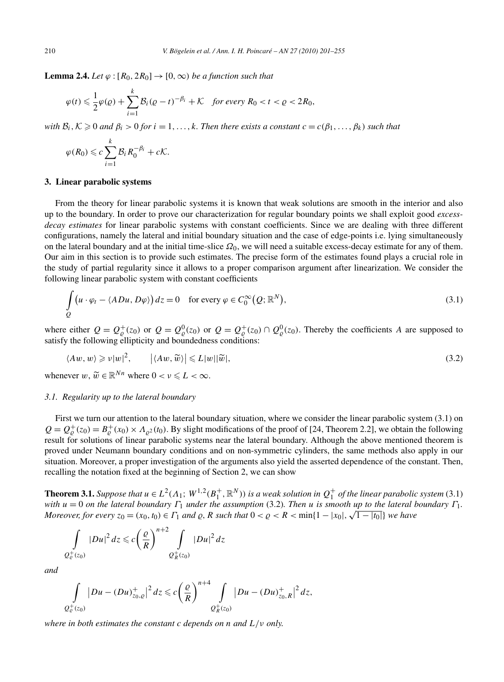**Lemma 2.4.** *Let*  $\varphi : [R_0, 2R_0] \to [0, \infty)$  *be a function such that* 

$$
\varphi(t) \leq \frac{1}{2}\varphi(\varrho) + \sum_{i=1}^k \mathcal{B}_i(\varrho - t)^{-\beta_i} + \mathcal{K} \quad \text{for every } R_0 < t < \varrho < 2R_0,
$$

*with*  $B_i$ ,  $K \geq 0$  *and*  $\beta_i > 0$  *for*  $i = 1, ..., k$ *. Then there exists a constant*  $c = c(\beta_1, ..., \beta_k)$  *such that* 

$$
\varphi(R_0) \leqslant c \sum_{i=1}^k \mathcal{B}_i R_0^{-\beta_i} + c\mathcal{K}.
$$

# **3. Linear parabolic systems**

From the theory for linear parabolic systems it is known that weak solutions are smooth in the interior and also up to the boundary. In order to prove our characterization for regular boundary points we shall exploit good *excessdecay estimates* for linear parabolic systems with constant coefficients. Since we are dealing with three different configurations, namely the lateral and initial boundary situation and the case of edge-points i.e. lying simultaneously on the lateral boundary and at the initial time-slice *Ω*0, we will need a suitable excess-decay estimate for any of them. Our aim in this section is to provide such estimates. The precise form of the estimates found plays a crucial role in the study of partial regularity since it allows to a proper comparison argument after linearization. We consider the following linear parabolic system with constant coefficients

$$
\int_{Q} \left( u \cdot \varphi_t - \langle ADu, D\varphi \rangle \right) dz = 0 \quad \text{for every } \varphi \in C_0^{\infty}(Q; \mathbb{R}^N),
$$
\n(3.1)

where either  $Q = Q_{\varrho}^{+}(z_0)$  or  $Q = Q_{\varrho}^{0}(z_0)$  or  $Q = Q_{\varrho}^{+}(z_0) \cap Q_{\varrho}^{0}(z_0)$ . Thereby the coefficients *A* are supposed to satisfy the following ellipticity and boundedness conditions:

$$
\langle Aw, w \rangle \geqslant \nu |w|^2, \qquad \left| \langle Aw, \widetilde{w} \rangle \right| \leqslant L |w| |\widetilde{w}|, \tag{3.2}
$$

whenever  $w, \widetilde{w} \in \mathbb{R}^{Nn}$  where  $0 < v \le L < \infty$ .

# *3.1. Regularity up to the lateral boundary*

First we turn our attention to the lateral boundary situation, where we consider the linear parabolic system (3.1) on  $Q = Q_{\rho}^{+}(z_0) = B_{\rho}^{+}(x_0) \times A_{\rho^2}(t_0)$ . By slight modifications of the proof of [24, Theorem 2.2], we obtain the following result for solutions of linear parabolic systems near the lateral boundary. Although the above mentioned theorem is proved under Neumann boundary conditions and on non-symmetric cylinders, the same methods also apply in our situation. Moreover, a proper investigation of the arguments also yield the asserted dependence of the constant. Then, recalling the notation fixed at the beginning of Section 2, we can show

**Theorem 3.1.** *Suppose that*  $u \in L^2(\Lambda_1; W^{1,2}(B_1^+, \mathbb{R}^N))$  *is a weak solution in*  $Q_1^+$  *of the linear parabolic system* (3.1) *with*  $u = 0$  *on the lateral boundary*  $\Gamma_1$  *under the assumption* (3.2)*. Then u is smooth up to the lateral boundary*  $\Gamma_1$ *. Moreover, for every*  $z_0 = (x_0, t_0) \in \Gamma_1$  *and*  $\varrho$ ,  $R$  such that  $0 < \varrho < R < \min\{1 - |x_0|, \sqrt{1 - |t_0|}\}$  we have *Moreover, for every*  $z_0 = (x_0, t_0) \in \Gamma_1$  *and*  $\varrho$ ,  $R$  such that  $0 < \varrho < R < \min\{1 - |x_0|, \sqrt{1 - |t_0|}\}$  w

$$
\int\limits_{2^+_c(z_0)}|Du|^2\,dz\leqslant c\bigg(\frac{\varrho}{R}\bigg)^{n+2}\int\limits_{2^+_c(z_0)}|Du|^2\,dz
$$

*and*

*Q*<sup>+</sup>

$$
\int_{Q_{\mathcal{C}}^+(z_0)} |Du - (Du)_{z_0,\varrho}^+|^2 dz \leq c \left(\frac{\varrho}{R}\right)^{n+4} \int_{Q_R^+(z_0)} |Du - (Du)_{z_0,R}^+|^2 dz,
$$

*where in both estimates the constant c depends on n and L/ν only.*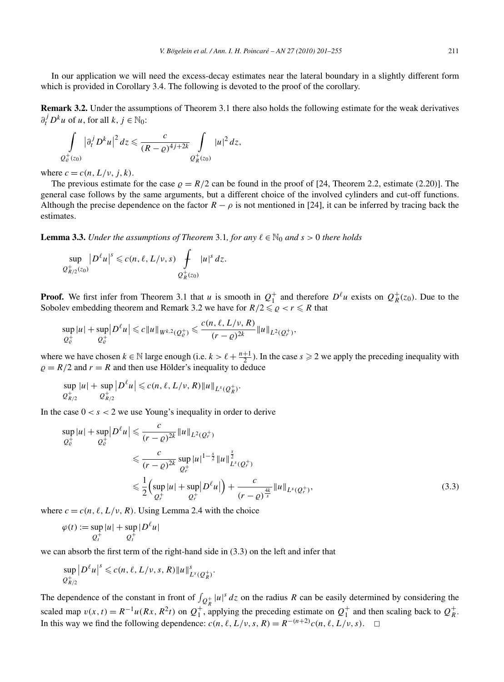In our application we will need the excess-decay estimates near the lateral boundary in a slightly different form which is provided in Corollary 3.4. The following is devoted to the proof of the corollary.

**Remark 3.2.** Under the assumptions of Theorem 3.1 there also holds the following estimate for the weak derivatives  $\partial_t^j D^k u$  of *u*, for all *k*,  $j \in \mathbb{N}_0$ :

$$
\int\limits_{Q_{\varrho}^+(z_0)}|\partial_t^jD^ku|^2\,dz\leqslant\frac{c}{(R-\varrho)^{4j+2k}}\int\limits_{Q_R^+(z_0)}|u|^2\,dz,
$$

where  $c = c(n, L/\nu, j, k)$ .

The previous estimate for the case  $\rho = R/2$  can be found in the proof of [24, Theorem 2.2, estimate (2.20)]. The general case follows by the same arguments, but a different choice of the involved cylinders and cut-off functions. Although the precise dependence on the factor  $R - \rho$  is not mentioned in [24], it can be inferred by tracing back the estimates.

**Lemma 3.3.** *Under the assumptions of Theorem* 3.1, *for any*  $\ell \in \mathbb{N}_0$  *and*  $s > 0$  *there holds* 

$$
\sup_{\mathcal{Q}_{R/2}^+(z_0)}|D^{\ell}u|^s\leqslant c(n,\ell,L/\nu,s)\int\limits_{\mathcal{Q}_{R}^+(z_0)}|u|^s\,dz.
$$

**Proof.** We first infer from Theorem 3.1 that *u* is smooth in  $Q_1^+$  and therefore  $D^{\ell}u$  exists on  $Q_R^+(z_0)$ . Due to the Sobolev embedding theorem and Remark 3.2 we have for  $R/2 \leq \varrho < r \leq R$  that

$$
\sup_{Q_{\mathcal{C}}^+}|u|+\sup_{Q_{\mathcal{C}}^+}|D^{\ell}u|\leqslant c\|u\|_{W^{k,2}(Q_{\mathcal{C}}^+)}\leqslant \frac{c(n,\ell,L/\nu,R)}{(r-\varrho)^{2k}}\|u\|_{L^2(Q_r^+)},
$$

where we have chosen  $k \in \mathbb{N}$  large enough (i.e.  $k > \ell + \frac{n+1}{2}$ ). In the case  $s \ge 2$  we apply the preceding inequality with  $\rho = R/2$  and  $r = R$  and then use Hölder's inequality to deduce

$$
\sup_{Q_{R/2}^+} |u| + \sup_{Q_{R/2}^+} |D^{\ell} u| \leqslant c(n, \ell, L/\nu, R) \|u\|_{L^s(Q_R^+)}.
$$

In the case  $0 < s < 2$  we use Young's inequality in order to derive

$$
\sup_{Q_{\varrho}^+} |u| + \sup_{Q_{\varrho}^+} |D^{\ell}u| \leq \frac{c}{(r-\varrho)^{2k}} \|u\|_{L^2(Q_r^+)}
$$
\n
$$
\leq \frac{c}{(r-\varrho)^{2k}} \sup_{Q_r^+} |u|^{1-\frac{s}{2}} \|u\|_{L^s(Q_r^+)}^{\frac{s}{2}}
$$
\n
$$
\leq \frac{1}{2} \Big( \sup_{Q_r^+} |u| + \sup_{Q_r^+} |D^{\ell}u| \Big) + \frac{c}{(r-\varrho)^{\frac{4k}{s}}} \|u\|_{L^s(Q_r^+)},
$$
\n(3.3)

where  $c = c(n, \ell, L/\nu, R)$ . Using Lemma 2.4 with the choice

$$
\varphi(t) := \sup_{Q_t^+} |u| + \sup_{Q_t^+} |D^{\ell} u|
$$

we can absorb the first term of the right-hand side in (3.3) on the left and infer that

$$
\sup_{Q_{R/2}^+} |D^{\ell} u|^s \leq c(n, \ell, L/\nu, s, R) ||u||_{L^s(Q_R^+)}^s.
$$

The dependence of the constant in front of  $\int_{Q_R^+} |u|^s dz$  on the radius *R* can be easily determined by considering the scaled map  $v(x, t) = R^{-1}u(Rx, R^2t)$  on  $Q_1^+$ , applying the preceding estimate on  $Q_1^+$  and then scaling back to  $Q_R^+$ . In this way we find the following dependence:  $c(n, \ell, L/\nu, s, R) = R^{-(n+2)}c(n, \ell, L/\nu, s)$ . □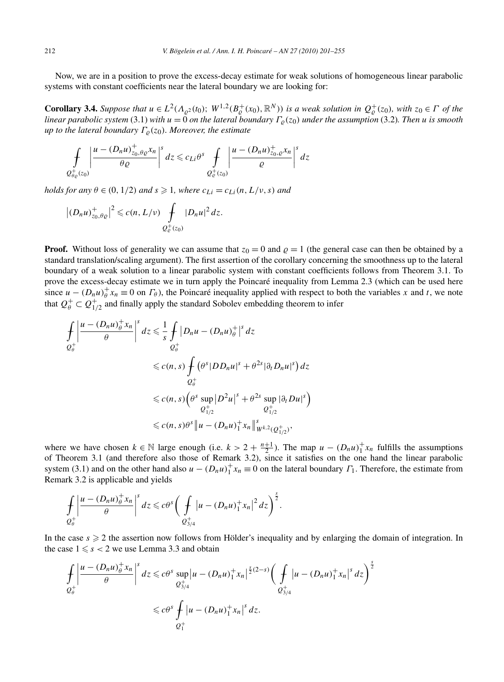Now, we are in a position to prove the excess-decay estimate for weak solutions of homogeneous linear parabolic systems with constant coefficients near the lateral boundary we are looking for:

**Corollary 3.4.** Suppose that  $u \in L^2(\Lambda_{\varrho^2}(t_0); W^{1,2}(B^+_{\varrho}(x_0), \mathbb{R}^N))$  is a weak solution in  $Q^+_{\varrho}(z_0)$ , with  $z_0 \in \Gamma$  of the *linear parabolic system* (3.1) *with*  $u = 0$  *on the lateral boundary*  $\Gamma_{\rho}(z_0)$  *under the assumption* (3.2)*. Then u is smooth up to the lateral boundary*  $\Gamma_{\rho}(z_0)$ *. Moreover, the estimate* 

$$
\int_{Q_{\theta\varrho}^+(z_0)}\left|\frac{u-(D_nu)_{z_0,\theta\varrho}^+}{\theta\varrho}x_n\right|^s dz \leqslant c_{Li}\theta^s \int_{Q_{\varrho}^+(z_0)}\left|\frac{u-(D_nu)_{z_0,\varrho}^+}{\varrho}x_n\right|^s dz
$$

*holds for any*  $\theta \in (0, 1/2)$  *and*  $s \ge 1$ *, where*  $c_{Li} = c_{Li}(n, L/v, s)$  *and* 

$$
\left|(D_nu)_{z_0,\theta_{\mathcal{Q}}}^+\right|^2\leqslant c(n,L/\nu)\int\limits_{Q_{\mathcal{C}}^+(z_0)}|D_nu|^2\,dz.
$$

**Proof.** Without loss of generality we can assume that  $z_0 = 0$  and  $\rho = 1$  (the general case can then be obtained by a standard translation/scaling argument). The first assertion of the corollary concerning the smoothness up to the lateral boundary of a weak solution to a linear parabolic system with constant coefficients follows from Theorem 3.1. To prove the excess-decay estimate we in turn apply the Poincaré inequality from Lemma 2.3 (which can be used here since  $u - (D_n u)_\theta^+ x_n \equiv 0$  on  $\Gamma_\theta$ ), the Poincaré inequality applied with respect to both the variables *x* and *t*, we note that  $Q^+_{\theta} \subset Q^+_{1/2}$  and finally apply the standard Sobolev embedding theorem to infer

$$
\int_{\mathcal{Q}_{\theta}^{+}} \left| \frac{u - (D_{n}u)_{\theta}^{+} x_{n}}{\theta} \right|^{s} dz \leq \frac{1}{s} \int_{\mathcal{Q}_{\theta}^{+}} |D_{n}u - (D_{n}u)_{\theta}^{+}|^{s} dz
$$
\n
$$
\leq c(n, s) \int_{\mathcal{Q}_{\theta}^{+}} (\theta^{s} |DD_{n}u|^{s} + \theta^{2s} |\partial_{t}D_{n}u|^{s}) dz
$$
\n
$$
\leq c(n, s) \left( \theta^{s} \sup_{\mathcal{Q}_{1/2}^{+}} |D^{2}u|^{s} + \theta^{2s} \sup_{\mathcal{Q}_{1/2}^{+}} |\partial_{t}Du|^{s} \right)
$$
\n
$$
\leq c(n, s) \theta^{s} \|u - (D_{n}u)_{1}^{+} x_{n} \|_{W^{k, 2}(\mathcal{Q}_{1/2}^{+})}^{s},
$$

where we have chosen  $k \in \mathbb{N}$  large enough (i.e.  $k > 2 + \frac{n+1}{2}$ ). The map  $u - (D_n u)^+_{1} x_n$  fulfills the assumptions of Theorem 3.1 (and therefore also those of Remark 3.2), since it satisfies on the one hand the linear parabolic system (3.1) and on the other hand also  $u - (D_n u)_1^+ x_n \equiv 0$  on the lateral boundary  $\Gamma_1$ . Therefore, the estimate from Remark 3.2 is applicable and yields

$$
\int_{Q_{\theta}^+} \left|\frac{u - (D_n u)_{\theta}^+ x_n}{\theta}\right|^s dz \leq c\theta^s \bigg(\int_{Q_{3/4}^+} \left|u - (D_n u)_{1}^+ x_n\right|^2 dz\bigg)^{\frac{s}{2}}.
$$

In the case  $s \geqslant 2$  the assertion now follows from Hölder's inequality and by enlarging the domain of integration. In the case  $1 \leq s < 2$  we use Lemma 3.3 and obtain

$$
\int_{Q_{\theta}^{+}} \left| \frac{u - (D_{n}u)^{+}_{\theta}x_{n}}{\theta} \right|^{s} dz \leq c\theta^{s} \sup_{Q_{3/4}^{+}} \left| u - (D_{n}u)^{+}_{1}x_{n} \right|^{s} (2-s) \left( \int_{Q_{3/4}^{+}} \left| u - (D_{n}u)^{+}_{1}x_{n} \right|^{s} dz \right)^{s}
$$
  

$$
\leq c\theta^{s} \int_{Q_{1}^{+}} \left| u - (D_{n}u)^{+}_{1}x_{n} \right|^{s} dz.
$$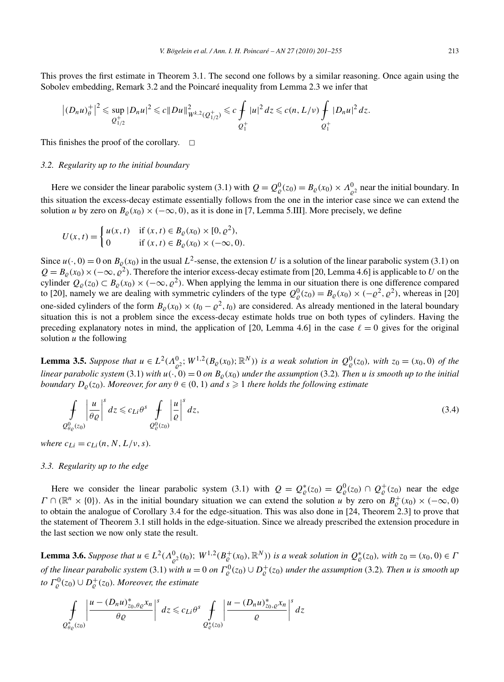This proves the first estimate in Theorem 3.1. The second one follows by a similar reasoning. Once again using the Sobolev embedding, Remark 3.2 and the Poincaré inequality from Lemma 2.3 we infer that

$$
\left|(D_nu)_\theta^+\right|^2\leq \sup_{Q_{1/2}^+}|D_nu|^2\leq c\|Du\|_{W^{k,2}(Q_{1/2}^+)}^2\leq c\int_{Q_1^+}|u|^2\,dz\leq c(n,L/\nu)\int_{Q_1^+}|D_nu|^2\,dz.
$$

This finishes the proof of the corollary.  $\Box$ 

### *3.2. Regularity up to the initial boundary*

Here we consider the linear parabolic system (3.1) with  $Q = Q^0_{\rho}(z_0) = B_{\rho}(x_0) \times A^0_{\rho^2}$  near the initial boundary. In this situation the excess-decay estimate essentially follows from the one in the interior case since we can extend the solution *u* by zero on  $B_0(x_0) \times (-\infty, 0)$ , as it is done in [7, Lemma 5.III]. More precisely, we define

$$
U(x,t) = \begin{cases} u(x,t) & \text{if } (x,t) \in B_{\varrho}(x_0) \times [0,\varrho^2), \\ 0 & \text{if } (x,t) \in B_{\varrho}(x_0) \times (-\infty,0). \end{cases}
$$

Since  $u(\cdot, 0) = 0$  on  $B_{\varrho}(x_0)$  in the usual  $L^2$ -sense, the extension *U* is a solution of the linear parabolic system (3.1) on  $Q = B<sub>Q</sub>(x<sub>0</sub>) \times (-\infty, \rho<sup>2</sup>)$ . Therefore the interior excess-decay estimate from [20, Lemma 4.6] is applicable to *U* on the cylinder  $Q_{\varrho}(z_0) \subset B_{\varrho}(x_0) \times (-\infty, \varrho^2)$ . When applying the lemma in our situation there is one difference compared to [20], namely we are dealing with symmetric cylinders of the type  $Q_{\varrho}^{0}(z_0) = B_{\varrho}(x_0) \times (-\varrho^2, \varrho^2)$ , whereas in [20] one-sided cylinders of the form  $B_0(x_0) \times (t_0 - \rho^2, t_0)$  are considered. As already mentioned in the lateral boundary situation this is not a problem since the excess-decay estimate holds true on both types of cylinders. Having the preceding explanatory notes in mind, the application of [20, Lemma 4.6] in the case  $\ell = 0$  gives for the original solution *u* the following

**Lemma 3.5.** Suppose that  $u \in L^2(\Lambda^0_{\varrho^2}; W^{1,2}(B_\varrho(x_0);\mathbb{R}^N))$  is a weak solution in  $Q^0_\varrho(z_0)$ , with  $z_0 = (x_0, 0)$  of the *linear parabolic system* (3.1) *with*  $u(\cdot, 0) = 0$  *on*  $B_0(x_0)$  *under the assumption* (3.2)*. Then u is smooth up to the initial boundary*  $D_{\varrho}(z_0)$ *. Moreover, for any*  $\theta \in (0,1)$  *and*  $s \geqslant 1$  *there holds the following estimate* 

$$
\int_{Q_{\theta\varrho}^{0}(z_{0})} \left| \frac{u}{\theta\varrho} \right|^{s} dz \leqslant c_{Li}\theta^{s} \int_{Q_{\varrho}^{0}(z_{0})} \left| \frac{u}{\varrho} \right|^{s} dz,
$$
\n(3.4)

*where*  $c_{Li} = c_{Li}(n, N, L/v, s)$ *.* 

#### *3.3. Regularity up to the edge*

Here we consider the linear parabolic system (3.1) with  $Q = Q_{\varrho}^*(z_0) = Q_{\varrho}^0(z_0) \cap Q_{\varrho}^+(z_0)$  near the edge  $\Gamma \cap (\mathbb{R}^n \times \{0\})$ . As in the initial boundary situation we can extend the solution *u* by zero on  $B^+_{\varrho}(x_0) \times (-\infty, 0)$ to obtain the analogue of Corollary 3.4 for the edge-situation. This was also done in [24, Theorem 2.3] to prove that the statement of Theorem 3.1 still holds in the edge-situation. Since we already prescribed the extension procedure in the last section we now only state the result.

**Lemma 3.6.** Suppose that  $u \in L^2(\Lambda^0_{\mathcal{Q}^2}(t_0); W^{1,2}(B^+_{\mathcal{C}}(x_0), \mathbb{R}^N))$  is a weak solution in  $Q^*_{\mathcal{C}}(z_0)$ , with  $z_0 = (x_0, 0) \in I$  $f$  *of the linear parabolic system* (3.1) with  $u=0$  *on*  $\Gamma^0_\varrho(z_0)\cup D^+_\varrho(z_0)$  *under the assumption* (3.2). Then  $u$  *is smooth up to*  $\Gamma_{\varrho}^{0}(z_{0}) \cup D_{\varrho}^{+}(z_{0})$ *. Moreover, the estimate* 

$$
\int_{Q_{\theta_{\varrho}}^*(z_0)} \left| \frac{u - (D_n u)_{z_0, \theta_{\varrho}}^* x_n}{\theta_{\varrho}} \right|^s dz \leqslant c_{Li} \theta^s \int_{Q_{\varrho}^*(z_0)} \left| \frac{u - (D_n u)_{z_0, \varrho}^* x_n}{\varrho} \right|^s dz
$$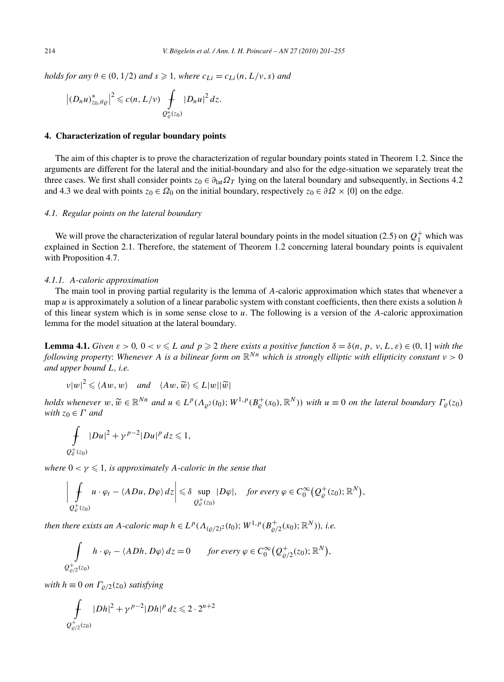*holds for any*  $\theta \in (0, 1/2)$  *and*  $s \geq 1$ *, where*  $c_{Li} = c_{Li}(n, L/v, s)$  *and* 

$$
\left|(D_nu)_{z_0,\theta_\mathcal{Q}}^*\right|^2\leqslant c(n,L/\nu)\int\limits_{Q_\mathcal{C}^*(z_0)}|D_nu|^2\,dz.
$$

# **4. Characterization of regular boundary points**

The aim of this chapter is to prove the characterization of regular boundary points stated in Theorem 1.2. Since the arguments are different for the lateral and the initial-boundary and also for the edge-situation we separately treat the three cases. We first shall consider points  $z_0 \in \partial_{\text{lat}} \Omega_T$  lying on the lateral boundary and subsequently, in Sections 4.2 and 4.3 we deal with points  $z_0 \in \Omega_0$  on the initial boundary, respectively  $z_0 \in \partial \Omega \times \{0\}$  on the edge.

## *4.1. Regular points on the lateral boundary*

We will prove the characterization of regular lateral boundary points in the model situation (2.5) on  $Q_1^+$  which was explained in Section 2.1. Therefore, the statement of Theorem 1.2 concerning lateral boundary points is equivalent with Proposition 4.7.

#### *4.1.1. A-caloric approximation*

The main tool in proving partial regularity is the lemma of *A*-caloric approximation which states that whenever a map *u* is approximately a solution of a linear parabolic system with constant coefficients, then there exists a solution *h* of this linear system which is in some sense close to *u*. The following is a version of the *A*-caloric approximation lemma for the model situation at the lateral boundary.

**Lemma 4.1.** *Given*  $\varepsilon > 0$ ,  $0 < v \le L$  *and*  $p \ge 2$  *there exists a positive function*  $\delta = \delta(n, p, v, L, \varepsilon) \in (0, 1]$  *with the following property*: *Whenever A is a bilinear form on* R*Nn which is strongly elliptic with ellipticity constant ν >* 0 *and upper bound L, i.e.*

$$
v|w|^2 \leqslant \langle Aw, w \rangle \quad \text{and} \quad \langle Aw, \widetilde{w} \rangle \leqslant L|w||\widetilde{w}|
$$

holds whenever  $w, \widetilde{w} \in \mathbb{R}^{Nn}$  and  $u \in L^p(\Lambda_{\varrho^2}(t_0); W^{1,p}(B^+_{\varrho}(x_0), \mathbb{R}^N))$  with  $u \equiv 0$  on the lateral boundary  $\Gamma_{\varrho}(z_0)$ *with*  $z_0 \in \Gamma$  *and* 

$$
\int\limits_{Q^+_c(z_0)}|Du|^2+\gamma^{p-2}|Du|^p\,dz\leq 1,
$$

*where*  $0 < \gamma \leq 1$ *, is approximately A-caloric in the sense that* 

$$
\left|\int_{\substack{Q^+_e(z_0)\\ Q^+_e(z_0)}} u \cdot \varphi_t - \langle ADu, D\varphi \rangle dz \right| \leq \delta \sup_{\substack{Q^+_e(z_0)\\ Q^+_e(z_0)}} |D\varphi|, \quad \text{for every } \varphi \in C_0^{\infty}(Q^+_e(z_0); \mathbb{R}^N),
$$

*then there exists an A-caloric map*  $h \in L^p(\Lambda_{(q/2)^2}(t_0); W^{1,p}(B_{q/2}^+(x_0); \mathbb{R}^N))$ , i.e.

$$
\int_{Q_{\varrho/2}^+(z_0)} h \cdot \varphi_t - \langle A Dh, D\varphi \rangle dz = 0 \quad \text{for every } \varphi \in C_0^{\infty}(Q_{\varrho/2}^+(z_0); \mathbb{R}^N),
$$

*with*  $h \equiv 0$  *on*  $\Gamma_{\varrho/2}(z_0)$  *satisfying* 

$$
\int\limits_{Q_{\varrho/2}^+(z_0)} |Dh|^2 + \gamma^{p-2} |Dh|^p \, dz \leq 2 \cdot 2^{n+2}
$$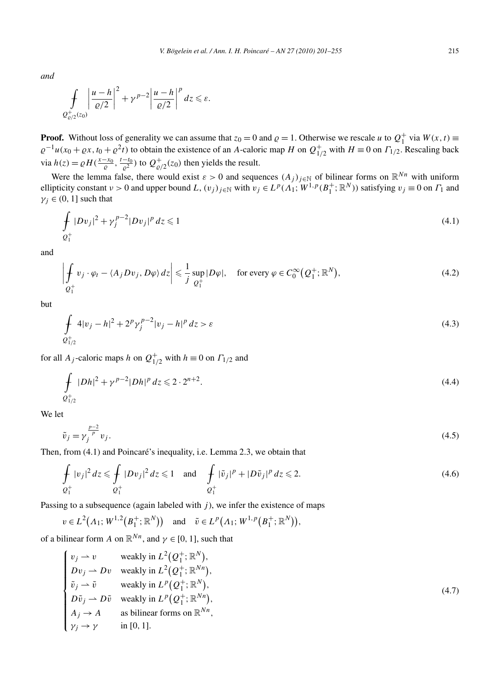*and*

$$
\int\limits_{Q_{\varrho/2}^+(z_0)}\left|\frac{u-h}{\varrho/2}\right|^2+\gamma^{p-2}\left|\frac{u-h}{\varrho/2}\right|^pdz\leqslant\varepsilon.
$$

**Proof.** Without loss of generality we can assume that  $z_0 = 0$  and  $\varrho = 1$ . Otherwise we rescale *u* to  $Q_1^+$  via  $W(x, t) =$  $\varrho^{-1}u(x_0 + \varrho x, t_0 + \varrho^2 t)$  to obtain the existence of an *A*-caloric map *H* on  $Q_{1/2}^+$  with  $H \equiv 0$  on  $\Gamma_{1/2}$ . Rescaling back via  $h(z) = \rho H(\frac{x-x_0}{\rho}, \frac{t-t_0}{\rho^2})$  to  $Q_{\rho/2}^+(z_0)$  then yields the result.

Were the lemma false, there would exist  $\varepsilon > 0$  and sequences  $(A_j)_{j \in \mathbb{N}}$  of bilinear forms on  $\mathbb{R}^{Nn}$  with uniform ellipticity constant  $\nu > 0$  and upper bound *L*,  $(v_j)_{j \in \mathbb{N}}$  with  $v_j \in L^p(\Lambda_1; W^{1,p}(B_1^+; \mathbb{R}^N))$  satisfying  $v_j \equiv 0$  on  $\Gamma_1$  and  $\gamma_i \in (0, 1]$  such that

$$
\int_{Q_1^+} |Dv_j|^2 + \gamma_j^{p-2} |Dv_j|^p \, dz \leq 1 \tag{4.1}
$$

and

$$
\left| \oint_{Q_1^+} v_j \cdot \varphi_t - \langle A_j D v_j, D\varphi \rangle dz \right| \leq \frac{1}{j} \sup_{Q_1^+} |D\varphi|, \quad \text{for every } \varphi \in C_0^{\infty}(Q_1^+; \mathbb{R}^N), \tag{4.2}
$$

but

$$
\oint_{Q_{1/2}^+} 4|v_j - h|^2 + 2^p \gamma_j^{p-2} |v_j - h|^p dz > \varepsilon
$$
\n(4.3)

for all *A<sub>j</sub>*-caloric maps *h* on  $Q_{1/2}^+$  with  $h \equiv 0$  on  $\Gamma_{1/2}$  and

$$
\int_{Q_{1/2}^+} |Dh|^2 + \gamma^{p-2} |Dh|^p \, dz \leqslant 2 \cdot 2^{n+2}.
$$
\n(4.4)

We let

$$
\tilde{v}_j = \gamma_j^{\frac{p-2}{p}} v_j. \tag{4.5}
$$

Then, from (4.1) and Poincaré's inequality, i.e. Lemma 2.3, we obtain that

$$
\oint_{Q_1^+} |v_j|^2 dz \leq \oint_{Q_1^+} |Dv_j|^2 dz \leq 1 \quad \text{and} \quad \oint_{Q_1^+} |\tilde{v}_j|^p + |D\tilde{v}_j|^p dz \leq 2. \tag{4.6}
$$

Passing to a subsequence (again labeled with  $j$ ), we infer the existence of maps

$$
v \in L^2(\Lambda_1; W^{1,2}(B_1^+; \mathbb{R}^N))
$$
 and  $\tilde{v} \in L^p(\Lambda_1; W^{1,p}(B_1^+; \mathbb{R}^N)),$ 

of a bilinear form *A* on  $\mathbb{R}^{N_n}$ , and  $\gamma \in [0, 1]$ , such that

$$
\begin{cases}\nv_j \to v & \text{weakly in } L^2(Q_1^+; \mathbb{R}^N), \\
Dv_j \to Dv & \text{weakly in } L^2(Q_1^+; \mathbb{R}^{Nn}), \\
\tilde{v}_j \to \tilde{v} & \text{weakly in } L^p(Q_1^+; \mathbb{R}^N), \\
D\tilde{v}_j \to D\tilde{v} & \text{weakly in } L^p(Q_1^+; \mathbb{R}^{Nn}), \\
A_j \to A & \text{as bilinear forms on } \mathbb{R}^{Nn}, \\
\gamma_j \to \gamma & \text{in } [0, 1].\n\end{cases}\n\tag{4.7}
$$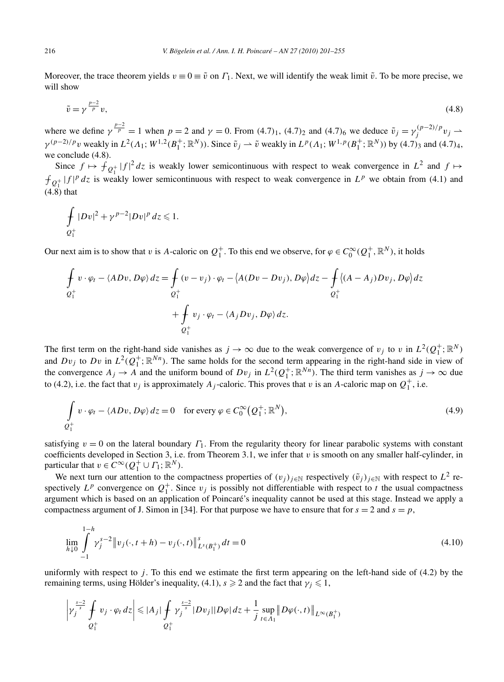Moreover, the trace theorem yields  $v \equiv 0 \equiv \tilde{v}$  on  $\Gamma_1$ . Next, we will identify the weak limit  $\tilde{v}$ . To be more precise, we will show

$$
\tilde{v} = \gamma^{\frac{p-2}{p}} v,\tag{4.8}
$$

where we define  $\gamma^{\frac{p-2}{p}} = 1$  when  $p = 2$  and  $\gamma = 0$ . From  $(4.7)_1$ ,  $(4.7)_2$  and  $(4.7)_6$  we deduce  $\tilde{v}_j = \gamma_j^{(p-2)/p} v_j \rightarrow$  $\gamma^{(p-2)/p}v$  weakly in  $L^2(\Lambda_1; W^{1,2}(B_1^+; \mathbb{R}^N))$ . Since  $\tilde{v}_j \rightharpoonup \tilde{v}$  weakly in  $L^p(\Lambda_1; W^{1,p}(B_1^+; \mathbb{R}^N))$  by  $(4.7)_3$  and  $(4.7)_4$ , we conclude (4.8).

Since  $f \mapsto f_{Q_1^+} |f|^2 dz$  is weakly lower semicontinuous with respect to weak convergence in  $L^2$  and  $f \mapsto$  $f_{Q_1^+}$  |  $f|^p dz$  is weakly lower semicontinuous with respect to weak convergence in  $L^p$  we obtain from (4.1) and (4.8) that

$$
\int\limits_{Q_1^+} |Dv|^2 + \gamma^{p-2} |Dv|^p \, dz \leq 1.
$$

Our next aim is to show that *v* is *A*-caloric on  $Q_1^+$ . To this end we observe, for  $\varphi \in C_0^{\infty}(Q_1^+, \mathbb{R}^N)$ , it holds

$$
\oint_{Q_1^+} v \cdot \varphi_t - \langle ADv, D\varphi \rangle dz = \oint_{Q_1^+} (v - v_j) \cdot \varphi_t - \langle A(Dv - Dv_j), D\varphi \rangle dz - \oint_{Q_1^+} \langle (A - A_j)Dv_j, D\varphi \rangle dz \n+ \oint_{Q_1^+} v_j \cdot \varphi_t - \langle A_j Dv_j, D\varphi \rangle dz.
$$

The first term on the right-hand side vanishes as  $j \to \infty$  due to the weak convergence of  $v_j$  to  $v$  in  $L^2(Q_1^+; \mathbb{R}^N)$ and  $Dv_j$  to  $Dv$  in  $L^2(Q_1^+; \mathbb{R}^{Nn})$ . The same holds for the second term appearing in the right-hand side in view of the convergence  $A_j \to A$  and the uniform bound of  $Dv_j$  in  $L^2(Q_1^+; \mathbb{R}^{Nn})$ . The third term vanishes as  $j \to \infty$  due to (4.2), i.e. the fact that  $v_j$  is approximately  $A_j$ -caloric. This proves that  $v$  is an  $A$ -caloric map on  $Q_1^+$ , i.e.

$$
\int_{Q_1^+} v \cdot \varphi_t - \langle ADv, D\varphi \rangle dz = 0 \quad \text{for every } \varphi \in C_0^{\infty}(Q_1^+; \mathbb{R}^N),
$$
\n(4.9)

satisfying  $v = 0$  on the lateral boundary  $\Gamma_1$ . From the regularity theory for linear parabolic systems with constant coefficients developed in Section 3, i.e. from Theorem 3.1, we infer that  $v$  is smooth on any smaller half-cylinder, in particular that  $v \in C^{\infty}(Q_1^+ \cup \Gamma_1; \mathbb{R}^N)$ .

We next turn our attention to the compactness properties of  $(v_j)_{j \in \mathbb{N}}$  respectively  $(\tilde{v}_j)_{j \in \mathbb{N}}$  with respect to  $L^2$  respectively  $L^p$  convergence on  $Q_1^+$ . Since  $v_j$  is possibly not differentiable with respect to *t* the usual compactness argument which is based on an application of Poincaré's inequality cannot be used at this stage. Instead we apply a compactness argument of J. Simon in [34]. For that purpose we have to ensure that for  $s = 2$  and  $s = p$ ,

$$
\lim_{h \downarrow 0} \int_{-1}^{1-h} \gamma_j^{s-2} \|v_j(\cdot, t+h) - v_j(\cdot, t)\|_{L^s(B_1^+)}^s dt = 0
$$
\n(4.10)

uniformly with respect to  $j$ . To this end we estimate the first term appearing on the left-hand side of  $(4.2)$  by the remaining terms, using Hölder's inequality,  $(4.1)$ ,  $s \geqslant 2$  and the fact that  $\gamma_j \leqslant 1$ ,

$$
\left|\gamma_j^{\frac{s-2}{s}}\int\limits_{Q_1^+} v_j \cdot \varphi_t \, dz\right| \leqslant |A_j| \int\limits_{Q_1^+} \gamma_j^{\frac{s-2}{s}} |D v_j| |D \varphi| \, dz + \frac{1}{j} \sup\limits_{t \in \Lambda_1} \|D \varphi(\cdot,t)\|_{L^{\infty}(B_1^+)}
$$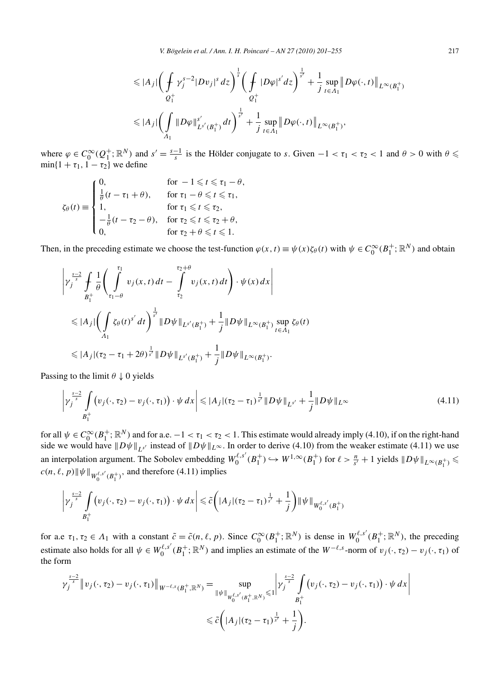*V. Bögelein et al. / Ann. I. H. Poincaré – AN 27 (2010) 201–255* 217

$$
\leq |A_j| \left( \int_{Q_1^+} \gamma_j^{s-2} |D v_j|^s \, dz \right)^{\frac{1}{s}} \left( \int_{Q_1^+} |D \varphi|^{s'} \, dz \right)^{\frac{1}{s'}} + \frac{1}{j} \sup_{t \in A_1} \| D \varphi(\cdot, t) \|_{L^{\infty}(B_1^+)} \n\leq |A_j| \left( \int_{A_1} \|D \varphi\|_{L^{s'}(B_1^+)}^{s'} \, dt \right)^{\frac{1}{s'}} + \frac{1}{j} \sup_{t \in A_1} \|D \varphi(\cdot, t)\|_{L^{\infty}(B_1^+)},
$$

where  $\varphi \in C_0^{\infty}(Q_1^+; \mathbb{R}^N)$  and  $s' = \frac{s-1}{s}$  is the Hölder conjugate to *s*. Given  $-1 < \tau_1 < \tau_2 < 1$  and  $\theta > 0$  with  $\theta \le$  $\min\{1 + \tau_1, 1 - \tau_2\}$  we define

$$
\zeta_{\theta}(t) \equiv \begin{cases}\n0, & \text{for } -1 \leq t \leq \tau_1 - \theta, \\
\frac{1}{\theta}(t - \tau_1 + \theta), & \text{for } \tau_1 - \theta \leq t \leq \tau_1, \\
1, & \text{for } \tau_1 \leq t \leq \tau_2, \\
-\frac{1}{\theta}(t - \tau_2 - \theta), & \text{for } \tau_2 \leq t \leq \tau_2 + \theta, \\
0, & \text{for } \tau_2 + \theta \leq t \leq 1.\n\end{cases}
$$

Then, in the preceding estimate we choose the test-function  $\varphi(x, t) \equiv \psi(x)\zeta_{\theta}(t)$  with  $\psi \in C_0^{\infty}(B_1^+; \mathbb{R}^N)$  and obtain

$$
\left| \gamma_j^{\frac{s-2}{s}} \int \frac{1}{\theta} \left( \int \limits_{\tau_1 - \theta}^{\tau_1} v_j(x, t) dt - \int \limits_{\tau_2}^{\tau_2 + \theta} v_j(x, t) dt \right) \cdot \psi(x) dx \right|
$$
  
\n
$$
\leq |A_j| \left( \int \limits_{A_1} \zeta_{\theta}(t)^{s'} dt \right)^{\frac{1}{s'}} \|D\psi\|_{L^{s'}(B_1^+)} + \frac{1}{j} \|D\psi\|_{L^{\infty}(B_1^+)} \sup_{t \in A_1} \zeta_{\theta}(t)
$$
  
\n
$$
\leq |A_j| (\tau_2 - \tau_1 + 2\theta)^{\frac{1}{s'}} \|D\psi\|_{L^{s'}(B_1^+)} + \frac{1}{j} \|D\psi\|_{L^{\infty}(B_1^+)}.
$$

Passing to the limit  $\theta \downarrow 0$  yields

$$
\left|\gamma_j^{\frac{s-2}{s}} \int\limits_{B_1^+} \left(v_j(\cdot, \tau_2) - v_j(\cdot, \tau_1)\right) \cdot \psi \, dx\right| \leqslant |A_j|(\tau_2 - \tau_1)^{\frac{1}{s'}} \|D\psi\|_{L^{s'}} + \frac{1}{j} \|D\psi\|_{L^{\infty}}
$$
\n(4.11)

for all  $\psi \in C_0^{\infty}(B_1^+; \mathbb{R}^N)$  and for a.e.  $-1 < \tau_1 < \tau_2 < 1$ . This estimate would already imply (4.10), if on the right-hand side we would have  $||D\psi||_{L^{s'}}$  instead of  $||D\psi||_{L^{\infty}}$ . In order to derive (4.10) from the weaker estimate (4.11) we use an interpolation argument. The Sobolev embedding  $W_0^{\ell,s'}(B_1^+) \hookrightarrow W^{1,\infty}(B_1^+)$  for  $\ell > \frac{n}{s'}+1$  yields  $||D\psi||_{L^{\infty}(B_1^+)} \le$  $c(n, \ell, p)$   $\|\psi\|_{W_0^{\ell, s'}(B_1^+)}$ , and therefore (4.11) implies

$$
\left|\gamma_j^{\frac{s-2}{s}}\int\limits_{B_1^+} \left(v_j(\cdot,\tau_2)-v_j(\cdot,\tau_1)\right)\cdot\psi\,dx\right|\leq \tilde{c}\bigg(\left|A_j\right|(\tau_2-\tau_1)^{\frac{1}{s'}}+\frac{1}{j}\bigg)\|\psi\|_{W_0^{\ell,s'}(B_1^+)}
$$

for a.e  $\tau_1, \tau_2 \in A_1$  with a constant  $\tilde{c} = \tilde{c}(n, \ell, p)$ . Since  $C_0^{\infty}(B_1^+; \mathbb{R}^N)$  is dense in  $W_0^{\ell, s'}(B_1^+; \mathbb{R}^N)$ , the preceding estimate also holds for all  $\psi \in W_0^{\ell,s'}(B_1^+;\mathbb{R}^N)$  and implies an estimate of the  $W^{-\ell,s}$ -norm of  $v_j(\cdot,\tau_2) - v_j(\cdot,\tau_1)$  of the form

$$
\gamma_j^{\frac{s-2}{s}} \|v_j(\cdot, \tau_2) - v_j(\cdot, \tau_1)\|_{W^{-\ell, s}(B_1^+, \mathbb{R}^N)} = \sup_{\|\psi\|_{W_0^{\ell, s'}(B_1^+, \mathbb{R}^N)} \leq 1} \left| \gamma_j^{\frac{s-2}{s}} \int_{B_1^+} (v_j(\cdot, \tau_2) - v_j(\cdot, \tau_1)) \cdot \psi \, dx \right|
$$
  
\$\leq \tilde{c} \left( |A\_j| (\tau\_2 - \tau\_1)^{\frac{1}{s'}} + \frac{1}{j} \right).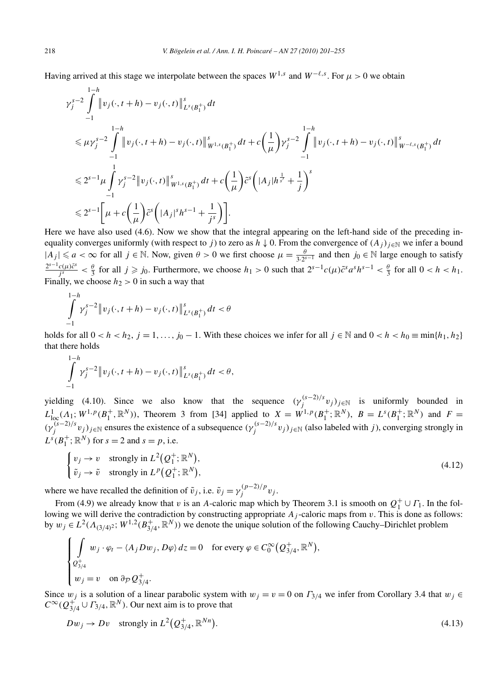Having arrived at this stage we interpolate between the spaces  $W^{1,s}$  and  $W^{-\ell,s}$ . For  $\mu > 0$  we obtain

$$
\gamma_{j}^{s-2} \int_{-1}^{1-h} \left\|v_{j}(\cdot,t+h)-v_{j}(\cdot,t)\right\|_{L^{s}(B_{1}^{+})}^{s} dt
$$
\n
$$
\leqslant \mu \gamma_{j}^{s-2} \int_{-1}^{1-h} \left\|v_{j}(\cdot,t+h)-v_{j}(\cdot,t)\right\|_{W^{1,s}(B_{1}^{+})}^{s} dt + c\left(\frac{1}{\mu}\right) \gamma_{j}^{s-2} \int_{-1}^{1-h} \left\|v_{j}(\cdot,t+h)-v_{j}(\cdot,t)\right\|_{W^{-\ell,s}(B_{1}^{+})}^{s} dt
$$
\n
$$
\leqslant 2^{s-1} \mu \int_{-1}^{1} \gamma_{j}^{s-2} \left\|v_{j}(\cdot,t)\right\|_{W^{1,s}(B_{1}^{+})}^{s} dt + c\left(\frac{1}{\mu}\right) \tilde{c}^{s} \left(\left|A_{j}\right| h^{\frac{1}{s'}} + \frac{1}{j}\right)^{s}
$$
\n
$$
\leqslant 2^{s-1} \left[\mu + c\left(\frac{1}{\mu}\right) \tilde{c}^{s} \left(\left|A_{j}\right|^{s} h^{s-1} + \frac{1}{j^{s}}\right)\right].
$$

Here we have also used (4.6). Now we show that the integral appearing on the left-hand side of the preceding inequality converges uniformly (with respect to *j*) to zero as  $h \downarrow 0$ . From the convergence of  $(A_j)_{j \in \mathbb{N}}$  we infer a bound  $|A_j| \le a < \infty$  for all *j* ∈ N. Now, given  $\theta > 0$  we first choose  $\mu = \frac{\theta}{3 \cdot 2^{s-1}}$  and then *j*<sub>0</sub> ∈ N large enough to satisfy  $\frac{2^{s-1}c(\mu)\tilde{c}^s}{j^s} < \frac{\theta}{3}$  for all  $j \geqslant j_0$ . Furthermore, we choose  $h_1 > 0$  such that  $2^{s-1}c(\mu)\tilde{c}^s a^s h^{s-1} < \frac{\theta}{3}$  for all  $0 < h < h_1$ . Finally, we choose  $h_2 > 0$  in such a way that

$$
\int_{-1}^{1-h} \gamma_j^{s-2} \|v_j(\cdot, t+h) - v_j(\cdot, t)\|_{L^s(B_1^+)}^s dt < \theta
$$

holds for all  $0 < h < h_2$ ,  $j = 1, \ldots, j_0 - 1$ . With these choices we infer for all  $j \in \mathbb{N}$  and  $0 < h < h_0 \equiv \min\{h_1, h_2\}$ that there holds

$$
\int_{-1}^{1-h} \gamma_j^{s-2} \|v_j(\cdot, t+h) - v_j(\cdot, t)\|_{L^s(B_1^+)}^s dt < \theta,
$$

yielding (4.10). Since we also know that the sequence  $(\gamma_j^{(s-2)/s} v_j)_{j \in \mathbb{N}}$  is uniformly bounded in  $L^1_{loc}(A_1; W^{1,p}(B_1^+, \mathbb{R}^N))$ , Theorem 3 from [34] applied to  $X = W^{1,p}(B_1^+; \mathbb{R}^N)$ ,  $B = L^s(B_1^+; \mathbb{R}^N)$  and  $F =$  $(\gamma_j^{(s-2)/s} v_j)_{j \in \mathbb{N}}$  ensures the existence of a subsequence  $(\gamma_j^{(s-2)/s} v_j)_{j \in \mathbb{N}}$  (also labeled with *j*), converging strongly in  $L^{s}(B_1^+; \mathbb{R}^N)$  for  $s = 2$  and  $s = p$ , i.e.

$$
\begin{cases}\nv_j \to v & \text{strongly in } L^2(Q_1^+; \mathbb{R}^N), \\
\tilde{v}_j \to \tilde{v} & \text{strongly in } L^p(Q_1^+; \mathbb{R}^N),\n\end{cases} \tag{4.12}
$$

where we have recalled the definition of  $\tilde{v}_j$ , i.e.  $\tilde{v}_j = \gamma_j^{(p-2)/p} v_j$ .

From (4.9) we already know that *v* is an *A*-caloric map which by Theorem 3.1 is smooth on  $Q_1^+ \cup \Gamma_1$ . In the following we will derive the contradiction by constructing appropriate  $A_j$ -caloric maps from  $v$ . This is done as follows: by  $w_j \in L^2(\Lambda_{(3/4)^2}; W^{1,2}(B_{3/4}^+, \mathbb{R}^N))$  we denote the unique solution of the following Cauchy–Dirichlet problem

$$
\begin{cases}\n\int_{Q_{3/4}^+} w_j \cdot \varphi_t - \langle A_j D w_j, D\varphi \rangle dz = 0 & \text{for every } \varphi \in C_0^{\infty} (Q_{3/4}^+, \mathbb{R}^N), \\
w_j = v & \text{on } \partial_{\mathcal{P}} Q_{3/4}^+.\n\end{cases}
$$

Since  $w_j$  is a solution of a linear parabolic system with  $w_j = v = 0$  on  $\Gamma_{3/4}$  we infer from Corollary 3.4 that  $w_j \in$  $C^{\infty}(Q_{3/4}^{+}) \cup \Gamma_{3/4}$ ,  $\mathbb{R}^{N}$ ). Our next aim is to prove that

$$
Dw_j \to Dv \quad \text{strongly in } L^2(Q_{3/4}^+, \mathbb{R}^{Nn}). \tag{4.13}
$$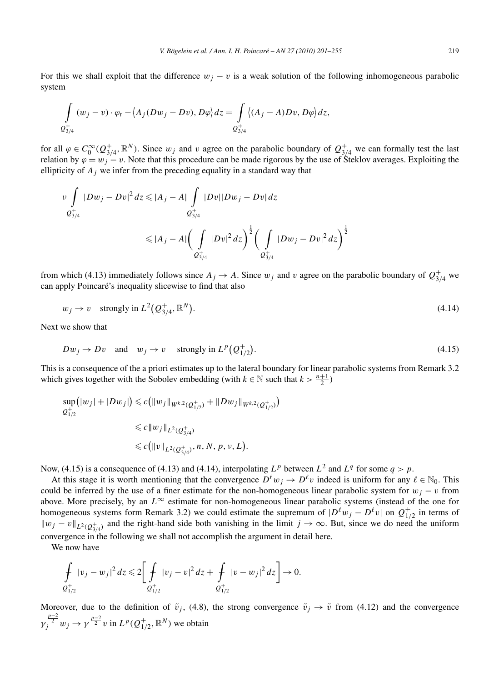For this we shall exploit that the difference  $w_j - v$  is a weak solution of the following inhomogeneous parabolic system

$$
\int_{Q_{3/4}^+} (w_j - v) \cdot \varphi_t - \langle A_j(Dw_j - Dv), D\varphi \rangle dz = \int_{Q_{3/4}^+} \langle (A_j - A)Dv, D\varphi \rangle dz,
$$

for all  $\varphi \in C_0^{\infty}(Q_{3/4}^+, \mathbb{R}^N)$ . Since  $w_j$  and *v* agree on the parabolic boundary of  $Q_{3/4}^+$  we can formally test the last relation by  $\varphi = w_i - v$ . Note that this procedure can be made rigorous by the use of Steklov averages. Exploiting the ellipticity of *Aj* we infer from the preceding equality in a standard way that

$$
\begin{aligned} \nu \int\limits_{Q_{3/4}^{+}} |Dw_j - Dv|^2 \, dz &\leq |A_j - A| \int\limits_{Q_{3/4}^{+}} |Dv||Dw_j - Dv| \, dz \\ &\leq |A_j - A| \bigg(\int\limits_{Q_{3/4}^{+}} |Dv|^2 \, dz\bigg)^{\frac{1}{2}} \bigg(\int\limits_{Q_{3/4}^{+}} |Dw_j - Dv|^2 \, dz\bigg)^{\frac{1}{2}} \end{aligned}
$$

from which (4.13) immediately follows since  $A_j \to A$ . Since  $w_j$  and  $v$  agree on the parabolic boundary of  $Q_{3/4}^+$  we can apply Poincaré's inequality slicewise to find that also

$$
w_j \to v \quad \text{strongly in } L^2(Q_{3/4}^+, \mathbb{R}^N). \tag{4.14}
$$

Next we show that

$$
Dw_j \to Dv \quad \text{and} \quad w_j \to v \quad \text{strongly in } L^p(Q_{1/2}^+). \tag{4.15}
$$

This is a consequence of the a priori estimates up to the lateral boundary for linear parabolic systems from Remark 3.2 which gives together with the Sobolev embedding (with  $k \in \mathbb{N}$  such that  $k > \frac{n+1}{2}$ )

$$
\sup_{Q_{1/2}^+} (|w_j| + |Dw_j|) \le c \left( \|w_j\|_{W^{k,2}(Q_{1/2}^+)} + \|Dw_j\|_{W^{k,2}(Q_{1/2}^+)} \right)
$$
  

$$
\le c \|w_j\|_{L^2(Q_{3/4}^+)} \le c \|w\|_{L^2(Q_{3/4}^+)}, n, N, p, v, L).
$$

Now, (4.15) is a consequence of (4.13) and (4.14), interpolating  $L^p$  between  $L^2$  and  $L^q$  for some  $q > p$ .

At this stage it is worth mentioning that the convergence  $D^{\ell}w_i \to D^{\ell}v$  indeed is uniform for any  $\ell \in \mathbb{N}_0$ . This could be inferred by the use of a finer estimate for the non-homogeneous linear parabolic system for  $w_j - v$  from above. More precisely, by an  $L^\infty$  estimate for non-homogeneous linear parabolic systems (instead of the one for homogeneous systems form Remark 3.2) we could estimate the supremum of  $|D^{\ell}w_j - D^{\ell}v|$  on  $Q_{1/2}^+$  in terms of  $\|w_j - v\|_{L^2(Q_{3/4}^+)}$  and the right-hand side both vanishing in the limit  $j \to \infty$ . But, since we do need the uniform convergence in the following we shall not accomplish the argument in detail here.

We now have

$$
\oint_{Q_{1/2}^+} |v_j - w_j|^2 dz \leq 2 \bigg[ \oint_{Q_{1/2}^+} |v_j - v|^2 dz + \oint_{Q_{1/2}^+} |v - w_j|^2 dz \bigg] \to 0.
$$

Moreover, due to the definition of  $\tilde{v}_j$ , (4.8), the strong convergence  $\tilde{v}_j \to \tilde{v}$  from (4.12) and the convergence *γ*<sup>*p*<sup>*p*</sup><sup>2</sup></sup> *<i>v y* <sup>*p*</sup><sup>2</sup> *v* in *L<sup>p</sup>*(*Q*<sup>+</sup><sub>1</sub>/<sub>2</sub>, ℝ<sup>*N*</sup>) we obtain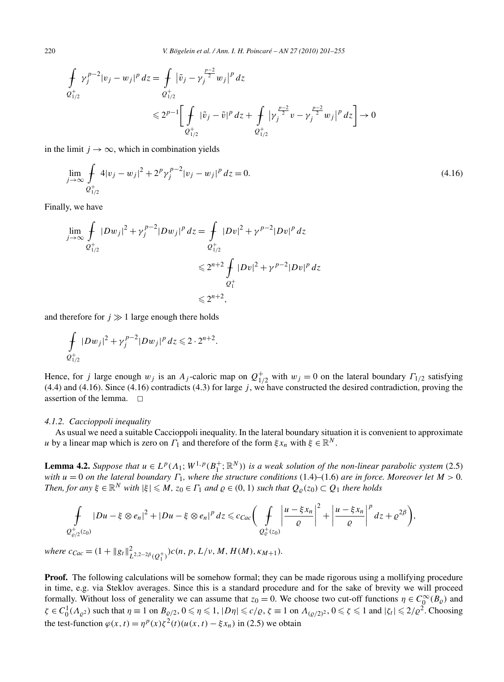220 *V. Bögelein et al. / Ann. I. H. Poincaré – AN 27 (2010) 201–255*

$$
\begin{aligned}\n\oint_{Q_{1/2}^+} \gamma_j^{p-2} |v_j - w_j|^p \, dz &= \oint_{Q_{1/2}^+} |\tilde{v}_j - \gamma_j^{p-2} w_j|^p \, dz \\
&\le 2^{p-1} \bigg[ \oint_{Q_{1/2}^+} |\tilde{v}_j - \tilde{v}|^p \, dz + \oint_{Q_{1/2}^+} |\gamma_j^{p-2} v - \gamma_j^{p-2} w_j|^p \, dz \bigg] \to 0\n\end{aligned}
$$

in the limit  $j \rightarrow \infty$ , which in combination yields

$$
\lim_{j \to \infty} \int_{\mathcal{Q}_{1/2}^+} 4|v_j - w_j|^2 + 2^p \gamma_j^{p-2} |v_j - w_j|^p \, dz = 0. \tag{4.16}
$$

Finally, we have

$$
\lim_{j \to \infty} \int_{Q_{1/2}^+} |Dw_j|^2 + \gamma_j^{p-2} |Dw_j|^p dz = \int_{Q_{1/2}^+} |Dv|^2 + \gamma^{p-2} |Dv|^p dz
$$
  

$$
\leq 2^{n+2} \int_{Q_1^+} |Dv|^2 + \gamma^{p-2} |Dv|^p dz
$$
  

$$
\leq 2^{n+2},
$$

and therefore for  $j \gg 1$  large enough there holds

$$
\int_{Q_{1/2}^+} |Dw_j|^2 + \gamma_j^{p-2} |Dw_j|^p dz \leq 2 \cdot 2^{n+2}.
$$

Hence, for *j* large enough  $w_j$  is an  $A_j$ -caloric map on  $Q_{1/2}^+$  with  $w_j = 0$  on the lateral boundary  $\Gamma_{1/2}$  satisfying (4.4) and (4.16). Since (4.16) contradicts (4.3) for large *j* , we have constructed the desired contradiction, proving the assertion of the lemma.  $\square$ 

## *4.1.2. Caccioppoli inequality*

As usual we need a suitable Caccioppoli inequality. In the lateral boundary situation it is convenient to approximate *u* by a linear map which is zero on  $\Gamma_1$  and therefore of the form  $\xi x_n$  with  $\xi \in \mathbb{R}^N$ .

**Lemma 4.2.** *Suppose that*  $u \in L^p(\Lambda_1; W^{1,p}(B_1^+; \mathbb{R}^N))$  *is a weak solution of the non-linear parabolic system* (2.5) *with u* = 0 *on the lateral boundary Γ*1*, where the structure conditions* (1.4)–(1.6) *are in force. Moreover let M >* 0*. Then, for any*  $\xi \in \mathbb{R}^N$  *with*  $|\xi| \leq M$ ,  $z_0 \in \Gamma_1$  *and*  $\varrho \in (0, 1)$  *such that*  $Q_0(z_0) \subset Q_1$  *there holds* 

$$
\int_{Q_{\varrho/2}^+(z_0)} |Du-\xi \otimes e_n|^2 + |Du-\xi \otimes e_n|^p dz \leqslant c_{Cac} \bigg(\int_{Q_{\varrho}^+(z_0)} \bigg| \frac{u-\xi x_n}{\varrho} \bigg|^2 + \bigg| \frac{u-\xi x_n}{\varrho} \bigg|^p dz + \varrho^{2\beta} \bigg),
$$

 $where \ c_{Cac} = (1 + ||g_t||_{L^{2,2-2\beta}(Q_1^+)})c(n, p, L/\nu, M, H(M), \kappa_{M+1}).$ 

**Proof.** The following calculations will be somehow formal; they can be made rigorous using a mollifying procedure in time, e.g. via Steklov averages. Since this is a standard procedure and for the sake of brevity we will proceed formally. Without loss of generality we can assume that  $z_0 = 0$ . We choose two cut-off functions  $\eta \in C_0^{\infty}(B_{\varrho})$  and  $\zeta \in C_0^1(\Lambda_{\varrho^2})$  such that  $\eta \equiv 1$  on  $B_{\varrho/2}$ ,  $0 \le \eta \le 1$ ,  $|D\eta| \le c/\varrho$ ,  $\zeta \equiv 1$  on  $\Lambda_{(\varrho/2)^2}$ ,  $0 \le \zeta \le 1$  and  $|\zeta_t| \le 2/\varrho^2$ . Choosing the test-function  $\varphi(x, t) = \eta^p(x)\zeta^2(t)(u(x, t) - \xi x_n)$  in (2.5) we obtain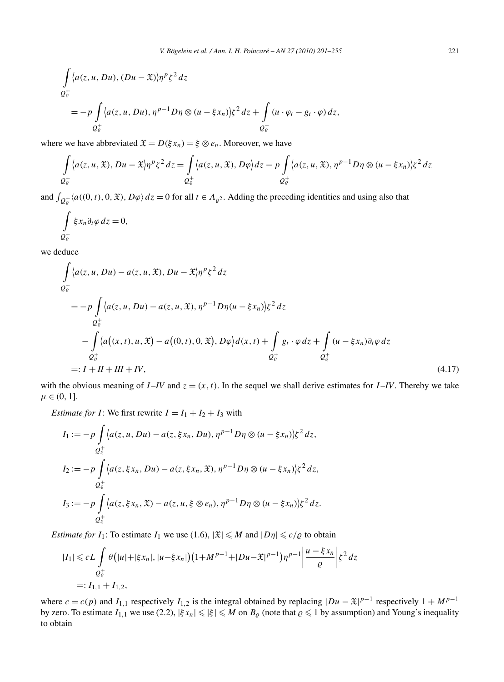$$
\int_{Q_{\varrho}^+} \langle a(z, u, Du), (Du - \mathfrak{X}) \rangle \eta^p \zeta^2 dz
$$
\n
$$
= -p \int_{Q_{\varrho}^+} \langle a(z, u, Du), \eta^{p-1} D \eta \otimes (u - \xi x_n) \rangle \zeta^2 dz + \int_{Q_{\varrho}^+} (u \cdot \varphi_t - g_t \cdot \varphi) dz,
$$

where we have abbreviated  $\mathfrak{X} = D(\xi x_n) = \xi \otimes e_n$ . Moreover, we have

$$
\int_{Q_{\varrho}^+} \langle a(z, u, \mathfrak{X}), Du - \mathfrak{X} \rangle \eta^p \zeta^2 dz = \int_{Q_{\varrho}^+} \langle a(z, u, \mathfrak{X}), D\varphi \rangle dz - p \int_{Q_{\varrho}^+} \langle a(z, u, \mathfrak{X}), \eta^{p-1} D\eta \otimes (u - \xi x_n) \rangle \zeta^2 dz
$$

and  $\int_{Q_e^+}\langle a((0, t), 0, \mathfrak{X}), D\varphi \rangle dz = 0$  for all  $t \in A_{\varrho^2}$ . Adding the preceding identities and using also that

$$
\int\limits_{Q_{\varrho}^+}\xi x_n\partial_t\varphi\,dz=0,
$$

we deduce

$$
\int_{Q_{\varrho}^{+}} \langle a(z, u, Du) - a(z, u, \mathfrak{X}), Du - \mathfrak{X} \rangle \eta^{p} \zeta^{2} dz
$$
\n
$$
= -p \int_{Q_{\varrho}^{+}} \langle a(z, u, Du) - a(z, u, \mathfrak{X}), \eta^{p-1} D \eta (u - \xi x_{n}) \rangle \zeta^{2} dz
$$
\n
$$
- \int_{Q_{\varrho}^{+}} \langle a((x, t), u, \mathfrak{X}) - a((0, t), 0, \mathfrak{X}), D\varphi \rangle d(x, t) + \int_{Q_{\varrho}^{+}} g_{t} \cdot \varphi dz + \int_{Q_{\varrho}^{+}} (u - \xi x_{n}) \partial_{t} \varphi dz
$$
\n
$$
=: I + II + III + IV, \qquad (4.17)
$$

with the obvious meaning of  $I - IV$  and  $z = (x, t)$ . In the sequel we shall derive estimates for  $I - IV$ . Thereby we take  $\mu \in (0, 1].$ 

*Estimate for I*: We first rewrite  $I = I_1 + I_2 + I_3$  with

$$
I_1 := -p \int_{Q_e^+} \langle a(z, u, Du) - a(z, \xi x_n, Du), \eta^{p-1} D\eta \otimes (u - \xi x_n) \rangle \zeta^2 dz,
$$
  
\n
$$
I_2 := -p \int_{Q_e^+} \langle a(z, \xi x_n, Du) - a(z, \xi x_n, \mathfrak{X}), \eta^{p-1} D\eta \otimes (u - \xi x_n) \rangle \zeta^2 dz,
$$
  
\n
$$
I_3 := -p \int_{Q_e^+} \langle a(z, \xi x_n, \mathfrak{X}) - a(z, u, \xi \otimes e_n), \eta^{p-1} D\eta \otimes (u - \xi x_n) \rangle \zeta^2 dz.
$$

*Estimate for*  $I_1$ : To estimate  $I_1$  we use (1.6),  $|\mathfrak{X}| \le M$  and  $|D\eta| \le c/\varrho$  to obtain

$$
|I_1| \leqslant cL \int\limits_{Q^+_c} \theta\big(|u| + |\xi x_n|, |u - \xi x_n|\big)\big(1 + M^{p-1} + |Du - \mathfrak{X}|^{p-1}\big)\eta^{p-1}\bigg|\frac{u - \xi x_n}{\varrho}\bigg|\xi^2\,dz
$$
  
=:  $I_{1,1} + I_{1,2}$ ,

where  $c = c(p)$  and  $I_{1,1}$  respectively  $I_{1,2}$  is the integral obtained by replacing  $|Du - \mathfrak{X}|^{p-1}$  respectively  $1 + M^{p-1}$ by zero. To estimate  $I_{1,1}$  we use (2.2),  $|\xi x_n| \leq |\xi| \leq M$  on  $B_\varrho$  (note that  $\varrho \leq 1$  by assumption) and Young's inequality to obtain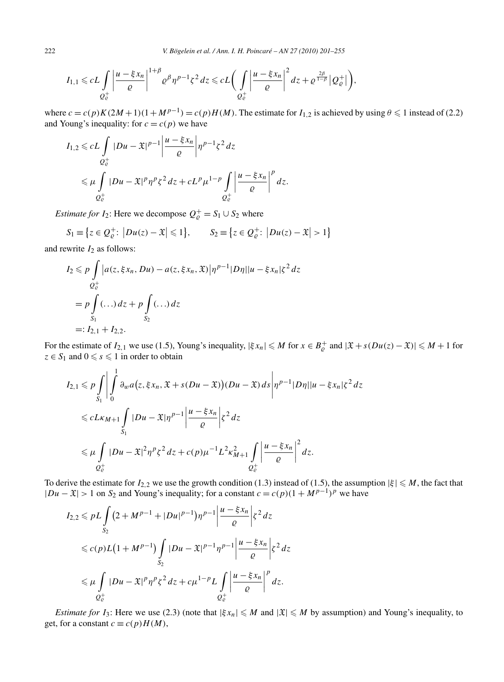$$
I_{1,1} \leqslant cL\int\limits_{Q_{\mathcal{C}}^+}\left|\frac{u-\xi x_n}{\varrho}\right|^{1+\beta}\varrho^{\beta}\eta^{p-1}\zeta^2\,dz \leqslant cL\bigg(\int\limits_{Q_{\mathcal{C}}^+}\left|\frac{u-\xi x_n}{\varrho}\right|^2dz+\varrho^{\frac{2\beta}{1-\beta}}\left|Q_{\mathcal{C}}^+\right|\bigg),\right.
$$

where  $c = c(p)K(2M+1)(1+M^{p-1}) = c(p)H(M)$ . The estimate for  $I_{1,2}$  is achieved by using  $\theta \le 1$  instead of (2.2) and Young's inequality: for  $c = c(p)$  we have

$$
I_{1,2} \leqslant cL \int\limits_{Q^+_c} |Du - \mathfrak{X}|^{p-1} \left| \frac{u - \xi x_n}{\varrho} \right| \eta^{p-1} \zeta^2 \, dz
$$
  

$$
\leqslant \mu \int\limits_{Q^+_c} |Du - \mathfrak{X}|^p \eta^p \zeta^2 \, dz + cL^p \mu^{1-p} \int\limits_{Q^+_c} \left| \frac{u - \xi x_n}{\varrho} \right|^p \, dz.
$$

*Estimate for I*<sub>2</sub>: Here we decompose  $Q_e^+ = S_1 \cup S_2$  where

$$
S_1 \equiv \{ z \in Q_{\varrho}^+ : \left| Du(z) - \mathfrak{X} \right| \leq 1 \}, \qquad S_2 \equiv \{ z \in Q_{\varrho}^+ : \left| Du(z) - \mathfrak{X} \right| > 1 \}
$$

and rewrite  $I_2$  as follows:

$$
I_2 \leq p \int_{Q_{\varrho}^+} |a(z, \xi x_n, Du) - a(z, \xi x_n, \mathfrak{X})| \eta^{p-1} |D\eta| |u - \xi x_n|\zeta^2 dz
$$
  
=  $p \int_{S_1} (\dots) dz + p \int_{S_2} (\dots) dz$   
=:  $I_{2,1} + I_{2,2}$ .

For the estimate of  $I_{2,1}$  we use (1.5), Young's inequality,  $|\xi x_n| \le M$  for  $x \in B_\rho^+$  and  $|\mathfrak{X} + s(Du(z) - \mathfrak{X})| \le M + 1$  for  $z \in S_1$  and  $0 \le s \le 1$  in order to obtain

$$
I_{2,1} \leq p \int_{S_1} \left| \int_0^1 \partial_w a(z, \xi x_n, \mathfrak{X} + s(Du - \mathfrak{X})) (Du - \mathfrak{X}) ds \right| \eta^{p-1} |D\eta| |u - \xi x_n| \zeta^2 dz
$$
  

$$
\leq c L \kappa_{M+1} \int_{S_1} |Du - \mathfrak{X}| \eta^{p-1} \left| \frac{u - \xi x_n}{\varrho} \right| \zeta^2 dz
$$
  

$$
\leq \mu \int_{Q_{\varrho}^+} |Du - \mathfrak{X}|^2 \eta^p \zeta^2 dz + c(p) \mu^{-1} L^2 \kappa_{M+1}^2 \int_{Q_{\varrho}^+} \left| \frac{u - \xi x_n}{\varrho} \right|^2 dz.
$$

To derive the estimate for  $I_{2,2}$  we use the growth condition (1.3) instead of (1.5), the assumption  $|\xi| \le M$ , the fact that  $|Du - \mathfrak{X}| > 1$  on  $S_2$  and Young's inequality; for a constant  $c = c(p)(1 + M^{p-1})^p$  we have

$$
I_{2,2} \leqslant pL \int_{S_2} \left(2 + M^{p-1} + |Du|^{p-1}\right) \eta^{p-1} \left|\frac{u - \xi x_n}{\varrho}\right| \xi^2 dz
$$
  
\n
$$
\leqslant c(p)L\left(1 + M^{p-1}\right) \int_{S_2} |Du - \mathfrak{X}|^{p-1} \eta^{p-1} \left|\frac{u - \xi x_n}{\varrho}\right| \xi^2 dz
$$
  
\n
$$
\leqslant \mu \int_{Q^+_c} |Du - \mathfrak{X}|^p \eta^p \xi^2 dz + c\mu^{1-p} L \int_{Q^+_c} \left|\frac{u - \xi x_n}{\varrho}\right|^p dz.
$$

*Estimate for I*<sub>3</sub>: Here we use (2.3) (note that  $|\xi x_n| \le M$  and  $|\mathfrak{X}| \le M$  by assumption) and Young's inequality, to get, for a constant  $c \equiv c(p)H(M)$ ,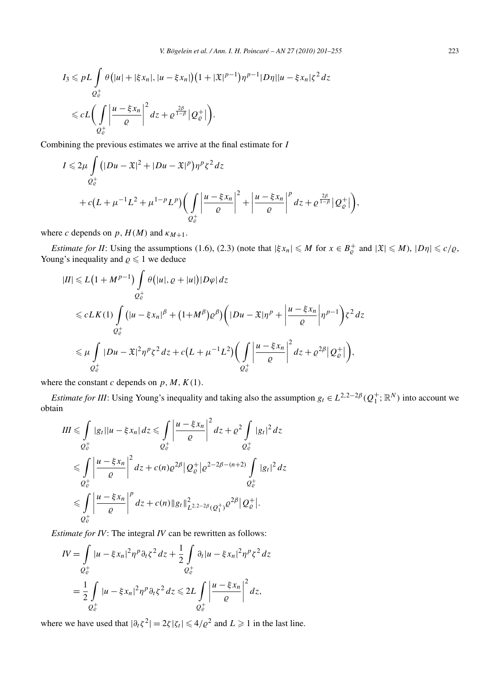$$
I_3 \leqslant pL \int\limits_{Q^+_e} \theta\big(|u| + |\xi x_n|, |u - \xi x_n|\big)\big(1 + |\mathfrak{X}|^{p-1}\big)\eta^{p-1} |D\eta||u - \xi x_n|\zeta^2 \, dz
$$
  

$$
\leqslant cL \bigg(\int\limits_{Q^+_e} \bigg|\frac{u - \xi x_n}{\varrho}\bigg|^2 \, dz + \varrho^{\frac{2\beta}{1-\beta}} |Q^+_e|\bigg).
$$

Combining the previous estimates we arrive at the final estimate for *I*

$$
I \leq 2\mu \int_{Q_{\varrho}^+} (|Du - \mathfrak{X}|^2 + |Du - \mathfrak{X}|^p) \eta^p \zeta^2 dz
$$
  
+  $c(L + \mu^{-1}L^2 + \mu^{1-p}L^p) \Biggl( \int_{Q_{\varrho}^+} \left| \frac{u - \xi x_n}{\varrho} \right|^2 + \left| \frac{u - \xi x_n}{\varrho} \right|^p dz + \varrho^{\frac{2\beta}{1-\beta}} |Q_{\varrho}^+| \Biggr),$ 

where *c* depends on  $p$ ,  $H(M)$  and  $\kappa_{M+1}$ .

*Estimate for II*: Using the assumptions (1.6), (2.3) (note that  $|\xi x_n| \leq M$  for  $x \in B^+_{\varrho}$  and  $|\mathfrak{X}| \leq M$ ),  $|D\eta| \leq c/\varrho$ , Young's inequality and  $\rho \leq 1$  we deduce

$$
|II| \le L\left(1 + M^{p-1}\right) \int_{Q_{\varrho}^+} \theta\left(|u|, \varrho + |u|\right) |D\varphi| \, dz
$$
  
\n
$$
\le c L K(1) \int_{Q_{\varrho}^+} \left(|u - \xi x_n|^{\beta} + (1 + M^{\beta}) \varrho^{\beta}\right) \left(|Du - \mathfrak{X}| \eta^p + \left|\frac{u - \xi x_n}{\varrho}\right| \eta^{p-1}\right) \xi^2 \, dz
$$
  
\n
$$
\le \mu \int_{Q_{\varrho}^+} |Du - \mathfrak{X}|^2 \eta^p \xi^2 \, dz + c\left(L + \mu^{-1} L^2\right) \left(\int_{Q_{\varrho}^+} \left|\frac{u - \xi x_n}{\varrho}\right|^2 \, dz + \varrho^{2\beta} |Q_{\varrho}^+| \right),
$$

where the constant *c* depends on  $p, M, K(1)$ .

*Estimate for III*: Using Young's inequality and taking also the assumption  $g_t \in L^{2,2-2\beta}(Q_1^+;\mathbb{R}^N)$  into account we obtain

$$
III \leqslant \int\limits_{Q_{\varrho}^{+}} |g_{t}||u - \xi x_{n}| dz \leqslant \int\limits_{Q_{\varrho}^{+}} \left| \frac{u - \xi x_{n}}{\varrho} \right|^{2} dz + \varrho^{2} \int\limits_{Q_{\varrho}^{+}} |g_{t}|^{2} dz
$$
  

$$
\leqslant \int\limits_{Q_{\varrho}^{+}} \left| \frac{u - \xi x_{n}}{\varrho} \right|^{2} dz + c(n) \varrho^{2\beta} |Q_{\varrho}^{+}| \varrho^{2-2\beta-(n+2)} \int\limits_{Q_{\varrho}^{+}} |g_{t}|^{2} dz
$$
  

$$
\leqslant \int\limits_{Q_{\varrho}^{+}} \left| \frac{u - \xi x_{n}}{\varrho} \right|^{p} dz + c(n) \|g_{t}\|_{L^{2,2-2\beta}(Q_{1}^{+})}^{2} \varrho^{2\beta} |Q_{\varrho}^{+}|.
$$

*Estimate for IV*: The integral *IV* can be rewritten as follows:

$$
IV = \int_{Q_{\varrho}^{+}} |u - \xi x_{n}|^{2} \eta^{p} \partial_{t} \zeta^{2} dz + \frac{1}{2} \int_{Q_{\varrho}^{+}} \partial_{t} |u - \xi x_{n}|^{2} \eta^{p} \zeta^{2} dz
$$
  
= 
$$
\frac{1}{2} \int_{Q_{\varrho}^{+}} |u - \xi x_{n}|^{2} \eta^{p} \partial_{t} \zeta^{2} dz \le 2L \int_{Q_{\varrho}^{+}} \left| \frac{u - \xi x_{n}}{\varrho} \right|^{2} dz,
$$

where we have used that  $|\partial_t \zeta^2| = 2\zeta |\zeta_t| \leq 4/\varrho^2$  and  $L \geq 1$  in the last line.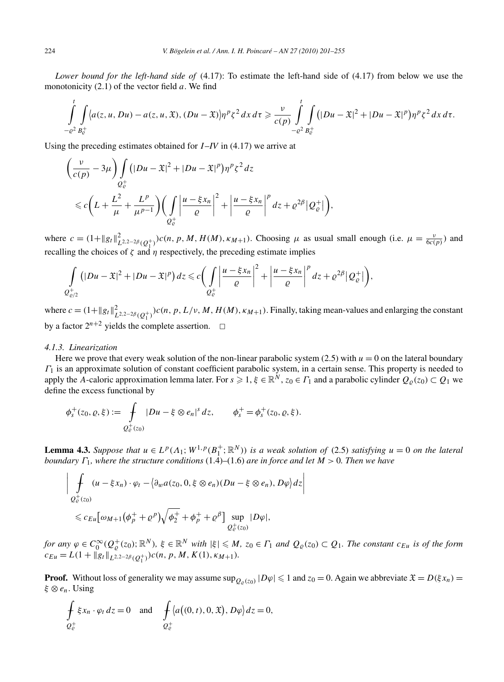*Lower bound for the left-hand side of* (4.17): To estimate the left-hand side of (4.17) from below we use the monotonicity (2.1) of the vector field *a*. We find

$$
\int_{-\varrho^2}^t \int_{B_{\varrho}^+} \langle a(z,u,Du)-a(z,u,\mathfrak{X}), (Du-\mathfrak{X}) \rangle \eta^p \zeta^2 dx d\tau \geq \frac{\nu}{c(p)} \int_{-\varrho^2}^t \int_{B_{\varrho}^+} \big(|Du-\mathfrak{X}|^2+|Du-\mathfrak{X}|^p\big) \eta^p \zeta^2 dx d\tau.
$$

Using the preceding estimates obtained for *I* –*IV* in (4.17) we arrive at

$$
\left(\frac{\nu}{c(p)} - 3\mu\right) \int\limits_{Q_{\varrho}^{+}} \left(|Du - \mathfrak{X}|^{2} + |Du - \mathfrak{X}|^{p}\right) \eta^{p} \zeta^{2} \, dz
$$
\n
$$
\leq c \left(L + \frac{L^{2}}{\mu} + \frac{L^{p}}{\mu^{p-1}}\right) \left(\int\limits_{Q_{\varrho}^{+}} \left|\frac{u - \xi x_{n}}{\varrho}\right|^{2} + \left|\frac{u - \xi x_{n}}{\varrho}\right|^{p} \, dz + \varrho^{2\beta} |Q_{\varrho}^{+}|\right),
$$

where  $c = (1 + ||g_t||_{L^{2,2-2\beta}(Q_1^+)}^2)c(n, p, M, H(M), \kappa_{M+1})$ . Choosing  $\mu$  as usual small enough (i.e.  $\mu = \frac{\nu}{6c(p)}$ ) and recalling the choices of  $\zeta$  and  $\eta$  respectively, the preceding estimate implies

$$
\int\limits_{Q_{\varrho/2}^+} (|Du-\mathfrak{X}|^2+|Du-\mathfrak{X}|^p) dz \leq c \bigg(\int\limits_{Q_{\varrho}^+} \left|\frac{u-\xi x_n}{\varrho}\right|^2 + \left|\frac{u-\xi x_n}{\varrho}\right|^p dz + \varrho^{2\beta} |Q_{\varrho}^+|\bigg),
$$

where  $c = (1 + ||g_t||_{L^{2,2-2\beta}(Q_1^+)}^2)c(n, p, L/\nu, M, H(M), \kappa_{M+1})$ . Finally, taking mean-values and enlarging the constant by a factor  $2^{n+2}$  yields the complete assertion.  $\Box$ 

## *4.1.3. Linearization*

Here we prove that every weak solution of the non-linear parabolic system  $(2.5)$  with  $u = 0$  on the lateral boundary *Γ*<sup>1</sup> is an approximate solution of constant coefficient parabolic system, in a certain sense. This property is needed to apply the *A*-caloric approximation lemma later. For  $s \geqslant 1$ ,  $\xi \in \mathbb{R}^N$ ,  $z_0 \in \varGamma_1$  and a parabolic cylinder  $Q_\varrho(z_0) \subset Q_1$  we define the excess functional by

$$
\phi_s^+(z_0, \varrho, \xi) := \int\limits_{Q_{\varrho}^+(z_0)} |Du - \xi \otimes e_n|^s \, dz, \qquad \phi_s^+ = \phi_s^+(z_0, \varrho, \xi).
$$

**Lemma 4.3.** *Suppose that*  $u \in L^p(\Lambda_1; W^{1,p}(B_1^+; \mathbb{R}^N))$  *is a weak solution of* (2.5) *satisfying*  $u = 0$  *on the lateral boundary Γ*1*, where the structure conditions* (1.4)–(1.6) *are in force and let M >* 0*. Then we have*

$$
\left| \int_{Q_{\varrho}^+(z_0)} (u - \xi x_n) \cdot \varphi_t - \langle \partial_w a(z_0, 0, \xi \otimes e_n) (Du - \xi \otimes e_n), D\varphi \rangle dz \right|
$$
  
\$\leqslant c\_{Eu}[\omega\_{M+1}(\phi\_p^+ + \varrho^p)\sqrt{\phi\_2^+} + \phi\_p^+ + \varrho^{\beta}] \sup\_{Q\_{\varrho}^+(z\_0)} |D\varphi|\$,

for any  $\varphi \in C_0^{\infty}(Q_{\varrho}^+(z_0); \mathbb{R}^N)$ ,  $\xi \in \mathbb{R}^N$  with  $|\xi| \le M$ ,  $z_0 \in \Gamma_1$  and  $Q_{\varrho}(z_0) \subset Q_1$ . The constant  $c_{Eu}$  is of the form  $c_{Eu} = L(1 + ||g_t||_{L^{2,2-2\beta}(Q_1^+)})c(n, p, M, K(1), \kappa_{M+1}).$ 

**Proof.** Without loss of generality we may assume  $\sup_{Q_0(z_0)} |D\varphi| \leq 1$  and  $z_0 = 0$ . Again we abbreviate  $\mathfrak{X} = D(\xi x_n) =$ *ξ* ⊗ *en*. Using

$$
\oint_{Q_{\mathcal{C}}^+} \xi x_n \cdot \varphi_t \, dz = 0 \quad \text{and} \quad \oint_{Q_{\mathcal{C}}^+} \langle a((0, t), 0, \mathfrak{X}), D\varphi \rangle \, dz = 0,
$$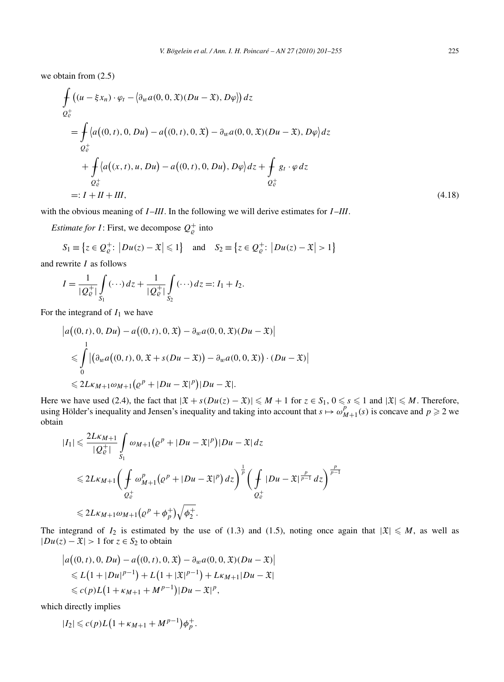we obtain from (2.5)

$$
\int_{Q_{\varrho}^{+}} ((u - \xi x_n) \cdot \varphi_t - \langle \partial_w a(0, 0, \mathfrak{X})(Du - \mathfrak{X}), D\varphi \rangle) dz
$$
\n
$$
= \int_{Q_{\varrho}^{+}} \langle a((0, t), 0, Du) - a((0, t), 0, \mathfrak{X}) - \partial_w a(0, 0, \mathfrak{X})(Du - \mathfrak{X}), D\varphi \rangle dz
$$
\n
$$
+ \int_{Q_{\varrho}^{+}} \langle a((x, t), u, Du) - a((0, t), 0, Du), D\varphi \rangle dz + \int_{Q_{\varrho}^{+}} g_t \cdot \varphi dz
$$
\n
$$
=: I + II + III,
$$
\n(4.18)

with the obvious meaning of *I* –*III*. In the following we will derive estimates for *I* –*III*.

*Estimate for I*: First, we decompose  $Q_{\varrho}^+$  into

$$
S_1 \equiv \left\{ z \in \mathcal{Q}_{\varrho}^+ \colon \left| Du(z) - \mathfrak{X} \right| \leq 1 \right\} \quad \text{and} \quad S_2 \equiv \left\{ z \in \mathcal{Q}_{\varrho}^+ \colon \left| Du(z) - \mathfrak{X} \right| > 1 \right\}
$$

and rewrite *I* as follows

$$
I = \frac{1}{|Q_{\varrho}^+|} \int_{S_1} (\cdots) dz + \frac{1}{|Q_{\varrho}^+|} \int_{S_2} (\cdots) dz =: I_1 + I_2.
$$

For the integrand of  $I_1$  we have

$$
\begin{aligned} \left| a((0, t), 0, Du) - a((0, t), 0, \mathfrak{X}) - \partial_w a(0, 0, \mathfrak{X})(Du - \mathfrak{X}) \right| \\ &\leqslant \int_0^1 \left| \left( \partial_w a((0, t), 0, \mathfrak{X} + s(Du - \mathfrak{X})) - \partial_w a(0, 0, \mathfrak{X}) \right) \cdot (Du - \mathfrak{X}) \right| \\ &\leqslant 2L\kappa_{M+1}\omega_{M+1}\left(\varrho^p + |Du - \mathfrak{X}|^p\right)|Du - \mathfrak{X}|. \end{aligned}
$$

Here we have used (2.4), the fact that  $|\mathfrak{X} + s(Du(z) - \mathfrak{X})| \leq M + 1$  for  $z \in S_1$ ,  $0 \leq s \leq 1$  and  $|\mathfrak{X}| \leq M$ . Therefore, using Hölder's inequality and Jensen's inequality and taking into account that  $s \mapsto \omega_{M+1}^p(s)$  is concave and  $p \ge 2$  we obtain

$$
\begin{aligned} |I_{1}| &\leq \frac{2L\kappa_{M+1}}{|Q_{\varrho}^{+}|} \int_{S_{1}} \omega_{M+1}(\varrho^{p} + |Du - \mathfrak{X}|^{p}) |Du - \mathfrak{X}| dz \\ &\leq 2L\kappa_{M+1} \bigg( \int_{Q_{\varrho}^{+}} \omega_{M+1}^{p}(\varrho^{p} + |Du - \mathfrak{X}|^{p}) dz \bigg)^{\frac{1}{p}} \bigg( \int_{Q_{\varrho}^{+}} |Du - \mathfrak{X}|^{\frac{p}{p-1}} dz \bigg)^{\frac{p}{p-1}} \\ &\leq 2L\kappa_{M+1} \omega_{M+1}(\varrho^{p} + \phi_{p}^{+}) \sqrt{\phi_{2}^{+}}. \end{aligned}
$$

The integrand of  $I_2$  is estimated by the use of (1.3) and (1.5), noting once again that  $|\mathfrak{X}| \leq M$ , as well as  $|Du(z) - \mathfrak{X}| > 1$  for  $z \in S_2$  to obtain

$$
|a((0, t), 0, Du) - a((0, t), 0, \mathfrak{X}) - \partial_w a(0, 0, \mathfrak{X})(Du - \mathfrak{X})|
$$
  
\$\le L(1 + |Du|^{p-1}) + L(1 + |\mathfrak{X}|^{p-1}) + L\kappa\_{M+1}|Du - \mathfrak{X}|\$  
\$\le c(p)L(1 + \kappa\_{M+1} + M^{p-1})|Du - \mathfrak{X}|^p\$,

which directly implies

$$
|I_2| \leqslant c(p)L(1+\kappa_{M+1}+M^{p-1})\phi_p^+.
$$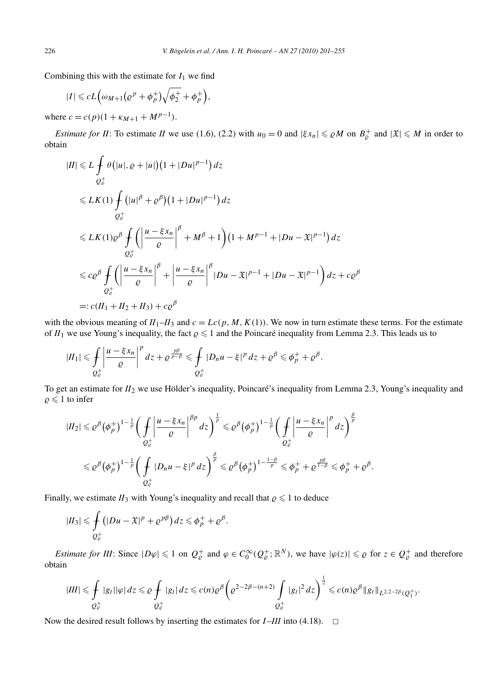Combining this with the estimate for  $I_1$  we find

$$
|I| \leqslant cL\Big(\omega_{M+1}\big(\varrho^p+\phi_p^+\big)\sqrt{\phi_2^+}+\phi_p^+\Big),\,
$$

where  $c = c(p)(1 + \kappa_{M+1} + M^{p-1}).$ 

*Estimate for II*: To estimate *II* we use (1.6), (2.2) with  $u_0 = 0$  and  $|\xi x_n| \leq \rho M$  on  $B_{\rho}^+$  and  $|\mathfrak{X}| \leq M$  in order to obtain

$$
|II| \le L \int_{Q_{\varepsilon}^{+}} \theta\big(|u|, \varrho + |u|\big)\big(1 + |Du|^{p-1}\big) dz
$$
  
\n
$$
\le L K(1) \int_{Q_{\varepsilon}^{+}} \big(|u|^{\beta} + \varrho^{\beta}\big)\big(1 + |Du|^{p-1}\big) dz
$$
  
\n
$$
\le L K(1) \varrho^{\beta} \int_{Q_{\varepsilon}^{+}} \bigg(\bigg|\frac{u - \xi x_{n}}{\varrho}\bigg|^{\beta} + M^{\beta} + 1\bigg)\big(1 + M^{p-1} + |Du - \mathfrak{X}|^{p-1}\big) dz
$$
  
\n
$$
\le c \varrho^{\beta} \int_{Q_{\varepsilon}^{+}} \bigg(\bigg|\frac{u - \xi x_{n}}{\varrho}\bigg|^{\beta} + \bigg|\frac{u - \xi x_{n}}{\varrho}\bigg|^{\beta} |Du - \mathfrak{X}|^{p-1} + |Du - \mathfrak{X}|^{p-1}\bigg) dz + c \varrho^{\beta}
$$
  
\n
$$
=: c\big(H_{1} + H_{2} + H_{3}\big) + c \varrho^{\beta}
$$

with the obvious meaning of  $II_1$ – $II_3$  and  $c = Lc(p, M, K(1))$ . We now in turn estimate these terms. For the estimate of  $II_1$  we use Young's inequality, the fact  $\rho \leq 1$  and the Poincaré inequality from Lemma 2.3. This leads us to

$$
|II_1| \leq \int_{Q_{\varrho}^+} \left| \frac{u - \xi x_n}{\varrho} \right|^p dz + \varrho^{\frac{p\beta}{p-\beta}} \leq \int_{Q_{\varrho}^+} |D_n u - \xi|^p dz + \varrho^{\beta} \leq \phi_p^+ + \varrho^{\beta}.
$$

To get an estimate for *II*<sup>2</sup> we use Hölder's inequality, Poincaré's inequality from Lemma 2.3, Young's inequality and  $\rho \leq 1$  to infer

$$
|II_2| \leq \varrho^{\beta} (\phi_p^+)^{1-\frac{1}{p}} \bigg( \int\limits_{Q^+_e} \bigg| \frac{u-\xi x_n}{\varrho} \bigg|^{\beta p} \, dz \bigg)^{\frac{1}{p}} \leq \varrho^{\beta} (\phi_p^+)^{1-\frac{1}{p}} \bigg( \int\limits_{Q^+_e} \bigg| \frac{u-\xi x_n}{\varrho} \bigg|^p \, dz \bigg)^{\frac{\beta}{p}} \leq \varrho^{\beta} (\phi_p^+)^{1-\frac{1}{p}} \bigg( \int\limits_{Q^+_e} |D_n u - \xi|^p \, dz \bigg)^{\frac{\beta}{p}} \leq \varrho^{\beta} (\phi_p^+)^{1-\frac{1-\beta}{p}} \leq \phi_p^+ + \varrho^{\frac{p\beta}{1-\beta}} \leq \phi_p^+ + \varrho^{\beta}.
$$

Finally, we estimate  $II_3$  with Young's inequality and recall that  $\rho \leq 1$  to deduce

$$
|II_3| \leq \int\limits_{Q^+_c} (|Du-\mathfrak{X}|^p + \varrho^{p\beta}) dz \leq \phi^+_p + \varrho^{\beta}.
$$

*Estimate for III*: Since  $|D\varphi| \leq 1$  on  $Q^+_{\varrho}$  and  $\varphi \in C_0^{\infty}(Q^+_{\varrho}; \mathbb{R}^N)$ , we have  $|\varphi(z)| \leq \varrho$  for  $z \in Q^+_{\varrho}$  and therefore obtain

$$
|III| \leq \int\limits_{Q^+_c} |g_t||\varphi| \, dz \leq \varrho \int\limits_{Q^+_c} |g_t| \, dz \leq c(n)\varrho^{\beta} \left( \varrho^{2-2\beta-(n+2)} \int\limits_{Q^+_c} |g_t|^2 \, dz \right)^{\frac{1}{2}} \leqslant c(n)\varrho^{\beta} \|g_t\|_{L^{2,2-2\beta}(Q^+_1)}.
$$

Now the desired result follows by inserting the estimates for  $I$ –*III* into (4.18).  $\Box$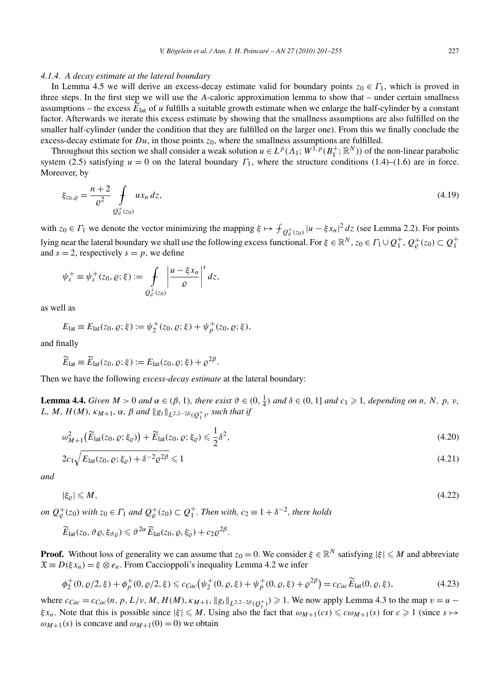#### *4.1.4. A decay estimate at the lateral boundary*

In Lemma 4.5 we will derive an excess-decay estimate valid for boundary points  $z_0 \in \Gamma_1$ , which is proved in three steps. In the first step we will use the *A*-caloric approximation lemma to show that – under certain smallness assumptions – the excess  $E_{\text{lat}}$  of *u* fulfills a suitable growth estimate when we enlarge the half-cylinder by a constant factor. Afterwards we iterate this excess estimate by showing that the smallness assumptions are also fulfilled on the smaller half-cylinder (under the condition that they are fulfilled on the larger one). From this we finally conclude the excess-decay estimate for  $Du$ , in those points  $z_0$ , where the smallness assumptions are fulfilled.

Throughout this section we shall consider a weak solution  $u \in L^p(\Lambda_1; W^{1,p}(B_1^+; \mathbb{R}^N))$  of the non-linear parabolic system (2.5) satisfying  $u = 0$  on the lateral boundary  $\Gamma_1$ , where the structure conditions (1.4)–(1.6) are in force. Moreover, by

$$
\xi_{z_0,\varrho} = \frac{n+2}{\varrho^2} \oint\limits_{Q_{\varrho}^+(z_0)} u x_n \, dz,\tag{4.19}
$$

with  $z_0 \in \Gamma_1$  we denote the vector minimizing the mapping  $\xi \mapsto \int_{Q_e^+(z_0)} |u - \xi x_n|^2 dz$  (see Lemma 2.2). For points lying near the lateral boundary we shall use the following excess functional. For  $\xi \in \mathbb{R}^N$ ,  $z_0 \in \Gamma_1 \cup Q_1^+$ ,  $Q_\varrho^+(z_0) \subset Q_1^+$ and  $s = 2$ , respectively  $s = p$ , we define

$$
\psi_s^+ \equiv \psi_s^+(z_0, \varrho; \xi) := \int\limits_{Q_\varrho^+(z_0)} \left| \frac{u - \xi x_n}{\varrho} \right|^s dz,
$$

as well as

$$
E_{\text{lat}} \equiv E_{\text{lat}}(z_0, \varrho; \xi) := \psi_2^+(z_0, \varrho; \xi) + \psi_p^+(z_0, \varrho; \xi),
$$

and finally

$$
\widetilde{E}_{\text{lat}} \equiv \widetilde{E}_{\text{lat}}(z_0, \varrho; \xi) := E_{\text{lat}}(z_0, \varrho; \xi) + \varrho^{2\beta}.
$$

Then we have the following *excess-decay estimate* at the lateral boundary:

**Lemma 4.4.** Given  $M > 0$  and  $\alpha \in (\beta, 1)$ , there exist  $\vartheta \in (0, \frac{1}{4})$  and  $\delta \in (0, 1]$  and  $c_1 \geq 1$ , depending on n, N, p, v, *L, M, H*(*M*)*, κ*<sub>*M*+1</sub>*, α, β and*  $||g_t||_{L^{2,2-2\beta}(Q_1^+)}$ *, such that if* 

$$
\omega_{M+1}^2(\widetilde{E}_{\text{lat}}(z_0, \varrho; \xi_\varrho)) + \widetilde{E}_{\text{lat}}(z_0, \varrho; \xi_\varrho) \leq \frac{1}{2}\delta^2,\tag{4.20}
$$

$$
2c_1\sqrt{E_{\text{lat}}(z_0, \varrho; \xi_\varrho) + \delta^{-2}\varrho^{2\beta}} \leq 1\tag{4.21}
$$

*and*

$$
|\xi_{\varrho}| \leqslant M,\tag{4.22}
$$

*on*  $Q_{\varrho}^{+}(z_0)$  *with*  $z_0 \in \Gamma_1$  *and*  $Q_{\varrho}^{+}(z_0) \subset Q_1^+$ *. Then with,*  $c_2 \equiv 1 + \delta^{-2}$ *, there holds* 

$$
\widetilde{E}_{\text{lat}}(z_0, \vartheta \varrho, \xi_{\vartheta \varrho}) \leq \vartheta^{2\alpha} \widetilde{E}_{\text{lat}}(z_0, \varrho, \xi_{\varrho}) + c_2 \varrho^{2\beta}.
$$

**Proof.** Without loss of generality we can assume that  $z_0 = 0$ . We consider  $\xi \in \mathbb{R}^N$  satisfying  $|\xi| \leq M$  and abbreviate  $\mathfrak{X} \equiv D(\xi x_n) = \xi \otimes e_n$ . From Caccioppoli's inequality Lemma 4.2 we infer

$$
\phi_2^+(0, \varrho/2, \xi) + \phi_p^+(0, \varrho/2, \xi) \leq c_{Cac} \left( \psi_2^+(0, \varrho, \xi) + \psi_p^+(0, \varrho, \xi) + \varrho^{2\beta} \right) = c_{Cac} \widetilde{E}_{\text{lat}}(0, \varrho, \xi),\tag{4.23}
$$

where  $c_{Cac} = c_{Cac}(n, p, L/v, M, H(M), \kappa_{M+1}, ||g_t||_{L^{2,2-2\beta}(Q_1^+)}) \ge 1$ . We now apply Lemma 4.3 to the map  $v = u$ *ξx<sub>n</sub>*. Note that this is possible since  $|\xi| \le M$ . Using also the fact that  $\omega_{M+1}(cs) \le c\omega_{M+1}(s)$  for  $c \ge 1$  (since  $s \mapsto$  $\omega_{M+1}(s)$  is concave and  $\omega_{M+1}(0) = 0$ ) we obtain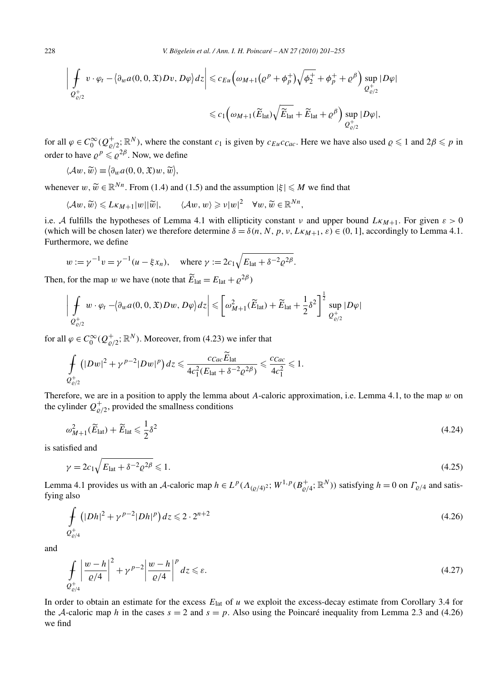$$
\left| \oint_{\mathcal{Q}^+_{\varrho/2}} v \cdot \varphi_t - \langle \partial_w a(0,0,\mathfrak{X}) Dv, D\varphi \rangle dz \right| \leqslant c_{Eu} \Big( \omega_{M+1} \big( \varrho^p + \phi_p^+ \big) \sqrt{\phi_2^+} + \phi_p^+ + \varrho^{\beta} \Big) \sup_{\mathcal{Q}^+_{\varrho/2}} |D\varphi|
$$
  
 
$$
\leqslant c_1 \Big( \omega_{M+1} (\widetilde{E}_{\text{lat}}) \sqrt{\widetilde{E}_{\text{lat}}} + \widetilde{E}_{\text{lat}} + \varrho^{\beta} \Big) \sup_{\mathcal{Q}^+_{\varrho/2}} |D\varphi|,
$$

for all  $\varphi \in C_0^{\infty}(Q_{\varrho/2}^+;\mathbb{R}^N)$ , where the constant  $c_1$  is given by  $c_{Eu}c_{Cac}$ . Here we have also used  $\varrho \leq 1$  and  $2\beta \leq p$  in order to have  $\rho^p \leq \rho^{2\beta}$ . Now, we define

$$
\langle \mathcal{A}w, \widetilde{w} \rangle \equiv \langle \partial_w a(0, 0, \mathfrak{X})w, \widetilde{w} \rangle,
$$

whenever  $w, \widetilde{w} \in \mathbb{R}^{N_n}$ . From (1.4) and (1.5) and the assumption  $|\xi| \leq M$  we find that

$$
\langle \mathcal{A}w, \widetilde{w} \rangle \leqslant L\kappa_{M+1}|w||\widetilde{w}|, \qquad \langle \mathcal{A}w, w \rangle \geqslant \nu|w|^2 \quad \forall w, \widetilde{w} \in \mathbb{R}^{Nn},
$$

i.e. A fulfills the hypotheses of Lemma 4.1 with ellipticity constant  $\nu$  and upper bound  $Lk_{M+1}$ . For given  $\varepsilon > 0$ (which will be chosen later) we therefore determine  $\delta = \delta(n, N, p, v, LkM+1, \varepsilon) \in (0, 1]$ , accordingly to Lemma 4.1. Furthermore, we define

$$
w := \gamma^{-1} v = \gamma^{-1} (u - \xi x_n), \text{ where } \gamma := 2c_1 \sqrt{E_{\text{lat}} + \delta^{-2} \varrho^{2\beta}}.
$$

Then, for the map *w* we have (note that  $\widetilde{E}_{\text{lat}} = E_{\text{lat}} + \varrho^{2\beta}$ )

$$
\left| \int_{\mathcal{Q}^+_{\varrho/2}} w \cdot \varphi_t - \langle \partial_w a(0,0,\mathfrak{X}) Dw, D\varphi \rangle dz \right| \leqslant \left[ \omega_{M+1}^2(\widetilde{E}_{\mathrm{lat}}) + \widetilde{E}_{\mathrm{lat}} + \frac{1}{2} \delta^2 \right]^{\frac{1}{2}} \sup_{\mathcal{Q}^+_{\varrho/2}} |D\varphi|
$$

for all  $\varphi \in C_0^{\infty}(Q_{\varrho/2}^+;\mathbb{R}^N)$ . Moreover, from (4.23) we infer that

$$
\int_{Q_{\varrho/2}^+} (|Dw|^2 + \gamma^{p-2} |Dw|^p) dz \leq \frac{c_{Cac} \tilde{E}_{\text{lat}}}{4c_1^2 (E_{\text{lat}} + \delta^{-2} \varrho^{2\beta})} \leq \frac{c_{Cac}}{4c_1^2} \leq 1.
$$

Therefore, we are in a position to apply the lemma about *A*-caloric approximation, i.e. Lemma 4.1, to the map *w* on the cylinder  $Q_{\varrho/2}^+$ , provided the smallness conditions

$$
\omega_{M+1}^2(\widetilde{E}_{\text{lat}}) + \widetilde{E}_{\text{lat}} \leq \frac{1}{2}\delta^2 \tag{4.24}
$$

is satisfied and

$$
\gamma = 2c_1 \sqrt{E_{\text{lat}} + \delta^{-2} \varrho^{2\beta}} \leqslant 1. \tag{4.25}
$$

Lemma 4.1 provides us with an A-caloric map  $h \in L^p(\Lambda_{(Q/4)^2}; W^{1,p}(B^+_{Q/4}; \mathbb{R}^N))$  satisfying  $h = 0$  on  $\Gamma_{Q/4}$  and satisfying also

$$
\int_{Q_{\varrho/4}^+} (|Dh|^2 + \gamma^{p-2} |Dh|^p) dz \leqslant 2 \cdot 2^{n+2}
$$
\n(4.26)

and

$$
\int_{\mathcal{Q}^+_{\varrho/4}} \left| \frac{w - h}{\varrho/4} \right|^2 + \gamma^{p-2} \left| \frac{w - h}{\varrho/4} \right|^p dz \leqslant \varepsilon. \tag{4.27}
$$

In order to obtain an estimate for the excess  $E_{\text{lat}}$  of *u* we exploit the excess-decay estimate from Corollary 3.4 for the A-caloric map *h* in the cases  $s = 2$  and  $s = p$ . Also using the Poincaré inequality from Lemma 2.3 and (4.26) we find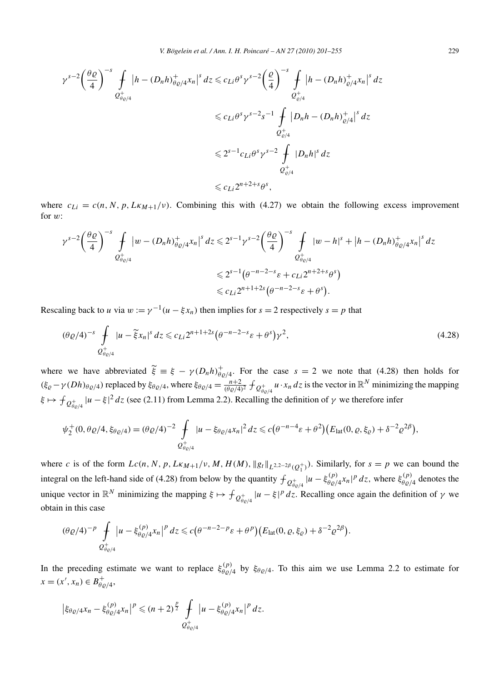$$
\gamma^{s-2} \left(\frac{\theta \varrho}{4}\right)^{-s} \int_{\mathcal{Q}^+_{\theta \varrho/4}} |h - (D_n h)_{\theta \varrho/4}^+ x_n|^s \, dz \leqslant c_{Li} \theta^s \gamma^{s-2} \left(\frac{\varrho}{4}\right)^{-s} \int_{\mathcal{Q}^+_{\varrho/4}} |h - (D_n h)_{\varrho/4}^+ x_n|^s \, dz
$$
\n
$$
\leqslant c_{Li} \theta^s \gamma^{s-2} s^{-1} \int_{\mathcal{Q}^+_{\varrho/4}} |D_n h - (D_n h)_{\varrho/4}^+ |s \, dz
$$
\n
$$
\leqslant 2^{s-1} c_{Li} \theta^s \gamma^{s-2} \int_{\mathcal{Q}^+_{\varrho/4}} |D_n h|^s \, dz
$$
\n
$$
\leqslant c_{Li} 2^{n+2+s} \theta^s,
$$

where  $c_{Li} = c(n, N, p, L\kappa_{M+1}/v)$ . Combining this with (4.27) we obtain the following excess improvement for *w*:

$$
\gamma^{s-2} \left(\frac{\theta \varrho}{4}\right)^{-s} \int_{\mathcal{Q}^+_{\theta \varrho/4}} |w - (D_n h)^+_{\theta \varrho/4} x_n|^s \, dz \leq 2^{s-1} \gamma^{s-2} \left(\frac{\theta \varrho}{4}\right)^{-s} \int_{\mathcal{Q}^+_{\theta \varrho/4}} |w - h|^s + |h - (D_n h)^+_{\theta \varrho/4} x_n|^s \, dz
$$
  

$$
\leq 2^{s-1} \left(\theta^{-n-2-s} \varepsilon + c_{Li} 2^{n+2+s} \theta^s\right)
$$
  

$$
\leq c_{Li} 2^{n+1+2s} \left(\theta^{-n-2-s} \varepsilon + \theta^s\right).
$$

Rescaling back to *u* via  $w := \gamma^{-1}(u - \xi x_n)$  then implies for  $s = 2$  respectively  $s = p$  that

$$
(\theta \varrho/4)^{-s} \int_{\mathcal{Q}^+_{\theta \varrho/4}} |u - \tilde{\xi} x_n|^s \, dz \leqslant c_{Li} 2^{n+1+2s} \big( \theta^{-n-2-s} \varepsilon + \theta^s \big) \gamma^2,
$$
\n(4.28)

where we have abbreviated  $\widetilde{\xi} = \xi - \gamma (D_n h)_{\theta \varrho/4}^+$ . For the case  $s = 2$  we note that (4.28) then holds for  $(\xi_{\varrho} - \gamma(Dh)_{\theta_{\varrho}/4})$  replaced by  $\xi_{\theta_{\varrho}/4}$ , where  $\xi_{\theta_{\varrho}/4} = \frac{n+2}{(\theta_{\varrho}/4)^2} \oint_{\theta_{\varrho/4}^+} u \cdot x_n dz$  is the vector in  $\mathbb{R}^N$  minimizing the mapping  $\xi \mapsto f_{Q_{\theta\varrho/4}^+}|u-\xi|^2 dz$  (see (2.11) from Lemma 2.2). Recalling the definition of  $\gamma$  we therefore infer

$$
\psi_2^+(0, \theta \varrho/4, \xi_{\theta \varrho/4}) = (\theta \varrho/4)^{-2} \int_{\mathcal{Q}^+_{\theta \varrho/4}} |u - \xi_{\theta \varrho/4} x_n|^2 dz \leq c \big( \theta^{-n-4} \varepsilon + \theta^2 \big) \big( E_{\text{lat}}(0, \varrho, \xi_{\varrho}) + \delta^{-2} \varrho^{2\beta} \big),
$$

where *c* is of the form  $Lc(n, N, p, LkM+1/v, M, H(M), ||g_t||_{L^{2,2-2\beta}(Q_1^+)})$ . Similarly, for  $s = p$  we can bound the integral on the left-hand side of (4.28) from below by the quantity  $f_{Q_{\theta\varrho/4}^+}|u - \xi_{\theta\varrho/4}^{(p)}x_n|^p dz$ , where  $\xi_{\theta\varrho/4}^{(p)}$  denotes the unique vector in  $\mathbb{R}^N$  minimizing the mapping  $\xi \mapsto \int_{Q_{\theta_0/4}^+} |u - \xi|^p dz$ . Recalling once again the definition of  $\gamma$  we obtain in this case

$$
(\theta \varrho/4)^{-p} \int\limits_{Q_{\theta \varrho/4}^+} |u - \xi_{\theta \varrho/4}^{(p)} x_n|^p dz \leq c \big( \theta^{-n-2-p} \varepsilon + \theta^p \big) \big( E_{\text{lat}}(0, \varrho, \xi_{\varrho}) + \delta^{-2} \varrho^{2\beta} \big).
$$

In the preceding estimate we want to replace  $\xi_{\theta\varrho/4}^{(p)}$  by  $\xi_{\theta\varrho/4}$ . To this aim we use Lemma 2.2 to estimate for  $x = (x', x_n) \in B_{\theta \varrho/4}^+,$ 

$$
\left|\xi_{\theta\varrho/4}x_{n}-\xi_{\theta\varrho/4}^{(p)}x_{n}\right|^{p} \leq (n+2)^{\frac{p}{2}} \int\limits_{Q_{\theta\varrho/4}^{+}} \left|u-\xi_{\theta\varrho/4}^{(p)}x_{n}\right|^{p} dz.
$$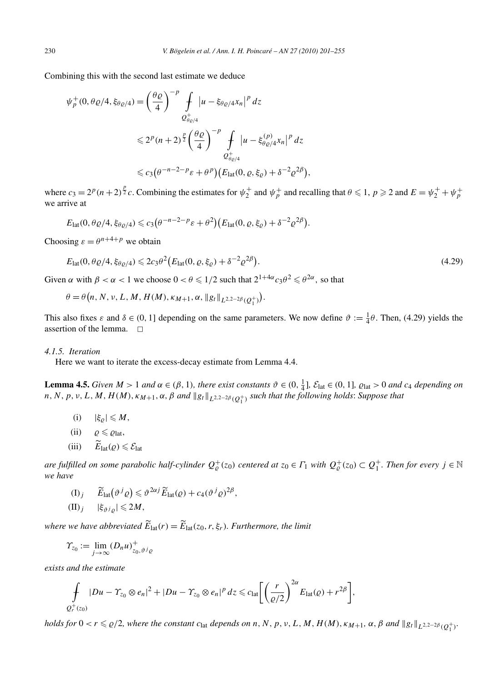Combining this with the second last estimate we deduce

$$
\psi_p^+(0, \theta \varrho/4, \xi_{\theta \varrho/4}) = \left(\frac{\theta \varrho}{4}\right)^{-p} \int_{\mathcal{Q}_{\theta \varrho/4}^+} \left|u - \xi_{\theta \varrho/4} x_n\right|^p dz
$$
  

$$
\leq 2^p (n+2)^{\frac{p}{2}} \left(\frac{\theta \varrho}{4}\right)^{-p} \int_{\mathcal{Q}_{\theta \varrho/4}^+} \left|u - \xi_{\theta \varrho/4}^{(p)} x_n\right|^p dz
$$
  

$$
\leq c_3 \left(\theta^{-n-2-p} \varepsilon + \theta^p\right) \left(E_{\text{lat}}(0, \varrho, \xi_{\varrho}) + \delta^{-2} \varrho^{2\beta}\right),
$$

where  $c_3 = 2^p(n+2)^{\frac{p}{2}}c$ . Combining the estimates for  $\psi_2^+$  and  $\psi_p^+$  and recalling that  $\theta \le 1$ ,  $p \ge 2$  and  $E = \psi_2^+ + \psi_p^+$ we arrive at

$$
E_{\text{lat}}(0, \theta \varrho/4, \xi_{\theta \varrho/4}) \leqslant c_3 \big( \theta^{-n-2-p} \varepsilon + \theta^2 \big) \big( E_{\text{lat}}(0, \varrho, \xi_{\varrho}) + \delta^{-2} \varrho^{2\beta} \big).
$$

Choosing  $\varepsilon = \theta^{n+4+p}$  we obtain

$$
E_{\text{lat}}(0, \theta \varrho/4, \xi_{\theta \varrho/4}) \leq 2c_3 \theta^2 \big( E_{\text{lat}}(0, \varrho, \xi_{\varrho}) + \delta^{-2} \varrho^{2\beta} \big). \tag{4.29}
$$

Given  $\alpha$  with  $\beta < \alpha < 1$  we choose  $0 < \theta \le 1/2$  such that  $2^{1+4\alpha}c_3\theta^2 \le \theta^{2\alpha}$ , so that

$$
\theta = \theta(n, N, \nu, L, M, H(M), \kappa_{M+1}, \alpha, \|g_t\|_{L^{2,2-2\beta}(Q_1^+)}).
$$

This also fixes  $\varepsilon$  and  $\delta \in (0, 1]$  depending on the same parameters. We now define  $\vartheta := \frac{1}{4}\theta$ . Then, (4.29) yields the assertion of the lemma.  $\square$ 

# *4.1.5. Iteration*

Here we want to iterate the excess-decay estimate from Lemma 4.4.

**Lemma 4.5.** Given  $M > 1$  and  $\alpha \in (\beta, 1)$ , there exist constants  $\vartheta \in (0, \frac{1}{4}], \mathcal{E}_{lat} \in (0, 1], \varrho_{lat} > 0$  and  $c_4$  depending on  $n, N, p, v, L, M, H(M), \kappa_{M+1}, \alpha, \beta$  *and*  $||g_t||_{L^{2,2-2\beta}(Q_1^+)}$  *such that the following holds*: *Suppose that* 

- $(i)$   $|\xi_{\rho}| \leqslant M$ ,
- $(iii)$   $\rho \leqslant \rho_{\text{lat}}$ ,
- $(iii)$   $E_{\text{lat}}(\varrho) \leq \mathcal{E}_{\text{lat}}$

 $a$ re fulfilled on some parabolic half-cylinder  $Q^+_\varrho(z_0)$  centered at  $z_0 \in \varGamma_1$  with  $Q^+_\varrho(z_0) \subset Q^+_1$ . Then for every  $j \in \mathbb{N}$ *we have*

(I)<sub>j</sub> 
$$
\widetilde{E}_{\text{lat}}(\vartheta^j \varrho) \leq \vartheta^{2\alpha j} \widetilde{E}_{\text{lat}}(\varrho) + c_4 (\vartheta^j \varrho)^{2\beta},
$$
  
(II)<sub>j</sub>  $|\xi_{\vartheta^j \varrho}| \leq 2M$ ,

*where we have abbreviated*  $E_{\text{lat}}(r) = E_{\text{lat}}(z_0, r, \xi_r)$ *. Furthermore, the limit* 

$$
\varUpsilon_{z_0} := \lim_{j \to \infty} (D_n u)^+_{z_0, \vartheta^j \varrho}
$$

*exists and the estimate*

$$
\int_{Q_r^+(z_0)} |Du - \Upsilon_{z_0} \otimes e_n|^2 + |Du - \Upsilon_{z_0} \otimes e_n|^p dz \leqslant c_{\text{lat}} \bigg[ \bigg( \frac{r}{\varrho/2} \bigg)^{2\alpha} E_{\text{lat}}(\varrho) + r^{2\beta} \bigg],
$$

holds for  $0 < r \le \varrho/2$ , where the constant  $c_{\text{lat}}$  depends on n, N, p, v, L, M, H(M),  $\kappa_{M+1}$ ,  $\alpha$ ,  $\beta$  and  $||g_t||_{L^{2,2-2\beta}(Q_1^+)}$ .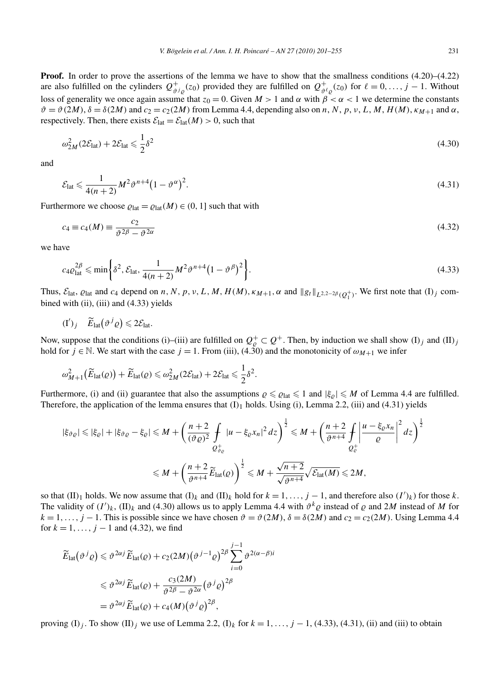**Proof.** In order to prove the assertions of the lemma we have to show that the smallness conditions (4.20)–(4.22) are also fulfilled on the cylinders  $Q_{\vartheta i_{\varrho}}^{+}(z_0)$  provided they are fulfilled on  $Q_{\vartheta \ell_{\varrho}}^{+}(z_0)$  for  $\ell = 0, \ldots, j - 1$ . Without loss of generality we once again assume that  $z_0 = 0$ . Given  $M > 1$  and  $\alpha$  with  $\beta < \alpha < 1$  we determine the constants  $\vartheta = \vartheta(2M)$ ,  $\delta = \delta(2M)$  and  $c_2 = c_2(2M)$  from Lemma 4.4, depending also on n, N, p, v, L, M, H(M),  $\kappa_{M+1}$  and  $\alpha$ , respectively. Then, there exists  $\mathcal{E}_{\text{lat}} = \mathcal{E}_{\text{lat}}(M) > 0$ , such that

$$
\omega_{2M}^2 (2\mathcal{E}_{\text{lat}}) + 2\mathcal{E}_{\text{lat}} \leqslant \frac{1}{2} \delta^2 \tag{4.30}
$$

and

$$
\mathcal{E}_{\text{lat}} \leqslant \frac{1}{4(n+2)} M^2 \vartheta^{n+4} \left(1 - \vartheta^{\alpha}\right)^2. \tag{4.31}
$$

Furthermore we choose  $\varrho_{\text{lat}} = \varrho_{\text{lat}}(M) \in (0, 1]$  such that with

$$
c_4 \equiv c_4(M) \equiv \frac{c_2}{\vartheta^2} \frac{1}{\vartheta^2} \tag{4.32}
$$

we have

$$
c_4 \varrho_{\text{lat}}^{2\beta} \leqslant \min \bigg\{ \delta^2, \mathcal{E}_{\text{lat}}, \frac{1}{4(n+2)} M^2 \vartheta^{n+4} \big( 1 - \vartheta^{\beta} \big)^2 \bigg\}.
$$
\n
$$
(4.33)
$$

Thus,  $\mathcal{E}_{\text{lat}}$ ,  $\varrho_{\text{lat}}$  and  $c_4$  depend on *n*, *N*, *p*, *v*, *L*, *M*, *H*(*M*),  $\kappa_{M+1}$ ,  $\alpha$  and  $||g_t||_{L^{2,2-2\beta}(Q_1^+)}$ . We first note that (I)<sub>j</sub> combined with (ii), (iii) and  $(4.33)$  yields

$$
(\mathrm{I}')_j \quad \widetilde{E}_{\mathrm{lat}}\left(\vartheta^j\varrho\right) \leqslant 2\mathcal{E}_{\mathrm{lat}}.
$$

Now, suppose that the conditions (i)–(iii) are fulfilled on  $Q^+_\varrho \subset Q^+$ . Then, by induction we shall show  $(I)_j$  and  $(II)_j$ hold for  $j \in \mathbb{N}$ . We start with the case  $j = 1$ . From (iii), (4.30) and the monotonicity of  $\omega_{M+1}$  we infer

$$
\omega_{M+1}^2(\widetilde{E}_{\text{lat}}(\varrho)) + \widetilde{E}_{\text{lat}}(\varrho) \leq \omega_{2M}^2(2\mathcal{E}_{\text{lat}}) + 2\mathcal{E}_{\text{lat}} \leq \frac{1}{2}\delta^2.
$$

Furthermore, (i) and (ii) guarantee that also the assumptions  $\rho \leq \rho_{\text{lat}} \leq 1$  and  $|\xi_{\rho}| \leq M$  of Lemma 4.4 are fulfilled. Therefore, the application of the lemma ensures that  $(I)_1$  holds. Using (i), Lemma 2.2, (iii) and (4.31) yields

$$
|\xi_{\vartheta\varrho}| \leq |\xi_{\varrho}| + |\xi_{\vartheta\varrho} - \xi_{\varrho}| \leq M + \left(\frac{n+2}{(\vartheta\varrho)^2} \int_{\mathcal{Q}_{\vartheta_{\varrho}}^+} |u - \xi_{\varrho}x_n|^2 dz\right)^{\frac{1}{2}} \leq M + \left(\frac{n+2}{\vartheta^{n+4}} \int_{\mathcal{Q}_{\varrho}^+} \left|\frac{u - \xi_{\varrho}x_n}{\varrho}\right|^2 dz\right)^{\frac{1}{2}}
$$
  

$$
\leq M + \left(\frac{n+2}{\vartheta^{n+4}} \widetilde{E}_{\text{lat}}(\varrho)\right)^{\frac{1}{2}} \leq M + \frac{\sqrt{n+2}}{\sqrt{\vartheta^{n+4}}} \sqrt{\mathcal{E}_{\text{lat}}(M)} \leq 2M,
$$

so that  $(II)_1$  holds. We now assume that  $(I)_k$  and  $(II)_k$  hold for  $k = 1, \ldots, j - 1$ , and therefore also  $(I')_k$ ) for those k. The validity of  $(I')_k$ ,  $(\Pi)_k$  and  $(4.30)$  allows us to apply Lemma 4.4 with  $\vartheta^k \varrho$  instead of  $\varrho$  and  $2M$  instead of M for  $k = 1, \ldots, j - 1$ . This is possible since we have chosen  $\vartheta = \vartheta(2M)$ ,  $\delta = \delta(2M)$  and  $c_2 = c_2(2M)$ . Using Lemma 4.4 for  $k = 1, ..., j - 1$  and (4.32), we find

$$
\widetilde{E}_{\text{lat}}(\vartheta^{j}\varrho) \leq \vartheta^{2\alpha j} \widetilde{E}_{\text{lat}}(\varrho) + c_{2}(2M)(\vartheta^{j-1}\varrho)^{2\beta} \sum_{i=0}^{j-1} \vartheta^{2(\alpha-\beta)i}
$$
\n
$$
\leq \vartheta^{2\alpha j} \widetilde{E}_{\text{lat}}(\varrho) + \frac{c_{3}(2M)}{\vartheta^{2\beta} - \vartheta^{2\alpha}} (\vartheta^{j}\varrho)^{2\beta}
$$
\n
$$
= \vartheta^{2\alpha j} \widetilde{E}_{\text{lat}}(\varrho) + c_{4}(M)(\vartheta^{j}\varrho)^{2\beta},
$$

proving  $(I)_j$ . To show  $(I)_j$  we use of Lemma 2.2,  $(I)_k$  for  $k = 1, \ldots, j - 1$ , (4.33), (4.31), (ii) and (iii) to obtain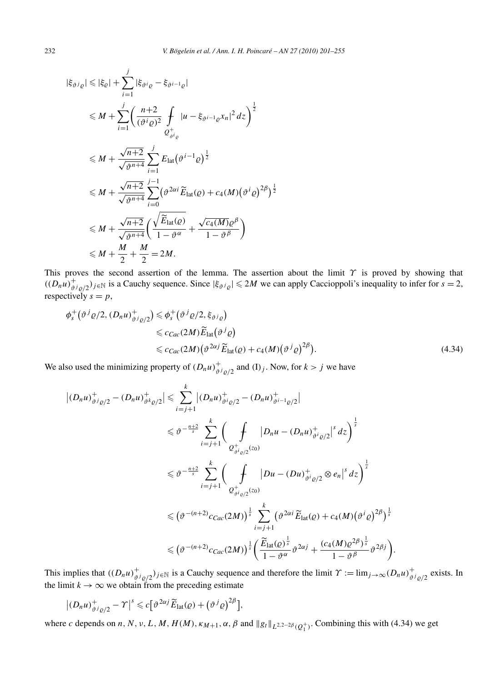$$
|\xi_{\vartheta i_{\varrho}}| \leq |\xi_{\varrho}| + \sum_{i=1}^{j} |\xi_{\vartheta i_{\varrho}} - \xi_{\vartheta^{i-1}\varrho}|
$$
  
\n
$$
\leq M + \sum_{i=1}^{j} \left( \frac{n+2}{(\vartheta^{i}\varrho)^{2}} \int_{\mathcal{Q}_{\vartheta i_{\varrho}}^{+}} |u - \xi_{\vartheta^{i-1}\varrho} x_{n}|^{2} dz \right)^{\frac{1}{2}}
$$
  
\n
$$
\leq M + \frac{\sqrt{n+2}}{\sqrt{\vartheta^{n+4}}} \sum_{i=1}^{j} E_{\text{lat}} (\vartheta^{i-1}\varrho)^{\frac{1}{2}}
$$
  
\n
$$
\leq M + \frac{\sqrt{n+2}}{\sqrt{\vartheta^{n+4}}} \sum_{i=0}^{j-1} (\vartheta^{2\alpha i} \widetilde{E}_{\text{lat}}(\varrho) + c_{4}(M) (\vartheta^{i}\varrho)^{2\beta})^{\frac{1}{2}}
$$
  
\n
$$
\leq M + \frac{\sqrt{n+2}}{\sqrt{\vartheta^{n+4}}} \left( \frac{\sqrt{\widetilde{E}_{\text{lat}}(\varrho)}}{1 - \vartheta^{\alpha}} + \frac{\sqrt{c_{4}(M)}\varrho^{\beta}}{1 - \vartheta^{\beta}} \right)
$$
  
\n
$$
\leq M + \frac{M}{2} + \frac{M}{2} = 2M.
$$

This proves the second assertion of the lemma. The assertion about the limit *Υ* is proved by showing that  $((D_n u)^+_{\vartheta^j \varrho/2})_{j \in \mathbb{N}}$  is a Cauchy sequence. Since  $|\xi_{\vartheta^j \varrho}| \le 2M$  we can apply Caccioppoli's inequality to infer for  $s = 2$ , respectively  $s = p$ ,

$$
\phi_s^+(\vartheta^j \varrho/2, (D_n u)^+_{\vartheta^j \varrho/2}) \leq \phi_s^+(\vartheta^j \varrho/2, \xi_{\vartheta^j \varrho})
$$
  
\n
$$
\leq c_{Cac}(2M) \widetilde{E}_{\text{lat}}(\vartheta^j \varrho)
$$
  
\n
$$
\leq c_{Cac}(2M) (\vartheta^{2\alpha j} \widetilde{E}_{\text{lat}}(\varrho) + c_4(M) (\vartheta^j \varrho)^{2\beta}).
$$
\n(4.34)

We also used the minimizing property of  $(D_n u)^+_{\vartheta^j \varrho/2}$  and  $(I)_j$ . Now, for  $k > j$  we have

$$
\begin{split}\n\left| (D_n u)^+_{\vartheta^j \varrho/2} - (D_n u)^+_{\vartheta^k \varrho/2} \right| &\leq \sum_{i=j+1}^k \left| (D_n u)^+_{\vartheta^i \varrho/2} - (D_n u)^+_{\vartheta^{i-1} \varrho/2} \right| \\
&\leq \vartheta^{-\frac{n+2}{s}} \sum_{i=j+1}^k \left( \int \limits_{Q^+_{\vartheta^i \varrho/2}(z_0)} |D_n u - (D_n u)^+_{\vartheta^i \varrho/2}|^s \, dz \right)^{\frac{1}{s}} \\
&\leq \vartheta^{-\frac{n+2}{s}} \sum_{i=j+1}^k \left( \int \limits_{Q^+_{\vartheta^i \varrho/2}(z_0)} |Du - (Du)^+_{\vartheta^i \varrho/2} \otimes e_n|^s \, dz \right)^{\frac{1}{s}} \\
&\leq (\vartheta^{-(n+2)} c_{Cac}(2M))^{\frac{1}{s}} \sum_{i=j+1}^k (\vartheta^{2\alpha i} \widetilde{E}_{\text{lat}}(\varrho) + c_4(M) (\vartheta^i \varrho)^{2\beta})^{\frac{1}{s}} \\
&\leq (\vartheta^{-(n+2)} c_{Cac}(2M))^{\frac{1}{s}} \left( \frac{\widetilde{E}_{\text{lat}}(\varrho)^{\frac{1}{s}}}{1 - \vartheta^{\alpha}} \vartheta^{2\alpha j} + \frac{(c_4(M) \varrho^{2\beta})^{\frac{1}{s}}}{1 - \vartheta^{\beta}} \vartheta^{2\beta j} \right).\n\end{split}
$$

This implies that  $((D_nu)^+_{\vartheta^j \varrho/2})_{j\in\mathbb{N}}$  is a Cauchy sequence and therefore the limit  $\gamma := \lim_{j\to\infty} (D_nu)^+_{\vartheta^j \varrho/2}$  exists. In the limit  $k \to \infty$  we obtain from the preceding estimate

$$
\left| \left(D_n u\right)^+_{\vartheta^j \varrho/2} - \Upsilon \right|^s \leqslant c \big[ \vartheta^{2\alpha j} \widetilde{E}_{\text{lat}}(\varrho) + \left(\vartheta^j \varrho\right)^{2\beta} \big],
$$

where *c* depends on *n*, *N*, *v*, *L*, *M*, *H*(*M*),  $\kappa_{M+1}$ ,  $\alpha$ ,  $\beta$  and  $||g_t||_{L^{2,2-2\beta}(Q_1^+)}$ . Combining this with (4.34) we get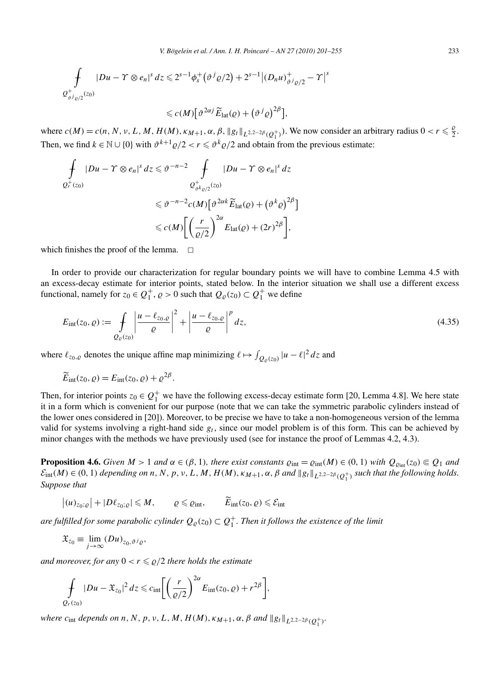$$
\int_{Q_{\vartheta j_{\varrho/2}}^{+}(z_0)} |Du - \Upsilon \otimes e_n|^{s} dz \leq 2^{s-1} \phi_s^{+} (\vartheta^{j} \varrho/2) + 2^{s-1} |(D_n u)_{\vartheta^{j} \varrho/2}^{+} - \Upsilon|^{s}
$$

 $\leq c(M) \left[ \vartheta^{2\alpha j} \widetilde{E}_{\text{lat}}(\varrho) + \left( \vartheta^{j} \varrho \right)^{2\beta} \right],$ 

where  $c(M) = c(n, N, v, L, M, H(M), \kappa_{M+1}, \alpha, \beta, ||g_t||_{L^{2,2-2\beta}(Q_1^+)}$ . We now consider an arbitrary radius  $0 < r \leq \frac{\beta}{2}$ . Then, we find  $k \in \mathbb{N} \cup \{0\}$  with  $\vartheta^{k+1} \varrho/2 < r \leq \vartheta^k \varrho/2$  and obtain from the previous estimate:

$$
\int_{Q_r^+(z_0)} |Du - \Upsilon \otimes e_n|^s dz \leq \vartheta^{-n-2} \int_{Q_{\vartheta k_{\varrho/2}}^+(z_0)} |Du - \Upsilon \otimes e_n|^s dz
$$
\n
$$
\leq \vartheta^{-n-2} c(M) \left[ \vartheta^{2\alpha k} \widetilde{E}_{\text{lat}}(\varrho) + (\vartheta^k \varrho)^{2\beta} \right]
$$
\n
$$
\leq c(M) \left[ \left( \frac{r}{\varrho/2} \right)^{2\alpha} E_{\text{lat}}(\varrho) + (2r)^{2\beta} \right],
$$

which finishes the proof of the lemma.  $\Box$ 

In order to provide our characterization for regular boundary points we will have to combine Lemma 4.5 with an excess-decay estimate for interior points, stated below. In the interior situation we shall use a different excess functional, namely for  $z_0 \in Q_1^+, \varrho > 0$  such that  $Q_\varrho(z_0) \subset Q_1^+$  we define

$$
E_{\rm int}(z_0, \varrho) := \int\limits_{Q_{\varrho}(z_0)} \left| \frac{u - \ell_{z_0, \varrho}}{\varrho} \right|^2 + \left| \frac{u - \ell_{z_0, \varrho}}{\varrho} \right|^p dz,
$$
\n(4.35)

where  $\ell_{z_0, \varrho}$  denotes the unique affine map minimizing  $\ell \mapsto \int_{Q_\varrho(z_0)} |u - \ell|^2 dz$  and

$$
\widetilde{E}_{\rm int}(z_0,\varrho) = E_{\rm int}(z_0,\varrho) + \varrho^{2\beta}.
$$

Then, for interior points  $z_0 \in Q_1^+$  we have the following excess-decay estimate form [20, Lemma 4.8]. We here state it in a form which is convenient for our purpose (note that we can take the symmetric parabolic cylinders instead of the lower ones considered in [20]). Moreover, to be precise we have to take a non-homogeneous version of the lemma valid for systems involving a right-hand side *gt* , since our model problem is of this form. This can be achieved by minor changes with the methods we have previously used (see for instance the proof of Lemmas 4.2, 4.3).

**Proposition 4.6.** Given  $M > 1$  and  $\alpha \in (\beta, 1)$ , there exist constants  $\varrho_{int} = \varrho_{int}(M) \in (0, 1)$  with  $Q_{\varrho_{int}}(z_0) \in Q_1$  and  $\mathcal{E}_{\text{int}}(M) \in (0, 1)$  *depending on n, N, p, v, L, M, H(M),*  $\kappa_{M+1}, \alpha, \beta$  *and*  $||g_t||_{L^{2,2-2\beta}(Q_1^+)}$  *such that the following holds. Suppose that*

 $|(u)_{z_0; \varrho}| + |D\ell_{z_0; \varrho}| \leq M, \qquad \varrho \leq \varrho_{\text{int}}, \qquad \widetilde{E}_{\text{int}}(z_0, \varrho) \leq \mathcal{E}_{\text{int}}$ 

are fulfilled for some parabolic cylinder  $Q_\varrho(z_0)\subset Q_1^+.$  Then it follows the existence of the limit

$$
\mathfrak{X}_{z_0} \equiv \lim_{j \to \infty} (Du)_{z_0, \vartheta^j \varrho},
$$

*and moreover, for any*  $0 < r \leq \varrho/2$  *there holds the estimate* 

$$
\oint_{Q_r(z_0)}|Du-\mathfrak{X}_{z_0}|^2\,dz\leqslant c_{\rm int}\bigg[\bigg(\frac{r}{\varrho/2}\bigg)^{2\alpha}E_{\rm int}(z_0,\varrho)+r^{2\beta}\bigg],
$$

 $where \ c_{int}$  *depends on n, N, p, v, L, M, H(M),*  $\kappa_{M+1}, \alpha, \beta$  *and*  $||g_t||_{L^{2,2-2\beta}(Q_1^+)}$ *.*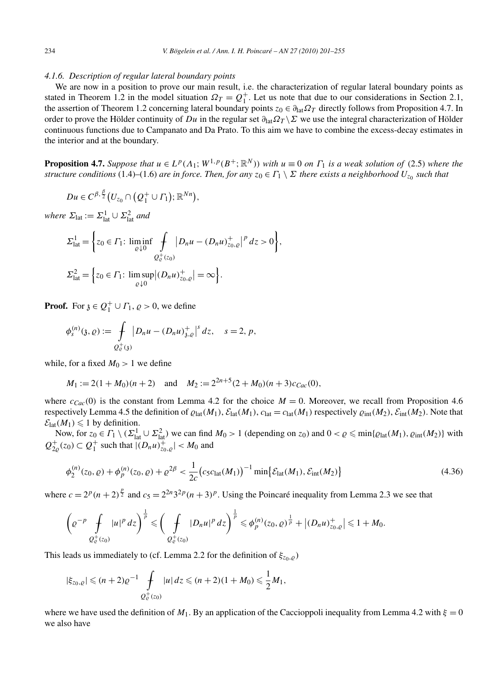## *4.1.6. Description of regular lateral boundary points*

We are now in a position to prove our main result, i.e. the characterization of regular lateral boundary points as stated in Theorem 1.2 in the model situation  $\Omega_T = Q_1^+$ . Let us note that due to our considerations in Section 2.1, the assertion of Theorem 1.2 concerning lateral boundary points  $z_0 \in \partial_{lat} \Omega_T$  directly follows from Proposition 4.7. In order to prove the Hölder continuity of *Du* in the regular set  $\partial_{\text{lat}}\Omega_T\setminus\Sigma$  we use the integral characterization of Hölder continuous functions due to Campanato and Da Prato. To this aim we have to combine the excess-decay estimates in the interior and at the boundary.

**Proposition 4.7.** *Suppose that*  $u \in L^p(\Lambda_1; W^{1,p}(B^+; \mathbb{R}^N))$  *with*  $u \equiv 0$  *on*  $\Gamma_1$  *is a weak solution of* (2.5) *where the structure conditions* (1.4)–(1.6) *are in force. Then, for any*  $z_0 \in \Gamma_1 \setminus \Sigma$  *there exists a neighborhood*  $U_{z_0}$  *such that* 

$$
Du\in C^{\beta,\frac{\beta}{2}}(U_{z_0}\cap (Q_1^+\cup\varGamma_1);\mathbb{R}^{Nn}),
$$

 $where \ \Sigma_{\text{lat}} := \Sigma_{\text{lat}}^1 \cup \Sigma_{\text{lat}}^2 \ and$ 

$$
\Sigma_{\text{lat}}^{1} = \left\{ z_{0} \in \Gamma_{1}: \liminf_{\varrho \downarrow 0} \int_{Q_{\varrho}^{+}(z_{0})} |D_{n}u - (D_{n}u)_{z_{0},\varrho}^{+}|^{p} dz > 0 \right\},
$$
  

$$
\Sigma_{\text{lat}}^{2} = \left\{ z_{0} \in \Gamma_{1}: \limsup_{\varrho \downarrow 0} |(D_{n}u)_{z_{0},\varrho}^{+}| = \infty \right\}.
$$

**Proof.** For  $\mathfrak{z} \in Q_1^+ \cup \Gamma_1$ ,  $\varrho > 0$ , we define

$$
\phi_s^{(n)}(\mathfrak{z}, \varrho) := \int\limits_{Q_\varrho^+(\mathfrak{z})} |D_n u - (D_n u)_{\mathfrak{z}, \varrho}^+|^s \, dz, \quad s = 2, p,
$$

while, for a fixed  $M_0 > 1$  we define

$$
M_1 := 2(1 + M_0)(n + 2)
$$
 and  $M_2 := 2^{2n+5}(2 + M_0)(n + 3)c_{Cac}(0)$ ,

where  $c_{\text{CaC}}(0)$  is the constant from Lemma 4.2 for the choice  $M = 0$ . Moreover, we recall from Proposition 4.6 respectively Lemma 4.5 the definition of  $\rho_{lat}(M_1)$ ,  $\mathcal{E}_{lat}(M_1)$ ,  $c_{lat} = c_{lat}(M_1)$  respectively  $\rho_{int}(M_2)$ ,  $\mathcal{E}_{int}(M_2)$ . Note that  $\mathcal{E}_{\text{lat}}(M_1) \leq 1$  by definition.

Now, for  $z_0 \in \Gamma_1 \setminus (\Sigma_{lat}^1 \cup \Sigma_{lat}^2)$  we can find  $M_0 > 1$  (depending on  $z_0$ ) and  $0 < \varrho \le \min{\{\varrho_{lat}(M_1), \varrho_{int}(M_2)\}}$  with  $Q_{2\rho}^+(z_0) \subset Q_1^+$  such that  $|(D_n u)_{z_0,\rho}^+| < M_0$  and

$$
\phi_2^{(n)}(z_0, \varrho) + \phi_p^{(n)}(z_0, \varrho) + \varrho^{2\beta} < \frac{1}{2c} \big( c_5 c_{\text{lat}}(M_1) \big)^{-1} \min \{ \mathcal{E}_{\text{lat}}(M_1), \mathcal{E}_{\text{int}}(M_2) \} \tag{4.36}
$$

where  $c = 2^p(n+2)^{\frac{p}{2}}$  and  $c_5 = 2^{2n}3^{2p}(n+3)^p$ . Using the Poincaré inequality from Lemma 2.3 we see that

$$
\left(\varrho^{-p}\int\limits_{Q_{\varrho}^+(z_0)}|u|^p\,dz\right)^{\frac{1}{p}}\leqslant \left(\int\limits_{Q_{\varrho}^+(z_0)}|D_nu|^p\,dz\right)^{\frac{1}{p}}\leqslant \phi_p^{(n)}(z_0,\varrho)^{\frac{1}{p}}+\left|(D_nu)_{z_0,\varrho}^+\right|\leqslant 1+M_0.
$$

This leads us immediately to (cf. Lemma 2.2 for the definition of  $\xi_{z_0, \varrho}$ )

$$
|\xi_{z_0,\varrho}| \leq (n+2)\varrho^{-1} \int\limits_{Q^+_{\varrho}(z_0)} |u|\,dz \leq (n+2)(1+M_0) \leq \frac{1}{2}M_1,
$$

where we have used the definition of  $M_1$ . By an application of the Caccioppoli inequality from Lemma 4.2 with  $\xi = 0$ we also have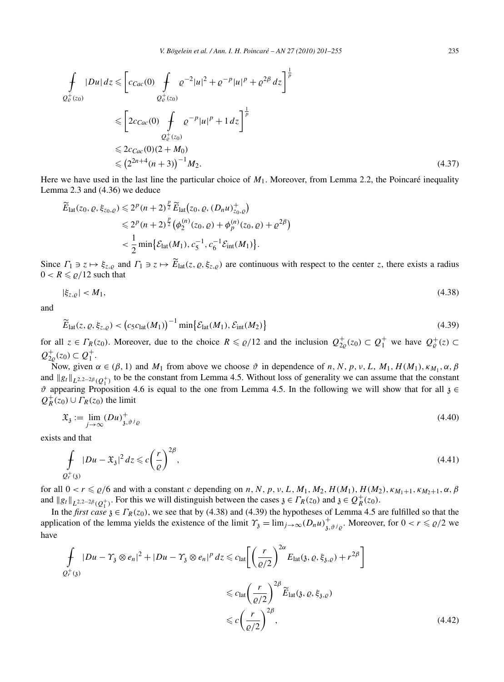$$
\int_{Q_{\varrho}^{+}(z_{0})} |Du| dz \leqslant \left[ c_{Cac}(0) \int_{Q_{\varrho}^{+}(z_{0})} \varrho^{-2} |u|^{2} + \varrho^{-p} |u|^{p} + \varrho^{2\beta} dz \right]^{\frac{1}{p}}
$$
\n
$$
\leqslant \left[ 2c_{Cac}(0) \int_{Q_{\varrho}^{+}(z_{0})} \varrho^{-p} |u|^{p} + 1 dz \right]^{\frac{1}{p}}
$$
\n
$$
\leqslant 2c_{Cac}(0) (2 + M_{0})
$$
\n
$$
\leqslant (2^{2n+4}(n+3))^{-1} M_{2}.
$$
\n(4.37)

Here we have used in the last line the particular choice of *M*1. Moreover, from Lemma 2.2, the Poincaré inequality Lemma 2.3 and (4.36) we deduce

$$
\widetilde{E}_{\text{lat}}(z_0, \varrho, \xi_{z_0, \varrho}) \leq 2^p (n+2)^{\frac{p}{2}} \widetilde{E}_{\text{lat}}(z_0, \varrho, (D_n u)_{z_0, \varrho}^+)
$$
\n
$$
\leq 2^p (n+2)^{\frac{p}{2}} (\phi_2^{(n)}(z_0, \varrho) + \phi_p^{(n)}(z_0, \varrho) + \varrho^{2\beta})
$$
\n
$$
< \frac{1}{2} \min \{ \mathcal{E}_{\text{lat}}(M_1), c_5^{-1}, c_6^{-1} \mathcal{E}_{\text{int}}(M_1) \}.
$$

Since  $\Gamma_1 \ni z \mapsto \xi_{z,\varrho}$  and  $\Gamma_1 \ni z \mapsto E_{\text{lat}}(z,\varrho,\xi_{z,\varrho})$  are continuous with respect to the center *z*, there exists a radius  $0 < R \leq \rho/12$  such that

$$
|\xi_{z,\varrho}| < M_1,\tag{4.38}
$$

and

$$
\widetilde{E}_{\text{lat}}(z, \varrho, \xi_{z,\varrho}) < \left(c_5 c_{\text{lat}}(M_1)\right)^{-1} \min\left\{\mathcal{E}_{\text{lat}}(M_1), \mathcal{E}_{\text{int}}(M_2)\right\} \tag{4.39}
$$

for all  $z \in \Gamma_R(z_0)$ . Moreover, due to the choice  $R \le \rho/12$  and the inclusion  $Q_{2\rho}^+(z_0) \subset Q_1^+$  we have  $Q_{\rho}^+(z) \subset$  $Q_{2\varrho}^{+}(z_0)$  ⊂  $Q_1^{+}$ .

Now, given  $\alpha \in (\beta, 1)$  and  $M_1$  from above we choose  $\vartheta$  in dependence of *n*, *N*, *p*, *v*, *L*,  $M_1$ ,  $H(M_1)$ ,  $\kappa_{M_1}$ ,  $\alpha$ ,  $\beta$ and  $||g_t||_{L^{2,2-2\beta}(Q_1^+)}$  to be the constant from Lemma 4.5. Without loss of generality we can assume that the constant  $\vartheta$  appearing Proposition 4.6 is equal to the one from Lemma 4.5. In the following we will show that for all  $\vartheta$  ∈  $Q_R^+(z_0) \cup \Gamma_R(z_0)$  the limit

$$
\mathfrak{X}_{\mathfrak{z}} := \lim_{j \to \infty} (Du)^{+}_{\mathfrak{z}, \vartheta^j \varrho} \tag{4.40}
$$

exists and that

$$
\int_{Q_r^+(3)} |Du - \mathfrak{X}_3|^2 dz \leqslant c \left(\frac{r}{\varrho}\right)^{2\beta},\tag{4.41}
$$

for all  $0 < r \le \rho/6$  and with a constant *c* depending on *n*, *N*, *p*, *v*, *L*, *M*<sub>1</sub>, *M*<sub>2</sub>, *H*(*M*<sub>1</sub>), *H*(*M*<sub>2</sub>),  $\kappa_{M_1+1}, \kappa_{M_2+1}, \alpha, \beta$ and  $||g_t||_{L^{2,2-2\beta}(Q_1^+)}$ . For this we will distinguish between the cases  $\mathfrak{z} \in \Gamma_R(z_0)$  and  $\mathfrak{z} \in \mathcal{Q}_R^+(z_0)$ .

In the *first case*  $\mathfrak{z} \in \Gamma_R(z_0)$ , we see that by (4.38) and (4.39) the hypotheses of Lemma 4.5 are fulfilled so that the application of the lemma yields the existence of the limit  $\gamma_{\mathfrak{z}} = \lim_{j \to \infty} (D_n u)^+_{\mathfrak{z}, \vartheta}$ . Moreover, for  $0 < r \leq \rho/2$  we have

$$
\int_{Q_r^+(3)} |Du - \Upsilon_3 \otimes e_n|^2 + |Du - \Upsilon_3 \otimes e_n|^p dz \leq c_{\text{lat}} \left[ \left( \frac{r}{\varrho/2} \right)^{2\alpha} E_{\text{lat}}(\mathfrak{z}, \varrho, \xi_{\mathfrak{z}, \varrho}) + r^{2\beta} \right]
$$
  

$$
\leq c_{\text{lat}} \left( \frac{r}{\varrho/2} \right)^{2\beta} \widetilde{E}_{\text{lat}}(\mathfrak{z}, \varrho, \xi_{\mathfrak{z}, \varrho})
$$
  

$$
\leq c \left( \frac{r}{\varrho/2} \right)^{2\beta}, \tag{4.42}
$$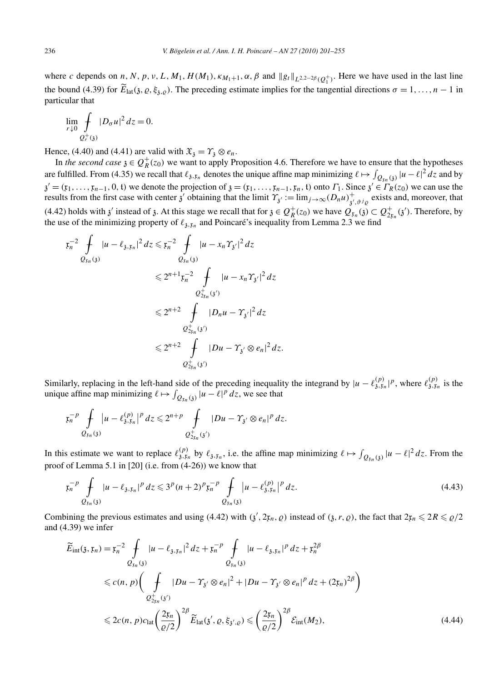where *c* depends on *n*, *N*, *p*, *v*, *L*, *M*<sub>1</sub>, *H*(*M*<sub>1</sub>),  $\kappa_{M_1+1}$ ,  $\alpha$ ,  $\beta$  and  $||g_t||_{L^{2,2-2\beta}(Q_1^+)}$ . Here we have used in the last line the bound (4.39) for  $E_{\text{lat}}(\mathfrak{z}, \varrho, \xi_{\mathfrak{z},\varrho})$ . The preceding estimate implies for the tangential directions  $\sigma = 1, \ldots, n - 1$  in particular that

$$
\lim_{r \downarrow 0} \int\limits_{Q_r^+(3)} |D_\sigma u|^2 \, dz = 0.
$$

Hence, (4.40) and (4.41) are valid with  $\mathfrak{X}_{3} = \gamma_{3} \otimes e_{n}$ .

In *the second case*  $\chi \in Q_R^+(z_0)$  we want to apply Proposition 4.6. Therefore we have to ensure that the hypotheses are fulfilled. From (4.35) we recall that  $\ell_{3, x_n}$  denotes the unique affine map minimizing  $\ell \mapsto \int_{Q_{x_n}(3)} |u - \ell|^2 dz$  and by  $\chi' = (\mathfrak{x}_1, \ldots, \mathfrak{x}_{n-1}, 0, \mathfrak{t})$  we denote the projection of  $\chi = (\mathfrak{x}_1, \ldots, \mathfrak{x}_{n-1}, \mathfrak{x}_n, \mathfrak{t})$  onto  $\Gamma_1$ . Since  $\chi' \in \Gamma_R(\mathfrak{x}_0)$  we can use the results from the first case with center  $\hat{j}$  obtaining that the limit  $\hat{\gamma}_{\hat{j}} := \lim_{j \to \infty} (D_n u)^+_{\hat{j}', \hat{\theta}^j \rho}$  exists and, moreover, that  $(4.42)$  holds with  $\chi'$  instead of  $\chi$ . At this stage we recall that for  $\chi \in Q_R^+(z_0)$  we have  $Q_{\chi_n}(\chi) \subset Q_{2\chi_n}^+(z')$ . Therefore, by the use of the minimizing property of  $\ell_{3,x_n}$  and Poincaré's inequality from Lemma 2.3 we find

$$
z_{n}^{-2} \int_{Q_{\xi_{n}}(3)} |u - \ell_{3,\xi_{n}}|^{2} dz \leq z_{n}^{-2} \int_{Q_{\xi_{n}}(3)} |u - x_{n} \gamma_{3'}|^{2} dz
$$
  

$$
\leq 2^{n+1} z_{n}^{-2} \int_{Q_{\xi_{n}}^{+}(3')} |u - x_{n} \gamma_{3'}|^{2} dz
$$
  

$$
\leq 2^{n+2} \int_{Q_{\xi_{n}}^{+}(3')} |D_{n}u - \gamma_{3'}|^{2} dz
$$
  

$$
\leq 2^{n+2} \int_{Q_{\xi_{n}}^{+}(3')} |Du - \gamma_{3'}|^{2} dz
$$
  

$$
\leq 2^{n+2} \int_{Q_{\xi_{n}}^{+}(3')} |Du - \gamma_{3'}|^{2} dz.
$$

Similarly, replacing in the left-hand side of the preceding inequality the integrand by  $|u - \ell_{3x}^{(p)}|^p$ , where  $\ell_{3x_n}^{(p)}$  is the unique affine map minimizing  $\ell \mapsto \int_{Q_{\xi n}(3)} |u - \ell|^p dz$ , we see that

$$
\mathfrak{x}_{n}^{-p}\int_{Q_{\mathfrak{x}_{n}}(3)}|u-\ell_{3,\mathfrak{x}_{n}}^{(p)}|^{p} d z\leq 2^{n+p}\int_{Q_{2\mathfrak{x}_{n}}^{+}(3')}|Du-\Upsilon_{3'}\otimes e_{n}|^{p} d z.
$$

In this estimate we want to replace  $\ell_{3,\xi_n}^{(p)}$  by  $\ell_{3,\xi_n}$ , i.e. the affine map minimizing  $\ell \mapsto \int_{Q_{\xi_n}(3)} |u - \ell|^2 dz$ . From the proof of Lemma 5.1 in [20] (i.e. from (4-26)) we know that

$$
\mathfrak{x}_{n}^{-p} \int_{Q_{\mathfrak{x}_{n}}(3)} |u - \ell_{\mathfrak{z},\mathfrak{x}_{n}}|^{p} dz \leqslant 3^{p} (n+2)^{p} \mathfrak{x}_{n}^{-p} \int_{Q_{\mathfrak{x}_{n}}(3)} |u - \ell_{\mathfrak{z},\mathfrak{x}_{n}}^{(p)}|^{p} dz.
$$
\n(4.43)

Combining the previous estimates and using (4.42) with  $(\frac{1}{2}, 2r_n, \rho)$  instead of  $(\frac{1}{2}, r, \rho)$ , the fact that  $2r_n \leq 2R \leq \rho/2$ and (4.39) we infer

$$
\widetilde{E}_{int}(\mathfrak{z}, \mathfrak{x}_{n}) = \mathfrak{x}_{n}^{-2} \int_{Q_{\mathfrak{x}_{n}}(\mathfrak{z})} |u - \ell_{\mathfrak{z}, \mathfrak{x}_{n}}|^{2} dz + \mathfrak{x}_{n}^{-p} \int_{Q_{\mathfrak{x}_{n}}(\mathfrak{z})} |u - \ell_{\mathfrak{z}, \mathfrak{x}_{n}}|^{p} dz + \mathfrak{x}_{n}^{2\beta}
$$
\n
$$
\leq c(n, p) \Big( \int_{Q_{\mathfrak{z}_{n}}^{+}(\mathfrak{z}')} |Du - \Upsilon_{\mathfrak{z}'} \otimes e_{n}|^{2} + |Du - \Upsilon_{\mathfrak{z}'} \otimes e_{n}|^{p} dz + (2\mathfrak{x}_{n})^{2\beta} \Big)
$$
\n
$$
\leq 2c(n, p)c_{\text{lat}} \Big( \frac{2\mathfrak{x}_{n}}{\varrho/2} \Big)^{2\beta} \widetilde{E}_{\text{lat}}(\mathfrak{z}', \varrho, \xi_{\mathfrak{z}', \varrho}) \leq \Big( \frac{2\mathfrak{x}_{n}}{\varrho/2} \Big)^{2\beta} \mathcal{E}_{\text{int}}(M_{2}), \tag{4.44}
$$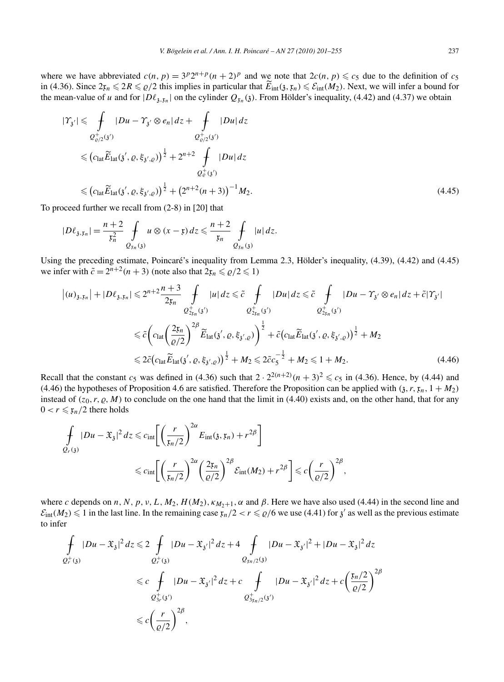where we have abbreviated  $c(n, p) = 3p2^{n+p}(n+2)^p$  and we note that  $2c(n, p) \le c_5$  due to the definition of  $c_5$ in (4.36). Since  $2x_n \leq 2R \leq \rho/2$  this implies in particular that  $E_{\text{int}}(\mathfrak{z}, x_n) \leq \mathcal{E}_{\text{int}}(M_2)$ . Next, we will infer a bound for the mean-value of *u* and for  $|D\ell_{3, x}$  on the cylinder  $Q_{x}$  (3). From Hölder's inequality, (4.42) and (4.37) we obtain

$$
|\gamma_{3'}| \leq \int_{Q_{\varrho/2}^{+}(3')} |Du - \gamma_{3'} \otimes e_n| dz + \int_{Q_{\varrho/2}^{+}(3')} |Du| dz
$$
  
\n
$$
\leq (c_{\text{lat}} \widetilde{E}_{\text{lat}}(3', \varrho, \xi_{3', \varrho}))^{\frac{1}{2}} + 2^{n+2} \int_{Q_{\varrho}^{+}(3')} |Du| dz
$$
  
\n
$$
\leq (c_{\text{lat}} \widetilde{E}_{\text{lat}}(3', \varrho, \xi_{3', \varrho}))^{\frac{1}{2}} + (2^{n+2}(n+3))^{-1} M_2.
$$
\n(4.45)

To proceed further we recall from (2-8) in [20] that

$$
|D\ell_{\mathfrak{z},\mathfrak{x}_n}|=\frac{n+2}{\mathfrak{x}_n^2}\int_{\mathfrak{Q}_{\mathfrak{x}_n}(\mathfrak{z})}u\otimes(x-\mathfrak{x})\,dz\leqslant\frac{n+2}{\mathfrak{x}_n}\int_{\mathfrak{Q}_{\mathfrak{x}_n}(\mathfrak{z})}|u|\,dz.
$$

Using the preceding estimate, Poincaré's inequality from Lemma 2.3, Hölder's inequality, (4.39), (4.42) and (4.45) we infer with  $\tilde{c} = 2^{n+2}(n+3)$  (note also that  $2x_n \le \rho/2 \le 1$ )

$$
\begin{split} |(u)_{\mathfrak{z},\mathfrak{x}_n}| + |D\ell_{\mathfrak{z},\mathfrak{x}_n}| &\leq 2^{n+2} \frac{n+3}{2\mathfrak{x}_n} \int_{Q_{2\mathfrak{x}_n}^+(3')} |u| \, dz \leq \tilde{c} \int_{Q_{2\mathfrak{x}_n}^+(3')} |Du| \, dz \leq \tilde{c} \int_{Q_{2\mathfrak{x}_n}^+(3')} |Du - \gamma_{\mathfrak{z}'} \otimes e_n| \, dz + \tilde{c}|\gamma_{\mathfrak{z}'}| \\ &\leq \tilde{c} \Big( c_{\text{lat}} \Big( \frac{2\mathfrak{x}_n}{\varrho/2} \Big)^{2\beta} \widetilde{E}_{\text{lat}}(3',\varrho,\xi_{\mathfrak{z}',\varrho}) \Big)^{\frac{1}{2}} + \tilde{c} \Big( c_{\text{lat}} \widetilde{E}_{\text{lat}}(3',\varrho,\xi_{\mathfrak{z}',\varrho}) \Big)^{\frac{1}{2}} + M_2 \\ &\leq 2\tilde{c} \Big( c_{\text{lat}} \widetilde{E}_{\text{lat}}(3',\varrho,\xi_{\mathfrak{z}',\varrho}) \Big)^{\frac{1}{2}} + M_2 \leq 2\tilde{c} c_5^{-\frac{1}{2}} + M_2 \leq 1 + M_2. \end{split} \tag{4.46}
$$

Recall that the constant  $c_5$  was defined in (4.36) such that  $2 \cdot 2^{2(n+2)}(n+3)^2 \leq c_5$  in (4.36). Hence, by (4.44) and (4.46) the hypotheses of Proposition 4.6 are satisfied. Therefore the Proposition can be applied with  $(3, r, \mathfrak{x}_n, 1 + M_2)$ instead of  $(z_0, r, \varrho, M)$  to conclude on the one hand that the limit in (4.40) exists and, on the other hand, that for any  $0 < r \leq \frac{r_n}{2}$  there holds

$$
\int_{Q_r(\mathfrak{z})} |Du - \mathfrak{X}_{\mathfrak{z}}|^2 dz \leqslant c_{\inf} \bigg[ \bigg( \frac{r}{\mathfrak{x}_n/2} \bigg)^{2\alpha} E_{\inf}(\mathfrak{z}, \mathfrak{x}_n) + r^{2\beta} \bigg] \leqslant c_{\inf} \bigg[ \bigg( \frac{r}{\mathfrak{x}_n/2} \bigg)^{2\alpha} \bigg( \frac{2\mathfrak{x}_n}{\varrho/2} \bigg)^{2\beta} \mathcal{E}_{\inf}(M_2) + r^{2\beta} \bigg] \leqslant c \bigg( \frac{r}{\varrho/2} \bigg)^{2\beta},
$$

where *c* depends on *n*, *N*, *p*, *v*, *L*, *M*<sub>2</sub>, *H*(*M*<sub>2</sub>),  $\kappa_{M_2+1}$ ,  $\alpha$  and  $\beta$ . Here we have also used (4.44) in the second line and  $\mathcal{E}_{int}(M_2) \leq 1$  in the last line. In the remaining case  $\mathfrak{x}_n/2 < r \leq \rho/6$  we use (4.41) for  $\mathfrak{z}'$  as well as the previous estimate to infer

$$
\int_{Q_r^+(3)} |Du - \mathfrak{X}_3|^2 dz \leq 2 \int_{Q_r^+(3)} |Du - \mathfrak{X}_{3'}|^2 dz + 4 \int_{Q_{\xi n/2}(3)} |Du - \mathfrak{X}_{3'}|^2 + |Du - \mathfrak{X}_3|^2 dz
$$
\n
$$
\leq c \int_{Q_{3r}^+(3')} |Du - \mathfrak{X}_{3'}|^2 dz + c \int_{Q_{3\xi n/2}^+(3')} |Du - \mathfrak{X}_{3'}|^2 dz + c \left(\frac{\xi n/2}{\varrho/2}\right)^{2\beta}
$$
\n
$$
\leq c \left(\frac{r}{\varrho/2}\right)^{2\beta},
$$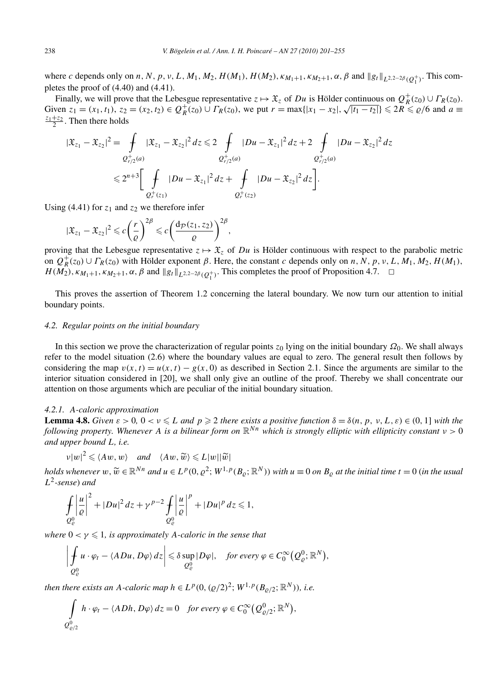where *c* depends only on *n*, *N*, *p*, *v*, *L*, *M*<sub>1</sub>, *M*<sub>2</sub>, *H*(*M*<sub>1</sub>), *H*(*M*<sub>2</sub>),  $\kappa_{M_1+1}$ ,  $\kappa_{M_2+1}$ ,  $\alpha$ ,  $\beta$  and  $||g_t||_{L^{2,2-2\beta}(Q_1^+)}$ . This completes the proof of (4.40) and (4.41).

Finally, we will prove that the Lebesgue representative  $z \mapsto \mathfrak{X}_z$  of *Du* is Hölder continuous on  $Q_R^+(z_0) \cup \Gamma_R(z_0)$ . Finally, we will prove that the Lebesgue representative  $z \mapsto x_z$  of *Du* is Holder continuous on  $Q_R(z_0) \cup R(z_0)$ .<br>Given  $z_1 = (x_1, t_1)$ ,  $z_2 = (x_2, t_2) \in Q_R^+(z_0) \cup \Gamma_R(z_0)$ , we put  $r = \max\{|x_1 - x_2|, \sqrt{|t_1 - t_2|}\} \le 2R \le \rho/6$  $\frac{z_1+z_2}{2}$ . Then there holds

$$
|\mathfrak{X}_{z_1} - \mathfrak{X}_{z_2}|^2 = \int\limits_{Q_{r/2}^+(a)} |\mathfrak{X}_{z_1} - \mathfrak{X}_{z_2}|^2 dz \leq 2 \int\limits_{Q_{r/2}^+(a)} |Du - \mathfrak{X}_{z_1}|^2 dz + 2 \int\limits_{Q_{r/2}^+(a)} |Du - \mathfrak{X}_{z_2}|^2 dz
$$
  

$$
\leq 2^{n+3} \Bigg[ \int\limits_{Q_r^+(z_1)} |Du - \mathfrak{X}_{z_1}|^2 dz + \int\limits_{Q_r^+(z_2)} |Du - \mathfrak{X}_{z_2}|^2 dz \Bigg].
$$

Using (4.41) for  $z_1$  and  $z_2$  we therefore infer

$$
|\mathfrak{X}_{z_1}-\mathfrak{X}_{z_2}|^2 \leqslant c\bigg(\frac{r}{\varrho}\bigg)^{2\beta} \leqslant c\bigg(\frac{\mathrm{d}_{\mathcal{P}}(z_1,z_2)}{\varrho}\bigg)^{2\beta},
$$

proving that the Lebesgue representative  $z \mapsto \mathfrak{X}_z$  of *Du* is Hölder continuous with respect to the parabolic metric on  $Q_R^+(z_0) \cup \Gamma_R(z_0)$  with Hölder exponent  $\beta$ . Here, the constant *c* depends only on *n*, N, p, v, L,  $M_1, M_2, H(M_1)$ ,  $H(M_2)$ ,  $\kappa_{M_1+1}, \kappa_{M_2+1}, \alpha, \beta$  and  $||g_t||_{L^{2,2-2\beta}(Q_1^+)}$ . This completes the proof of Proposition 4.7.  $\Box$ 

This proves the assertion of Theorem 1.2 concerning the lateral boundary. We now turn our attention to initial boundary points.

# *4.2. Regular points on the initial boundary*

In this section we prove the characterization of regular points *z*<sup>0</sup> lying on the initial boundary *Ω*0. We shall always refer to the model situation (2.6) where the boundary values are equal to zero. The general result then follows by considering the map  $v(x, t) = u(x, t) - g(x, 0)$  as described in Section 2.1. Since the arguments are similar to the interior situation considered in [20], we shall only give an outline of the proof. Thereby we shall concentrate our attention on those arguments which are peculiar of the initial boundary situation.

# *4.2.1. A-caloric approximation*

**Lemma 4.8.** *Given*  $\varepsilon > 0$ ,  $0 < v \le L$  *and*  $p \ge 2$  *there exists a positive function*  $\delta = \delta(n, p, v, L, \varepsilon) \in (0, 1]$  *with the following property. Whenever A is a bilinear form on* R*Nn which is strongly elliptic with ellipticity constant ν >* 0 *and upper bound L, i.e.*

 $|w|w|^2 \le \langle Aw, w \rangle$  *and*  $\langle Aw, \widetilde{w} \rangle \le L|w||\widetilde{w}|$ 

holds whenever  $w, \widetilde{w} \in \mathbb{R}^{Nn}$  and  $u \in L^p(0, \varrho^2; W^{1,p}(B_\varrho; \mathbb{R}^N))$  with  $u \equiv 0$  on  $B_\varrho$  at the initial time  $t = 0$  (in the usual *L*2*-sense*) *and*

$$
\int_{Q^0_{\varrho}}\left|\frac{u}{\varrho}\right|^2+|Du|^2\,dz+\gamma^{p-2}\int_{Q^0_{\varrho}}\left|\frac{u}{\varrho}\right|^p+|Du|^p\,dz\leq 1,
$$

*where*  $0 < \gamma \leq 1$ *, is approximately A-caloric in the sense that* 

$$
\left|\int_{Q^0_{\varrho}} u \cdot \varphi_t - \langle ADu, D\varphi \rangle dz \right| \leq \delta \sup_{Q^0_{\varrho}} |D\varphi|, \quad \text{for every } \varphi \in C_0^{\infty}(Q^0_{\varrho}; \mathbb{R}^N),
$$

*then there exists an A-caloric map*  $h \in L^p(0, (\rho/2)^2; W^{1,p}(B_{0/2}; \mathbb{R}^N))$ , *i.e.* 

$$
\int_{Q_{\varrho/2}^0} h \cdot \varphi_t - \langle A Dh, D\varphi \rangle dz = 0 \quad \text{for every } \varphi \in C_0^{\infty}(Q_{\varrho/2}^0; \mathbb{R}^N),
$$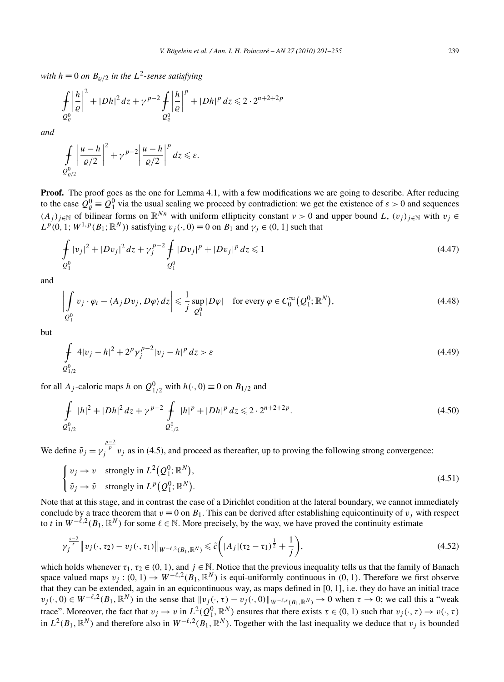*with*  $h \equiv 0$  *on*  $B_{\rho/2}$  *in the*  $L^2$ -sense satisfying

$$
\int_{Q^0_{\varrho}} \left|\frac{h}{\varrho}\right|^2 + |Dh|^2 \, dz + \gamma^{p-2} \int_{Q^0_{\varrho}} \left|\frac{h}{\varrho}\right|^p + |Dh|^p \, dz \leqslant 2 \cdot 2^{n+2+2p}
$$

*and*

$$
\int\limits_{Q^0_{\varrho/2}}\left|\frac{u-h}{\varrho/2}\right|^2+\gamma^{p-2}\left|\frac{u-h}{\varrho/2}\right|^p dz\leqslant\varepsilon.
$$

**Proof.** The proof goes as the one for Lemma 4.1, with a few modifications we are going to describe. After reducing to the case  $Q_{\varrho}^0 \equiv Q_1^0$  via the usual scaling we proceed by contradiction: we get the existence of  $\varepsilon > 0$  and sequences  $(A_j)_{j \in \mathbb{N}}$  of bilinear forms on  $\mathbb{R}^{Nn}$  with uniform ellipticity constant  $\nu > 0$  and upper bound *L*,  $(v_j)_{j \in \mathbb{N}}$  with  $v_j \in \mathbb{N}$  $L^p(0, 1; W^{1,p}(B_1; \mathbb{R}^N))$  satisfying  $v_i(\cdot, 0) \equiv 0$  on  $B_1$  and  $\gamma_i \in (0, 1]$  such that

$$
\int_{Q_1^0} |v_j|^2 + |Dv_j|^2 dz + \gamma_j^{p-2} \int_{Q_1^0} |Dv_j|^p + |Dv_j|^p dz \le 1
$$
\n(4.47)

and

$$
\left| \int_{Q_1^0} v_j \cdot \varphi_t - \langle A_j D v_j, D\varphi \rangle dz \right| \leq \frac{1}{j} \sup_{Q_1^0} |D\varphi| \quad \text{for every } \varphi \in C_0^{\infty}(Q_1^0; \mathbb{R}^N), \tag{4.48}
$$

but

$$
\int_{Q_{1/2}^0} 4|v_j - h|^2 + 2^p \gamma_j^{p-2} |v_j - h|^p dz > \varepsilon
$$
\n(4.49)

for all  $A_j$ -caloric maps  $h$  on  $Q_{1/2}^0$  with  $h(\cdot, 0) \equiv 0$  on  $B_{1/2}$  and

$$
\int_{Q_{1/2}^0} |h|^2 + |Dh|^2 dz + \gamma^{p-2} \int_{Q_{1/2}^0} |h|^p + |Dh|^p dz \leq 2 \cdot 2^{n+2+2p}.
$$
\n(4.50)

We define  $\tilde{v}_j = \gamma_j^{\frac{p-2}{p}} v_j$  as in (4.5), and proceed as thereafter, up to proving the following strong convergence:

$$
\begin{cases}\nv_j \to v & \text{strongly in } L^2(Q_1^0; \mathbb{R}^N), \\
\tilde{v}_j \to \tilde{v} & \text{strongly in } L^p(Q_1^0; \mathbb{R}^N).\n\end{cases} \tag{4.51}
$$

Note that at this stage, and in contrast the case of a Dirichlet condition at the lateral boundary, we cannot immediately conclude by a trace theorem that  $v \equiv 0$  on  $B_1$ . This can be derived after establishing equicontinuity of  $v_j$  with respect to *t* in  $W^{-\ell,2}(B_1,\mathbb{R}^N)$  for some  $\ell \in \mathbb{N}$ . More precisely, by the way, we have proved the continuity estimate

$$
\gamma_j^{\frac{s-2}{s}} \|v_j(\cdot, \tau_2) - v_j(\cdot, \tau_1)\|_{W^{-\ell, 2}(B_1, \mathbb{R}^N)} \leq \tilde{c} \left( |A_j| (\tau_2 - \tau_1)^{\frac{1}{2}} + \frac{1}{j} \right),\tag{4.52}
$$

which holds whenever  $\tau_1, \tau_2 \in (0, 1)$ , and  $j \in \mathbb{N}$ . Notice that the previous inequality tells us that the family of Banach space valued maps  $v_j : (0, 1) \to W^{-\ell, 2}(B_1, \mathbb{R}^N)$  is equi-uniformly continuous in  $(0, 1)$ . Therefore we first observe that they can be extended, again in an equicontinuous way, as maps defined in [0*,* 1], i.e. they do have an initial trace  $v_j(\cdot,0) \in W^{-\ell,2}(B_1,\mathbb{R}^N)$  in the sense that  $||v_j(\cdot,\tau)-v_j(\cdot,0)||_{W^{-\ell,s}(B_1,\mathbb{R}^N)} \to 0$  when  $\tau \to 0$ ; we call this a "weak trace". Moreover, the fact that  $v_j \to v$  in  $L^2(Q_1^0, \mathbb{R}^N)$  ensures that there exists  $\tau \in (0, 1)$  such that  $v_j(\cdot, \tau) \to v(\cdot, \tau)$ in  $L^2(B_1, \mathbb{R}^N)$  and therefore also in  $W^{-\ell,2}(B_1, \mathbb{R}^N)$ . Together with the last inequality we deduce that  $v_j$  is bounded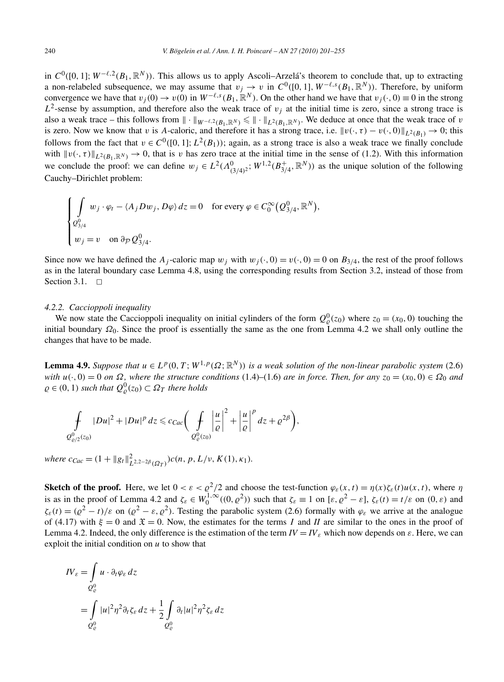in  $C^0([0, 1]; W^{-\ell, 2}(B_1, \mathbb{R}^N))$ . This allows us to apply Ascoli–Arzelá's theorem to conclude that, up to extracting a non-relabeled subsequence, we may assume that  $v_j \to v$  in  $C^0([0, 1], W^{-\ell,s}(B_1, \mathbb{R}^N))$ . Therefore, by uniform convergence we have that  $v_i(0) \to v(0)$  in  $W^{-\ell,s}(B_1,\mathbb{R}^N)$ . On the other hand we have that  $v_i(\cdot,0) \equiv 0$  in the strong  $L^2$ -sense by assumption, and therefore also the weak trace of  $v_j$  at the initial time is zero, since a strong trace is also a weak trace – this follows from  $\|\cdot\|_{W^{-\ell,2}(B_1,\mathbb{R}^N)} \leq \|\cdot\|_{L^2(B_1,\mathbb{R}^N)}$ . We deduce at once that the weak trace of *v* is zero. Now we know that *v* is *A*-caloric, and therefore it has a strong trace, i.e.  $||v(\cdot, \tau) - v(\cdot, 0)||_{L^2(B_1)} \rightarrow 0$ ; this follows from the fact that  $v \in C^0([0,1]; L^2(B_1))$ ; again, as a strong trace is also a weak trace we finally conclude with  $||v(\cdot,\tau)||_{L^2(B_1,\mathbb{R}^N)} \to 0$ , that is *v* has zero trace at the initial time in the sense of (1.2). With this information we conclude the proof: we can define  $w_j \in L^2(\Lambda^0_{(3/4)^2}; W^{1,2}(B_{3/4}^+, \mathbb{R}^N))$  as the unique solution of the following Cauchy–Dirichlet problem:

$$
\begin{cases}\n\int_{Q_{3/4}^0} w_j \cdot \varphi_t - \langle A_j D w_j, D\varphi \rangle dz = 0 & \text{for every } \varphi \in C_0^{\infty}(Q_{3/4}^0, \mathbb{R}^N), \\
w_j = v & \text{on } \partial_{\mathcal{P}} Q_{3/4}^0.\n\end{cases}
$$

Since now we have defined the *A<sub>j</sub>*-caloric map  $w_j$  with  $w_j(\cdot, 0) = v(\cdot, 0) = 0$  on  $B_{3/4}$ , the rest of the proof follows as in the lateral boundary case Lemma 4.8, using the corresponding results from Section 3.2, instead of those from Section 3.1.  $\square$ 

## *4.2.2. Caccioppoli inequality*

We now state the Caccioppoli inequality on initial cylinders of the form  $Q_{\varrho}^{0}(z_0)$  where  $z_0 = (x_0, 0)$  touching the initial boundary  $\Omega_0$ . Since the proof is essentially the same as the one from Lemma 4.2 we shall only outline the changes that have to be made.

**Lemma 4.9.** *Suppose that*  $u \in L^p(0,T; W^{1,p}(\Omega; \mathbb{R}^N))$  *is a weak solution of the non-linear parabolic system* (2.6) *with*  $u(\cdot, 0) = 0$  *on*  $\Omega$ *, where the structure conditions* (1.4)–(1.6) *are in force. Then, for any*  $z_0 = (x_0, 0) \in \Omega_0$  *and*  $\varrho \in (0, 1)$  *such that*  $Q_{\varrho}^{0}(z_0) \subset \Omega_T$  *there holds* 

$$
\int\limits_{Q^0_{\varrho/2}(z_0)}|Du|^2+|Du|^p\,dz\leqslant c_{Cac}\bigg(\int\limits_{Q^0_{\varrho}(z_0)}\bigg|\frac{u}{\varrho}\bigg|^2+\bigg|\frac{u}{\varrho}\bigg|^p\,dz+\varrho^{2\beta}\bigg),
$$

 $where \ c_{Cac} = (1 + ||g_t||_{L^{2,2-2\beta}(\Omega_T)}^2)c(n, p, L/\nu, K(1), \kappa_1).$ 

**Sketch of the proof.** Here, we let  $0 < \varepsilon < \frac{\rho^2}{2}$  and choose the test-function  $\varphi_{\varepsilon}(x,t) = \eta(x)\zeta_{\varepsilon}(t)u(x,t)$ , where  $\eta$ is as in the proof of Lemma 4.2 and  $\zeta_{\varepsilon} \in W_0^{1,\infty}((0,\varrho^2))$  such that  $\zeta_{\varepsilon} \equiv 1$  on  $[\varepsilon, \varrho^2 - \varepsilon]$ ,  $\zeta_{\varepsilon}(t) = t/\varepsilon$  on  $(0,\varepsilon)$  and  $\zeta_{\varepsilon}(t) = (\rho^2 - t)/\varepsilon$  on  $(\rho^2 - \varepsilon, \rho^2)$ . Testing the parabolic system (2.6) formally with  $\varphi_{\varepsilon}$  we arrive at the analogue of (4.17) with  $\xi = 0$  and  $\mathfrak{X} = 0$ . Now, the estimates for the terms *I* and *II* are similar to the ones in the proof of Lemma 4.2. Indeed, the only difference is the estimation of the term  $IV = IV$ <sub>*ε*</sub> which now depends on  $\varepsilon$ . Here, we can exploit the initial condition on *u* to show that

$$
IV_{\varepsilon} = \int_{Q_{\varepsilon}^{0}} u \cdot \partial_{t} \varphi_{\varepsilon} dz
$$
  
= 
$$
\int_{Q_{\varepsilon}^{0}} |u|^{2} \eta^{2} \partial_{t} \zeta_{\varepsilon} dz + \frac{1}{2} \int_{Q_{\varepsilon}^{0}} \partial_{t} |u|^{2} \eta^{2} \zeta_{\varepsilon} dz
$$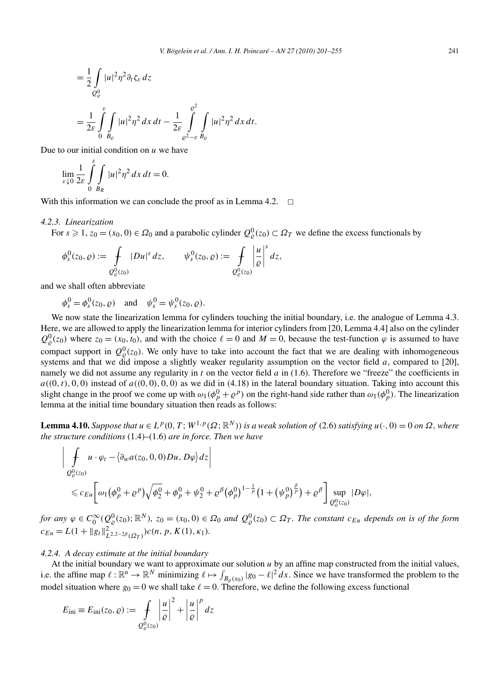$$
= \frac{1}{2} \int_{Q_{\varrho}^{0}} |u|^2 \eta^2 \partial_t \zeta_{\varepsilon} dz
$$
  
= 
$$
\frac{1}{2\varepsilon} \int_{0}^{\varepsilon} \int_{B_{\varrho}} |u|^2 \eta^2 dx dt - \frac{1}{2\varepsilon} \int_{\varrho^2 - \varepsilon}^{\varrho^2} \int_{B_{\varrho}} |u|^2 \eta^2 dx dt.
$$

Due to our initial condition on *u* we have

$$
\lim_{\varepsilon \downarrow 0} \frac{1}{2\varepsilon} \int_{0}^{\varepsilon} \int_{B_R} |u|^2 \eta^2 dx dt = 0.
$$

With this information we can conclude the proof as in Lemma 4.2.  $\Box$ 

## *4.2.3. Linearization*

For  $s \ge 1$ ,  $z_0 = (x_0, 0) \in \Omega_0$  and a parabolic cylinder  $Q^0_{\varrho}(z_0) \subset \Omega_T$  we define the excess functionals by

$$
\phi_s^0(z_0, \varrho) := \int_{Q^0_{\varrho}(z_0)} |Du|^s \, dz, \qquad \psi_s^0(z_0, \varrho) := \int_{Q^0_{\varrho}(z_0)} \left| \frac{u}{\varrho} \right|^s \, dz,
$$

and we shall often abbreviate

 $\phi_s^0 = \phi_s^0(z_0, \varrho)$  and  $\psi_s^0 = \psi_s^0(z_0, \varrho).$ 

We now state the linearization lemma for cylinders touching the initial boundary, i.e. the analogue of Lemma 4.3. Here, we are allowed to apply the linearization lemma for interior cylinders from [20, Lemma 4.4] also on the cylinder  $Q_{\varrho}^{0}(z_{0})$  where  $z_{0} = (x_{0}, t_{0})$ , and with the choice  $\ell = 0$  and  $M = 0$ , because the test-function  $\varphi$  is assumed to have compact support in  $Q_{\varrho}^{0}(z_0)$ . We only have to take into account the fact that we are dealing with inhomogeneous systems and that we did impose a slightly weaker regularity assumption on the vector field *a*, compared to [20], namely we did not assume any regularity in *t* on the vector field *a* in (1.6). Therefore we "freeze" the coefficients in  $a((0, t), 0, 0)$  instead of  $a((0, 0), 0, 0)$  as we did in (4.18) in the lateral boundary situation. Taking into account this slight change in the proof we come up with  $\omega_1(\phi_p^0 + \rho^p)$  on the right-hand side rather than  $\omega_1(\phi_p^0)$ . The linearization lemma at the initial time boundary situation then reads as follows:

**Lemma 4.10.** Suppose that  $u \in L^p(0,T; W^{1,p}(\Omega;\mathbb{R}^N))$  is a weak solution of (2.6) satisfying  $u(\cdot,0) = 0$  on  $\Omega$ , where *the structure conditions* (1.4)–(1.6) *are in force. Then we have*

$$
\left| \int_{Q_{\varrho}^{0}(z_{0})} u \cdot \varphi_{t} - \langle \partial_{w} a(z_{0}, 0, 0) D u, D \varphi \rangle dz \right|
$$
  
\$\leqslant c\_{Eu} \left[ \omega\_{1} (\phi\_{p}^{0} + \varrho^{p}) \sqrt{\phi\_{2}^{0}} + \phi\_{p}^{0} + \psi\_{2}^{0} + \varrho^{\beta} (\phi\_{p}^{0})^{1-\frac{1}{p}} (1 + (\psi\_{p}^{0})^{\frac{\beta}{p}}) + \varrho^{\beta} \right] \sup\_{Q\_{\varrho}^{0}(z\_{0})} |D \varphi|\$,

for any  $\varphi \in C_0^{\infty}(Q_{\varrho}^0(z_0); \mathbb{R}^N)$ ,  $z_0 = (x_0, 0) \in \Omega_0$  and  $Q_{\varrho}^0(z_0) \subset \Omega_T$ . The constant  $c_{Eu}$  depends on is of the form  $c_{Eu} = L(1 + ||g_t||_{L^{2,2-2\beta}(\Omega_T)}^2)c(n, p, K(1), \kappa_1).$ 

# *4.2.4. A decay estimate at the initial boundary*

At the initial boundary we want to approximate our solution *u* by an affine map constructed from the initial values, i.e. the affine map  $\ell : \mathbb{R}^n \to \mathbb{R}^N$  minimizing  $\ell \mapsto \int_{B_{\ell}(x_0)} |g_0 - \ell|^2 dx$ . Since we have transformed the problem to the model situation where  $g_0 = 0$  we shall take  $\ell = 0$ . Therefore, we define the following excess functional

$$
E_{\text{ini}} \equiv E_{\text{ini}}(z_0, \varrho) := \int\limits_{Q^0_{\varrho}(z_0)} \left| \frac{u}{\varrho} \right|^2 + \left| \frac{u}{\varrho} \right|^p dz
$$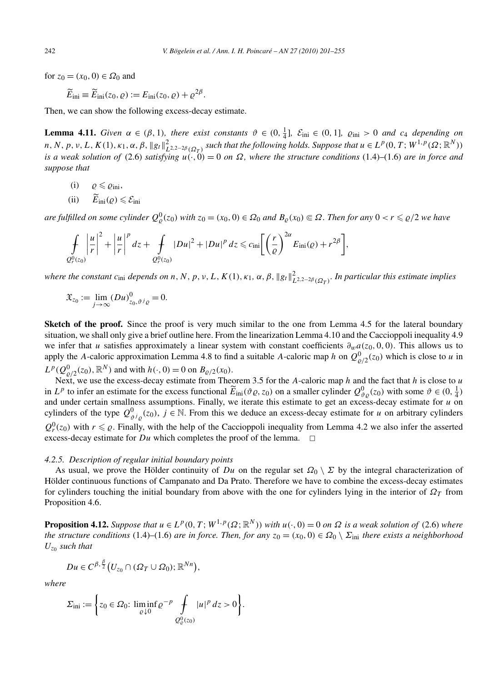for *z*<sub>0</sub> = (*x*<sub>0</sub>, 0) ∈  $Ω$ <sub>0</sub> and

$$
\widetilde{E}_{\rm ini} \equiv \widetilde{E}_{\rm ini}(z_0,\varrho) := E_{\rm ini}(z_0,\varrho) + \varrho^{2\beta}.
$$

Then, we can show the following excess-decay estimate.

**Lemma 4.11.** Given  $\alpha \in (\beta, 1)$ , there exist constants  $\vartheta \in (0, \frac{1}{4}]$ ,  $\mathcal{E}_{\text{ini}} \in (0, 1]$ ,  $\varrho_{\text{ini}} > 0$  and  $c_4$  depending on  $n, N, p, v, L, K(1), \kappa_1, \alpha, \beta, \|g_t\|_{L^{2,2-2\beta}(\Omega_T)}^2$  such that the following holds. Suppose that  $u\in L^p(0,T;W^{1,p}(\Omega;\mathbb{R}^N))$ *is a weak solution of* (2.6) *satisfying*  $u(\cdot, 0) = 0$  *on*  $\Omega$ , *where the structure conditions* (1.4)–(1.6) *are in force and suppose that*

- $(i)$   $\rho \leqslant \rho_{\text{ini}}$ ,
- (ii)  $E_{\text{ini}}(\varrho) \leqslant \mathcal{E}_{\text{ini}}$

are fulfilled on some cylinder  $Q^0_{\varrho}(z_0)$  with  $z_0=(x_0,0)\in\Omega_0$  and  $B_{\varrho}(x_0)\Subset\Omega$ . Then for any  $0 < r \leqslant \varrho/2$  we have

$$
\oint\limits_{Q_r^0(z_0)}\left|\frac{u}{r}\right|^2+\left|\frac{u}{r}\right|^p dz+\oint\limits_{Q_r^0(z_0)}|Du|^2+|Du|^p dz \leqslant c_{\rm ini}\bigg[\bigg(\frac{r}{\varrho}\bigg)^{2\alpha}E_{\rm ini}(\varrho)+r^{2\beta}\bigg],
$$

where the constant  $c_{\text{ini}}$  depends on  $n, N, p, v, L, K(1), \kappa_1, \alpha, \beta, \|g_t\|_{L^{2,2-2\beta}(\Omega_T)}^2$ . In particular this estimate implies

$$
\mathfrak{X}_{z_0} := \lim_{j \to \infty} (Du)_{z_0, \vartheta^j \varrho}^0 = 0.
$$

**Sketch of the proof.** Since the proof is very much similar to the one from Lemma 4.5 for the lateral boundary situation, we shall only give a brief outline here. From the linearization Lemma 4.10 and the Caccioppoli inequality 4.9 we infer that *u* satisfies approximately a linear system with constant coefficients *∂wa(z*0*,* 0*,* 0*)*. This allows us to apply the *A*-caloric approximation Lemma 4.8 to find a suitable *A*-caloric map *h* on  $Q_{\varrho/2}^0(z_0)$  which is close to *u* in  $L^p(Q^0_{\varrho/2}(z_0), \mathbb{R}^N)$  and with  $h(\cdot, 0) = 0$  on  $B_{\varrho/2}(x_0)$ .

Next, we use the excess-decay estimate from Theorem 3.5 for the *A*-caloric map *h* and the fact that *h* is close to *u* in *L*<sup>*p*</sup> to infer an estimate for the excess functional  $\widetilde{E}_{\text{ini}}(\vartheta \varrho, z_0)$  on a smaller cylinder  $Q_{\vartheta \varrho}^0(z_0)$  with some  $\vartheta \in (0, \frac{1}{4})$ and under certain smallness assumptions. Finally, we iterate this estimate to get an excess-decay estimate for *u* on cylinders of the type  $Q_{\vartheta i_{\varrho}}^0(z_0)$ ,  $j \in \mathbb{N}$ . From this we deduce an excess-decay estimate for *u* on arbitrary cylinders  $Q_r^0(z_0)$  with  $r \leq \varrho$ . Finally, with the help of the Caccioppoli inequality from Lemma 4.2 we also infer the asserted excess-decay estimate for  $Du$  which completes the proof of the lemma.  $\Box$ 

# *4.2.5. Description of regular initial boundary points*

As usual, we prove the Hölder continuity of *Du* on the regular set  $\Omega_0 \setminus \Sigma$  by the integral characterization of Hölder continuous functions of Campanato and Da Prato. Therefore we have to combine the excess-decay estimates for cylinders touching the initial boundary from above with the one for cylinders lying in the interior of  $\Omega_T$  from Proposition 4.6.

**Proposition 4.12.** Suppose that  $u \in L^p(0,T; W^{1,p}(\Omega;\mathbb{R}^N))$  with  $u(\cdot,0) = 0$  on  $\Omega$  is a weak solution of (2.6) where *the structure conditions* (1.4)–(1.6) *are in force. Then, for any*  $z_0 = (x_0, 0) \in \Omega_0 \setminus \Sigma_{\text{ini}}$  *there exists a neighborhood*  $U_{z_0}$  *such that* 

$$
Du\in C^{\beta,\frac{\beta}{2}}\big(U_{z_0}\cap(\Omega_T\cup\Omega_0);\mathbb{R}^{Nn}\big),\,
$$

*where*

$$
\Sigma_{\text{ini}} := \left\{ z_0 \in \Omega_0 : \liminf_{\varrho \downarrow 0} \varrho^{-p} \int\limits_{Q^0_{\varrho}(z_0)} |u|^p \, dz > 0 \right\}.
$$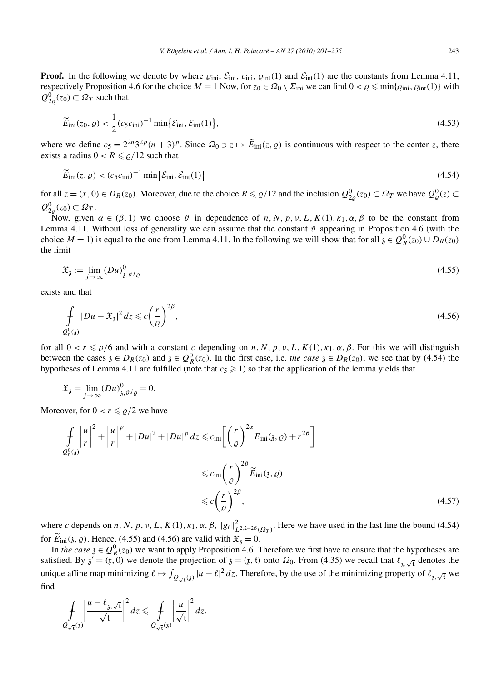**Proof.** In the following we denote by where  $\varrho_{\text{ini}}$ ,  $\varrho_{\text{ini}}$ ,  $\varrho_{\text{int}}(1)$  and  $\varrho_{\text{int}}(1)$  are the constants from Lemma 4.11, respectively Proposition 4.6 for the choice  $M = 1$  Now, for  $z_0 \in \Omega_0 \setminus \Sigma_{\text{ini}}$  we can find  $0 < \varrho \leq \min\{\varrho_{\text{ini}}, \varrho_{\text{int}}(1)\}\$  with  $Q_{2\rho}^0(z_0) \subset \Omega_T$  such that

$$
\widetilde{E}_{\rm ini}(z_0,\varrho) < \frac{1}{2} (c_5 c_{\rm ini})^{-1} \min \{ \mathcal{E}_{\rm ini}, \mathcal{E}_{\rm int}(1) \},\tag{4.53}
$$

where we define  $c_5 = 2^{2n}3^{2p}(n+3)^p$ . Since  $\Omega_0 \ni z \mapsto \widetilde{E}_{\text{ini}}(z,\varrho)$  is continuous with respect to the center *z*, there exists a radius  $0 < R \le \rho/12$  such that

$$
\widetilde{E}_{\text{ini}}(z,\varrho) < (c_5 c_{\text{ini}})^{-1} \min \{ \mathcal{E}_{\text{ini}}, \mathcal{E}_{\text{int}}(1) \} \tag{4.54}
$$

for all  $z = (x, 0) \in D_R(z_0)$ . Moreover, due to the choice  $R \le \rho/12$  and the inclusion  $Q_{2\rho}^0(z_0) \subset \Omega_T$  we have  $Q_{\rho}^0(z) \subset \Omega_T$  $Q_{2\varrho}^0(z_0) \subset \Omega_T$ .

Now, given *α* ∈ (*β,* 1) we choose *θ* in dependence of *n, N, p, v, L, K*(1)*, κ*<sub>1</sub>*, α, β* to be the constant from Lemma 4.11. Without loss of generality we can assume that the constant  $\vartheta$  appearing in Proposition 4.6 (with the choice  $M = 1$ ) is equal to the one from Lemma 4.11. In the following we will show that for all  $\mathfrak{z} \in Q_R^0(z_0) \cup D_R(z_0)$ the limit

$$
\mathfrak{X}_{\mathfrak{z}} := \lim_{j \to \infty} (Du)_{\mathfrak{z}, \vartheta^j \varrho}^0 \tag{4.55}
$$

exists and that

$$
\int_{Q_r^0(\mathfrak{z})} |Du - \mathfrak{X}_{\mathfrak{z}}|^2 dz \leqslant c \left(\frac{r}{\varrho}\right)^{2\beta},\tag{4.56}
$$

for all  $0 < r \le \rho/6$  and with a constant *c* depending on *n*, *N*, *p*, *v*, *L*, *K*(1),  $\kappa_1$ ,  $\alpha$ ,  $\beta$ . For this we will distinguish between the cases  $\mathfrak{z} \in D_R(z_0)$  and  $\mathfrak{z} \in Q_R^0(z_0)$ . In the first case, i.e. *the case*  $\mathfrak{z} \in D_R(z_0)$ , we see that by (4.54) the hypotheses of Lemma 4.11 are fulfilled (note that  $c_5 \geqslant 1$ ) so that the application of the lemma yields that

$$
\mathfrak{X}_{\mathfrak{z}} = \lim_{j \to \infty} (Du)_{\mathfrak{z}, \vartheta^j \varrho}^0 = 0.
$$

Moreover, for  $0 < r \le \rho/2$  we have

$$
\int_{Q_r^0(3)} \left| \frac{u}{r} \right|^2 + \left| \frac{u}{r} \right|^p + |Du|^2 + |Du|^p \, dz \leqslant c_{\text{ini}} \left[ \left( \frac{r}{\varrho} \right)^{2\alpha} E_{\text{ini}}(3, \varrho) + r^{2\beta} \right]
$$
\n
$$
\leqslant c_{\text{ini}} \left( \frac{r}{\varrho} \right)^{2\beta} \widetilde{E}_{\text{ini}}(3, \varrho)
$$
\n
$$
\leqslant c \left( \frac{r}{\varrho} \right)^{2\beta}, \tag{4.57}
$$

where *c* depends on *n*, *N*, *p*, *v*, *L*, *K*(1),  $\kappa_1$ ,  $\alpha$ ,  $\beta$ ,  $\|g_t\|_{L^{2,2-2\beta}(\Omega_T)}^2$ . Here we have used in the last line the bound (4.54) for  $E_{\text{ini}}(\mathfrak{z},\varrho)$ . Hence, (4.55) and (4.56) are valid with  $\mathfrak{X}_{\mathfrak{z}}=0$ .

In *the case*  $\mathfrak{z} \in Q_R^0(z_0)$  we want to apply Proposition 4.6. Therefore we first have to ensure that the hypotheses are satisfied. By  $\chi' = (x, 0)$  we denote the projection of  $\chi = (x, t)$  onto  $\Omega_0$ . From (4.35) we recall that  $\ell_{\chi, \sqrt{t}}$  denotes the unique affine map minimizing  $\ell \mapsto \int_{Q_{\sqrt{t}}(3)} |u - \ell|^2 dz$ . Therefore, by the use of the minimizing property of  $\ell_{3,\sqrt{t}}$  we find

$$
\oint\limits_{Q_{\sqrt{t}}(3)} \left|\frac{u-\ell_{3,\sqrt{t}}}{\sqrt{t}}\right|^2 dz \leq \oint\limits_{Q_{\sqrt{t}}(3)} \left|\frac{u}{\sqrt{t}}\right|^2 dz.
$$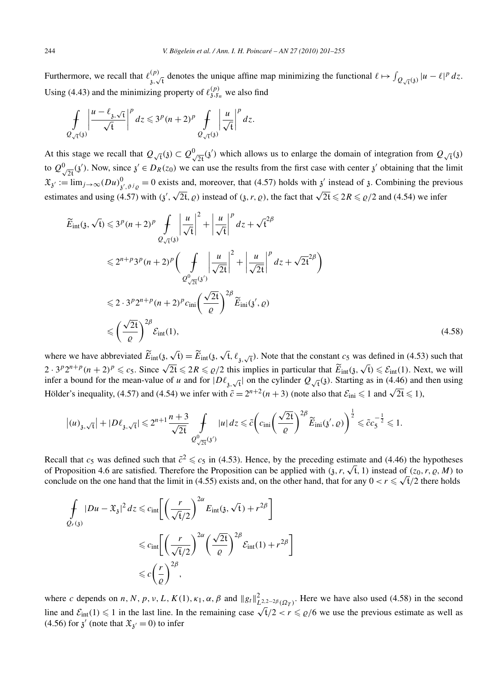Furthermore, we recall that  $\ell_{\lambda}^{(p)}$  $\int_{\mathcal{B}}(p)$  denotes the unique affine map minimizing the functional  $\ell \mapsto \int_{Q_{\sqrt{t}}(\mathfrak{z})} |u - \ell|^p dz$ . Using (4.43) and the minimizing property of  $\ell_{3,\xi_n}^{(p)}$  we also find

$$
\oint\limits_{Q_{\sqrt{t}}(3)} \left| \frac{u - \ell_{3,\sqrt{t}}}{\sqrt{t}} \right|^p dz \leqslant 3^p (n+2)^p \oint\limits_{Q_{\sqrt{t}}(3)} \left| \frac{u}{\sqrt{t}} \right|^p dz.
$$

At this stage we recall that  $Q_{\sqrt{t}}(3) \subset Q_{\sqrt{2t}}^0(3')$  which allows us to enlarge the domain of integration from  $Q_{\sqrt{t}}(3)$ to  $Q^0_{\sqrt{2}t}(3')$ . Now, since  $3' \in D_R(z_0)$  we can use the results from the first case with center  $3'$  obtaining that the limit  $\mathfrak{X}_{\mathfrak{z}} := \lim_{j \to \infty} (Du)_{\mathfrak{z}',\mathfrak{z}^j}^0 = 0$  exists and, moreover, that (4.57) holds with  $\mathfrak{z}'$  instead of  $\mathfrak{z}$ . Combining the previous estimates and using (4.57) with  $(\frac{3}{2}, \sqrt{2t}, \rho)$  instead of  $(\frac{3}{2}, r, \rho)$ , the fact that  $\sqrt{2t} \leq 2R \leq \rho/2$  and (4.54) we infer

$$
\widetilde{E}_{int}(\mathfrak{z}, \sqrt{t}) \leqslant 3^{p} (n+2)^{p} \int_{Q_{\sqrt{t}}(\mathfrak{z})} \left| \frac{u}{\sqrt{t}} \right|^{2} + \left| \frac{u}{\sqrt{t}} \right|^{p} dz + \sqrt{t}^{2\beta}
$$
\n
$$
\leqslant 2^{n+p} 3^{p} (n+2)^{p} \left( \int_{Q_{\sqrt{2t}}^{0} (\mathfrak{z})} \left| \frac{u}{\sqrt{2t}} \right|^{2} + \left| \frac{u}{\sqrt{2t}} \right|^{p} dz + \sqrt{2t}^{2\beta} \right)
$$
\n
$$
\leqslant 2 \cdot 3^{p} 2^{n+p} (n+2)^{p} c_{\text{ini}} \left( \frac{\sqrt{2t}}{\varrho} \right)^{2\beta} \widetilde{E}_{\text{ini}}(\mathfrak{z}', \varrho)
$$
\n
$$
\leqslant \left( \frac{\sqrt{2t}}{\varrho} \right)^{2\beta} \mathcal{E}_{\text{int}}(1), \tag{4.58}
$$

where we have abbreviated  $\widetilde{E}_{\text{int}}(\mathfrak{z}, \sqrt{t}) = \widetilde{E}_{\text{int}}(\mathfrak{z}, \sqrt{t}, \ell_{\mathfrak{z}, \sqrt{t}})$ . Note that the constant  $c_5$  was defined in (4.53) such that 2 ·  $3^p 2^{n+p} (n+2)^p \leq c_5$ . Since  $\sqrt{2t} \leq 2R \leq \rho/2$  this implies in particular that  $\widetilde{E}_{int}(\mathfrak{z}, \sqrt{t}) \leq \mathcal{E}_{int}(1)$ . Next, we will infer a bound for the mean-value of *u* and for  $|D\ell_{\hat{j},\sqrt{t}}|$  on the cylinder  $Q_{\sqrt{t}}(\hat{j})$ . Starting as in (4.46) and then using Hölder's inequality, (4.57) and (4.54) we infer with  $\tilde{c} = 2^{n+2}(n+3)$  (note also that  $\mathcal{E}_{\text{ini}} \leq 1$  and  $\sqrt{2t} \leq 1$ ),

$$
\big|(u)_{\mathfrak{z},\sqrt{t}}\big| + |D\ell_{\mathfrak{z},\sqrt{t}}| \leqslant 2^{n+1}\frac{n+3}{\sqrt{2t}}\mathop{\int}_{\mathcal{Q}^0_{\sqrt{2t}}(3^{\prime})} |u|\,dz \leqslant \tilde{c} \bigg( c_{\mathrm{ini}} \bigg(\frac{\sqrt{2t}}{\varrho}\bigg)^{2\beta}\widetilde{E}_{\mathrm{ini}}(3^{\prime},\varrho)\bigg)^{\frac{1}{2}} \leqslant \tilde{c}c_5^{-\frac{1}{2}} \leqslant 1.
$$

Recall that  $c_5$  was defined such that  $\tilde{c}^2 \leq c_5$  in (4.53). Hence, by the preceding estimate and (4.46) the hypotheses of Proposition 4.6 are satisfied. Therefore the Proposition can be applied with  $(3, r, \sqrt{t}, 1)$  instead of  $(z_0, r, \varrho, M)$  to conclude on the one hand that the limit in (4.55) exists and, on the other hand, that for any  $0 < r \le \sqrt{t}/2$  there holds

$$
\int_{Q_r(y)} |Du - \mathfrak{X}_{\mathfrak{z}}|^2 dz \leq c_{\inf} \left[ \left( \frac{r}{\sqrt{\mathfrak{t}}/2} \right)^{2\alpha} E_{\inf}(\mathfrak{z}, \sqrt{\mathfrak{t}}) + r^{2\beta} \right]
$$
\n
$$
\leq c_{\inf} \left[ \left( \frac{r}{\sqrt{\mathfrak{t}}/2} \right)^{2\alpha} \left( \frac{\sqrt{2\mathfrak{t}}}{\varrho} \right)^{2\beta} \mathcal{E}_{\inf}(1) + r^{2\beta} \right]
$$
\n
$$
\leq c \left( \frac{r}{\varrho} \right)^{2\beta},
$$

where *c* depends on *n*, *N*, *p*, *v*, *L*, *K*(1),  $\kappa_1$ ,  $\alpha$ ,  $\beta$  and  $||g_t||_{L^{2,2-2\beta}(\Omega_T)}^2$ . Here we have also used (4.58) in the second line and  $\mathcal{E}_{int}(1) \leq 1$  in the last line. In the remaining case  $\sqrt{t/2} < r \leq \rho/6$  we use the previous estimate as well as (4.56) for  $\chi'$  (note that  $\mathfrak{X}_{\chi'} = 0$ ) to infer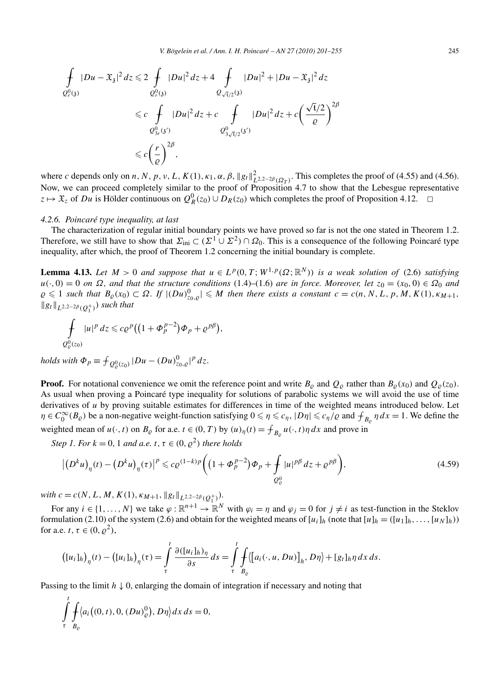$$
\begin{split} \oint\limits_{Q^0_r(j)}|Du-\mathfrak{X}_\mathfrak{z}|^2\,dz &\leq 2\oint\limits_{Q^0_r(j)}|Du|^2\,dz+4\oint\limits_{Q_{\sqrt{t}/2}(3)}|Du|^2+|Du-\mathfrak{X}_\mathfrak{z}|^2\,dz\\ &\leq c\oint\limits_{Q^0_{3r}(3')}|Du|^2\,dz+c\oint\limits_{Q^0_{3\sqrt{t}/2}(3')}|Du|^2\,dz+c\bigg(\frac{\sqrt{t}/2}{\varrho}\bigg)^{2\beta}\\ &\leq c\bigg(\frac{r}{\varrho}\bigg)^{2\beta}, \end{split}
$$

where *c* depends only on *n*, *N*, *p*, *v*, *L*, *K*(1),  $\kappa_1$ ,  $\alpha$ ,  $\beta$ ,  $\|g_t\|_{L^{2,2-2\beta}(\Omega_T)}^2$ . This completes the proof of (4.55) and (4.56). Now, we can proceed completely similar to the proof of Proposition 4.7 to show that the Lebesgue representative  $z \mapsto \mathfrak{X}_z$  of *Du* is Hölder continuous on  $Q_R^0(z_0) \cup D_R(z_0)$  which completes the proof of Proposition 4.12. **□** 

## *4.2.6. Poincaré type inequality, at last*

The characterization of regular initial boundary points we have proved so far is not the one stated in Theorem 1.2. Therefore, we still have to show that  $\Sigma_{\text{ini}} \subset (\Sigma^1 \cup \Sigma^2) \cap \Omega_0$ . This is a consequence of the following Poincaré type inequality, after which, the proof of Theorem 1.2 concerning the initial boundary is complete.

**Lemma 4.13.** Let  $M > 0$  and suppose that  $u \in L^p(0,T; W^{1,p}(\Omega; \mathbb{R}^N))$  is a weak solution of (2.6) satisfying  $u(\cdot, 0) = 0$  *on*  $\Omega$ , and that the structure conditions (1.4)–(1.6) *are in force. Moreover, let*  $z_0 = (x_0, 0) \in \Omega_0$  *and*  $\varrho \leq 1$  such that  $B_{\varrho}(x_0) \subset \Omega$ . If  $|(Du)_{z_0,\varrho}^0| \leq M$  then there exists a constant  $c = c(n, N, L, p, M, K(1), \kappa_{M+1},$  $||g_t||_{L^{2,2-2\beta}(Q_1^+)}$ *) such that* 

$$
\int\limits_{Q^0_{\varrho}(z_0)}|u|^p\,dz\leqslant c\varrho^p\big(\big(1+\Phi_p^{p-2}\big)\varPhi_p+\varrho^{p\beta}\big),
$$

*holds with*  $\Phi_p \equiv \int_{Q^0_{\varrho}(z_0)} |Du - (Du)^0_{z_0, \varrho}|^p dz$ .

**Proof.** For notational convenience we omit the reference point and write  $B_\rho$  and  $Q_\rho$  rather than  $B_\rho(x_0)$  and  $Q_\rho(z_0)$ . As usual when proving a Poincaré type inequality for solutions of parabolic systems we will avoid the use of time derivatives of *u* by proving suitable estimates for differences in time of the weighted means introduced below. Let  $\eta \in C_0^{\infty}(B_\varrho)$  be a non-negative weight-function satisfying  $0 \le \eta \le c_\eta$ ,  $|D\eta| \le c_\eta/\varrho$  and  $f_{B_\varrho} \eta dx = 1$ . We define the weighted mean of  $u(\cdot, t)$  on  $B_{\varrho}$  for a.e.  $t \in (0, T)$  by  $(u)_{\eta}(t) = \int_{B_{\varrho}} u(\cdot, t) \eta dx$  and prove in

*Step 1. For*  $k = 0, 1$  *and a.e.*  $t, \tau \in (0, \varrho^2)$  *there holds* 

$$
\left|\left(D^k u\right)_{\eta}(t) - \left(D^k u\right)_{\eta}(\tau)\right|^p \leqslant c\varrho^{(1-k)p} \bigg(\left(1+\Phi_p^{p-2}\right)\Phi_p + \int_{Q^0_\varrho} |u|^{p\beta} \, dz + \varrho^{p\beta}\bigg),\tag{4.59}
$$

 $with \ c = c(N, L, M, K(1), \kappa_{M+1}, ||g_t||_{L^{2,2-2\beta}(Q_1^+)}).$ 

For any  $i \in \{1, ..., N\}$  we take  $\varphi : \mathbb{R}^{n+1} \to \mathbb{R}^N$  with  $\varphi_i = \eta$  and  $\varphi_j = 0$  for  $j \neq i$  as test-function in the Steklov formulation (2.10) of the system (2.6) and obtain for the weighted means of  $[u_i]_h$  (note that  $[u]_h = ([u_1]_h, \ldots, [u_N]_h)$ ) for a.e. *t*,  $\tau \in (0, \varrho^2)$ ,

$$
([u_i]_h)_{\eta}(t) - ([u_i]_h)_{\eta}(\tau) = \int_{\tau}^t \frac{\partial([u_i]_h)_{\eta}}{\partial s} ds = \int_{\tau}^t \int_{B_{\varrho}} ([a_i(\cdot, u, Du)]_h, D\eta) + [g_t]_h \eta \, dx \, ds.
$$

Passing to the limit  $h \downarrow 0$ , enlarging the domain of integration if necessary and noting that

$$
\int_{\tau}^{t} \int_{B_{\varrho}} \langle a_i \big((0, t), 0, (Du)_{\varrho}^0 \big), D\eta \rangle dx ds = 0,
$$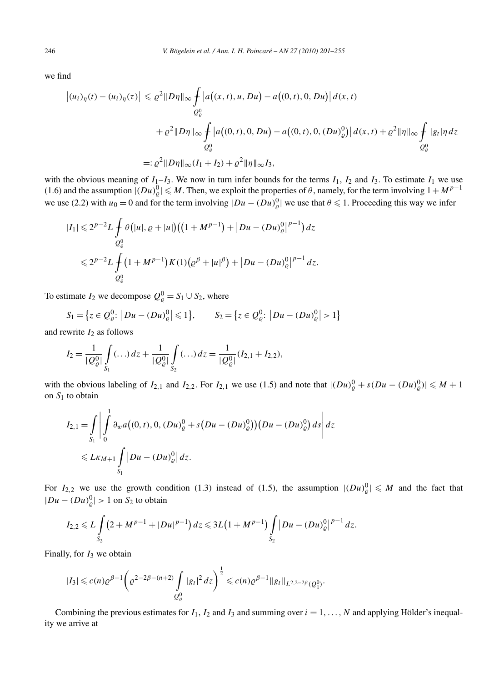we find

$$
\begin{aligned} \left| (u_i)_{\eta}(t) - (u_i)_{\eta}(\tau) \right| &\leq \varrho^2 \| D\eta \|_{\infty} \int_{Q^0_{\varrho}} \left| a\big((x,t), u, Du\big) - a\big((0,t), 0, Du\big) \right| d(x,t) \\ &\quad + \varrho^2 \| D\eta \|_{\infty} \int_{Q^0_{\varrho}} \left| a\big((0,t), 0, Du\big) - a\big((0,t), 0, (Du)^0_{\varrho}\big) \right| d(x,t) + \varrho^2 \| \eta \|_{\infty} \int_{Q^0_{\varrho}} |g_t| \eta \, dz \\ &\leq \varrho^2 \| D\eta \|_{\infty} (I_1 + I_2) + \varrho^2 \| \eta \|_{\infty} I_3, \end{aligned}
$$

with the obvious meaning of  $I_1-I_3$ . We now in turn infer bounds for the terms  $I_1$ ,  $I_2$  and  $I_3$ . To estimate  $I_1$  we use (1.6) and the assumption  $|(Du)_\rho^0| \leq M$ . Then, we exploit the properties of  $\theta$ , namely, for the term involving  $1 + M^{p-1}$ we use (2.2) with  $u_0 = 0$  and for the term involving  $|Du - (Du)_\rho^0|$  we use that  $\theta \le 1$ . Proceeding this way we infer

$$
|I_1| \leq 2^{p-2} L \int_{Q^0_{\varrho}} \theta\big(|u|, \varrho + |u|\big) \big( \big(1 + M^{p-1}\big) + \big|Du - (Du)_{\varrho}^0\big|^{p-1}\big) dz
$$
  

$$
\leq 2^{p-2} L \int_{Q^0_{\varrho}} \big(1 + M^{p-1}\big) K(1) \big(\varrho^{\beta} + |u|^{\beta}\big) + \big|Du - (Du)_{\varrho}^0\big|^{p-1} dz.
$$

To estimate  $I_2$  we decompose  $Q_{\varrho}^0 = S_1 \cup S_2$ , where

$$
S_1 = \left\{ z \in Q^0_{\varrho}: \left| Du - (Du)^0_{\varrho} \right| \leq 1 \right\}, \qquad S_2 = \left\{ z \in Q^0_{\varrho}: \left| Du - (Du)^0_{\varrho} \right| > 1 \right\}
$$

and rewrite  $I_2$  as follows

$$
I_2 = \frac{1}{|Q_{\varrho}^0|} \int\limits_{S_1} (\ldots) dz + \frac{1}{|Q_{\varrho}^0|} \int\limits_{S_2} (\ldots) dz = \frac{1}{|Q_{\varrho}^0|} (I_{2,1} + I_{2,2}),
$$

with the obvious labeling of  $I_{2,1}$  and  $I_{2,2}$ . For  $I_{2,1}$  we use (1.5) and note that  $|(Du)_{\varrho}^0 + s(Du - (Du)_{\varrho}^0)| \leq M + 1$ on  $S_1$  to obtain

$$
I_{2,1} = \int_{S_1} \left| \int_0^1 \partial_w a \big( (0, t), 0, (Du)^0_{\varrho} + s \big( Du - (Du)^0_{\varrho} \big) \big) \big( Du - (Du)^0_{\varrho} \big) ds \right| dz
$$
  
\$\leqslant L\kappa\_{M+1} \int\_{S\_1} |Du - (Du)^0\_{\varrho}| dz.\$

For  $I_{2,2}$  we use the growth condition (1.3) instead of (1.5), the assumption  $|(Du)_{\varrho}^0| \le M$  and the fact that  $|Du - (Du)_Q^0| > 1$  on *S*<sub>2</sub> to obtain

$$
I_{2,2} \leq L \int\limits_{S_2} \left(2 + M^{p-1} + |Du|^{p-1}\right) dz \leq 3L\left(1 + M^{p-1}\right) \int\limits_{S_2} \left|Du - (Du)_{\varrho}^0\right|^{p-1} dz.
$$

Finally, for  $I_3$  we obtain

$$
|I_3| \leqslant c(n)\varrho^{\beta-1} \bigg(\varrho^{2-2\beta-(n+2)} \int\limits_{Q^0_\varrho} |g_t|^2 \, dz\bigg)^{\frac{1}{2}} \leqslant c(n)\varrho^{\beta-1} \|g_t\|_{L^{2,2-2\beta}(Q^0_1)}.
$$

Combining the previous estimates for  $I_1$ ,  $I_2$  and  $I_3$  and summing over  $i = 1, \ldots, N$  and applying Hölder's inequality we arrive at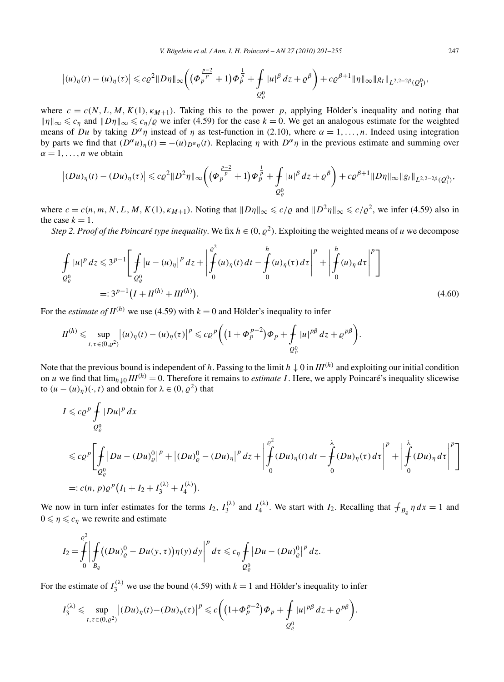$$
\left| (u)_{\eta}(t) - (u)_{\eta}(\tau) \right| \leqslant c \varrho^{2} \| D\eta \|_{\infty} \left( \left( \Phi_{p}^{\frac{p-2}{p}} + 1 \right) \Phi_{p}^{\frac{1}{p}} + \int_{Q_{\varrho}^{0}} |u|^{\beta} \, dz + \varrho^{\beta} \right) + c \varrho^{\beta+1} \|\eta\|_{\infty} \| g_{t} \|_{L^{2,2-2\beta}(Q_{1}^{0})},
$$

where  $c = c(N, L, M, K(1), \kappa_{M+1})$ . Taking this to the power *p*, applying Hölder's inequality and noting that  $||\eta||_{\infty} \leq c_n$  and  $||D\eta||_{\infty} \leq c_n/\varrho$  we infer (4.59) for the case  $k = 0$ . We get an analogous estimate for the weighted means of *Du* by taking  $D^{\alpha} \eta$  instead of  $\eta$  as test-function in (2.10), where  $\alpha = 1, \ldots, n$ . Indeed using integration by parts we find that  $(D^{\alpha}u)_n(t) = -(u)_{D^{\alpha}n}(t)$ . Replacing  $\eta$  with  $D^{\alpha}\eta$  in the previous estimate and summing over  $\alpha = 1, \ldots, n$  we obtain

$$
\left| (Du)_{\eta}(t) - (Du)_{\eta}(\tau) \right| \leqslant c \varrho^{2} \| D^{2} \eta \|_{\infty} \bigg( \big( \Phi_{p}^{\frac{p-2}{p}} + 1 \big) \Phi_{p}^{\frac{1}{p}} + \int_{Q_{\varrho}^{0}} |u|^{\beta} \, dz + \varrho^{\beta} \bigg) + c \varrho^{\beta+1} \| D \eta \|_{\infty} \| g_{t} \|_{L^{2,2-2\beta}(Q_{1}^{0})},
$$

where  $c = c(n, m, N, L, M, K(1), \kappa_{M+1})$ . Noting that  $||D\eta||_{\infty} \leq c/\rho$  and  $||D^2\eta||_{\infty} \leq c/\rho^2$ , we infer (4.59) also in the case  $k = 1$ .

*Step 2. Proof of the Poincaré type inequality.* We fix  $h \in (0, \varrho^2)$ . Exploiting the weighted means of *u* we decompose

$$
\int_{Q_{\varrho}^{0}} |u|^{p} dz \leqslant 3^{p-1} \bigg[ \int_{Q_{\varrho}^{0}} |u - (u)_{\eta}|^{p} dz + \bigg| \int_{0}^{\varrho^{2}} (u)_{\eta}(t) dt - \int_{0}^{h} (u)_{\eta}(\tau) d\tau \bigg|^{p} + \bigg| \int_{0}^{h} (u)_{\eta} d\tau \bigg|^{p} \bigg]
$$
\n
$$
=: 3^{p-1} \big( I + H^{(h)} + H^{(h)} \big). \tag{4.60}
$$

For the *estimate of*  $II^{(h)}$  we use (4.59) with  $k = 0$  and Hölder's inequality to infer

$$
II^{(h)} \leq \sup_{t,\tau \in (0,\varrho^2)} |(u)_\eta(t) - (u)_\eta(\tau)|^p \leq c \varrho^p \Big( \big(1+\Phi_p^{p-2}\big) \Phi_p + \int_{Q^0_\varrho} |u|^{p\beta} \, dz + \varrho^{p\beta} \Big).
$$

Note that the previous bound is independent of *h*. Passing to the limit  $h \downarrow 0$  in  $III^{(h)}$  and exploiting our initial condition on *u* we find that  $\lim_{h\downarrow 0}III^{(h)} = 0$ . Therefore it remains to *estimate I*. Here, we apply Poincaré's inequality slicewise to  $(u - (u)_n)(\cdot, t)$  and obtain for  $\lambda \in (0, \rho^2)$  that

$$
I \leq c \rho^{p} \int_{Q_{\rho}^{0}} |Du|^{p} dx
$$
  
\n
$$
\leq c \rho^{p} \left[ \int_{Q_{\rho}^{0}} |Du - (Du)_{\rho}^{0}|^{p} + |(Du)_{\rho}^{0} - (Du)_{\eta}|^{p} dz + \left| \int_{0}^{2^{2}} (Du)_{\eta}(t) dt - \int_{0}^{\lambda} (Du)_{\eta}(\tau) d\tau \right|^{p} + \left| \int_{0}^{\lambda} (Du)_{\eta} d\tau \right|^{p} \right]
$$
  
\n
$$
=: c(n, p) \rho^{p} (I_{1} + I_{2} + I_{3}^{(\lambda)} + I_{4}^{(\lambda)}).
$$

We now in turn infer estimates for the terms  $I_2$ ,  $I_3^{(\lambda)}$  and  $I_4^{(\lambda)}$ . We start with  $I_2$ . Recalling that  $\int_{B_\rho} \eta \, dx = 1$  and  $0 \leq \eta \leq c_n$  we rewrite and estimate

$$
I_2 = \int_0^{Q^2} \left| \int_{B_{\varrho}} \left( (Du)_{\varrho}^0 - Du(y, \tau) \right) \eta(y) \, dy \right|^p d\tau \leq c_\eta \int_{Q_{\varrho}^0} |Du - (Du)_{\varrho}^0|^p \, dz.
$$

For the estimate of  $I_3^{(\lambda)}$  we use the bound (4.59) with  $k = 1$  and Hölder's inequality to infer

$$
I_3^{(\lambda)} \leqslant \sup_{t,\tau \in (0,\varrho^2)} \left| (Du)_{\eta}(t) - (Du)_{\eta}(\tau) \right|^p \leqslant c \bigg( \left(1+\Phi_p^{p-2}\right) \Phi_p + \oint_{Q^0_\varrho} |u|^{p\beta} \, dz + \varrho^{p\beta} \bigg).
$$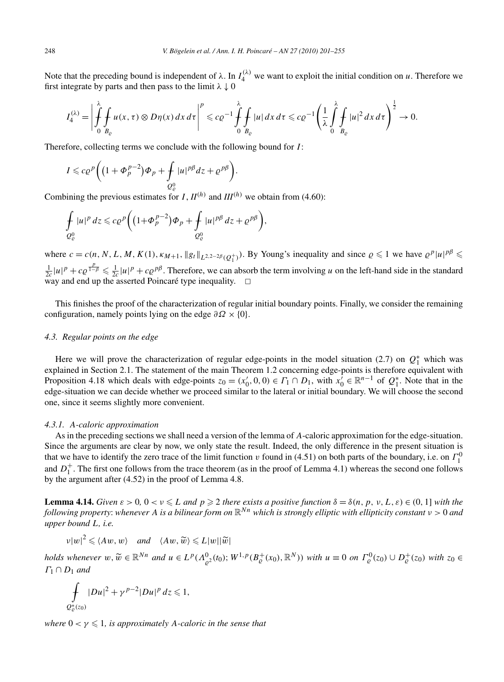Note that the preceding bound is independent of  $\lambda$ . In  $I_4^{(\lambda)}$  we want to exploit the initial condition on *u*. Therefore we first integrate by parts and then pass to the limit  $\lambda \downarrow 0$ 

$$
I_4^{(\lambda)} = \left| \oint\limits_0^{\lambda} \oint\limits_{B_{\varrho}} u(x,\tau) \otimes D\eta(x) \, dx \, d\tau \right|^p \leqslant c \varrho^{-1} \oint\limits_0^{\lambda} \oint\limits_{B_{\varrho}} |u| \, dx \, d\tau \leqslant c \varrho^{-1} \left( \frac{1}{\lambda} \int\limits_0^{\lambda} \oint\limits_{B_{\varrho}} |u|^2 \, dx \, d\tau \right)^{\frac{1}{2}} \to 0.
$$

Therefore, collecting terms we conclude with the following bound for *I* :

$$
I\leqslant c\varrho^{p}\bigg(\big(1+\varPhi_p^{p-2}\big)\varPhi_p+\mathop{\hskip0pt-1pt\hskip-2pt\int}\limits_{Q^0_\rho}|u|^{p\beta}dz+\varrho^{p\beta}\bigg).
$$

Combining the previous estimates for *I*,  $II^{(h)}$  and  $III^{(h)}$  we obtain from (4.60):

$$
\oint_{Q^0_{\varrho}} |u|^p\,dz \leqslant c\varrho^p\bigg(\big(1+\Phi_p^{p-2}\big)\varPhi_p+\oint_{Q^0_{\varrho}}|u|^{p\beta}\,dz+\varrho^{p\beta}\bigg),
$$

where  $c = c(n, N, L, M, K(1), \kappa_{M+1}, ||g_t||_{L^{2,2-2\beta}(Q_1^+)}$ . By Young's inequality and since  $\rho \leq 1$  we have  $\rho^p |u|^{p\beta} \leq$  $\frac{1}{2c}|u|^p + c\rho^{\frac{p}{1-\beta}} \leq \frac{1}{2c}|u|^p + c\rho^{p\beta}$ . Therefore, we can absorb the term involving *u* on the left-hand side in the standard way and end up the asserted Poincaré type inequality.  $\Box$ 

This finishes the proof of the characterization of regular initial boundary points. Finally, we consider the remaining configuration, namely points lying on the edge  $\partial \Omega \times \{0\}$ .

# *4.3. Regular points on the edge*

Here we will prove the characterization of regular edge-points in the model situation (2.7) on  $Q_1^*$  which was explained in Section 2.1. The statement of the main Theorem 1.2 concerning edge-points is therefore equivalent with Proposition 4.18 which deals with edge-points  $z_0 = (x'_0, 0, 0) \in \Gamma_1 \cap D_1$ , with  $x'_0 \in \mathbb{R}^{n-1}$  of  $Q_1^*$ . Note that in the edge-situation we can decide whether we proceed similar to the lateral or initial boundary. We will choose the second one, since it seems slightly more convenient.

#### *4.3.1. A-caloric approximation*

As in the preceding sections we shall need a version of the lemma of *A*-caloric approximation for the edge-situation. Since the arguments are clear by now, we only state the result. Indeed, the only difference in the present situation is that we have to identify the zero trace of the limit function *v* found in (4.51) on both parts of the boundary, i.e. on  $\Gamma_1^0$ and  $D_1^+$ . The first one follows from the trace theorem (as in the proof of Lemma 4.1) whereas the second one follows by the argument after (4.52) in the proof of Lemma 4.8.

**Lemma 4.14.** *Given*  $\varepsilon > 0$ ,  $0 < v \le L$  *and*  $p \ge 2$  *there exists a positive function*  $\delta = \delta(n, p, v, L, \varepsilon) \in (0, 1]$  *with the following property*: *whenever A is a bilinear form on* R*Nn which is strongly elliptic with ellipticity constant ν >* 0 *and upper bound L, i.e.*

$$
v|w|^2 \leqslant \langle Aw, w \rangle \quad \text{and} \quad \langle Aw, \widetilde{w} \rangle \leqslant L|w||\widetilde{w}|
$$

holds whenever  $w, \widetilde{w} \in \mathbb{R}^{Nn}$  and  $u \in L^p(\Lambda^0_{\varrho^2}(t_0); W^{1,p}(B^+_{\varrho}(x_0), \mathbb{R}^N))$  with  $u \equiv 0$  on  $\Gamma^0_{\varrho}(z_0) \cup D^+_{\varrho}(z_0)$  with  $z_0 \in$ *Γ*<sup>1</sup> ∩ *D*<sup>1</sup> *and*

$$
\int\limits_{Q_{\varrho}^*(z_0)}|Du|^2+\gamma^{p-2}|Du|^p\,dz\leq 1,
$$

*where*  $0 < \gamma \leq 1$ *, is approximately A-caloric in the sense that*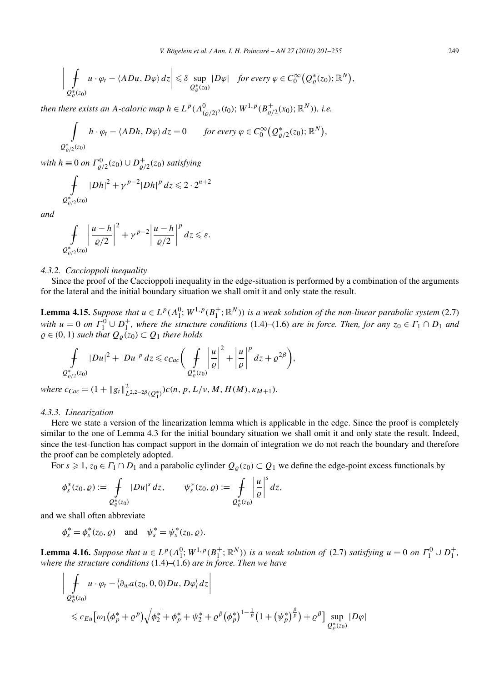$$
\left|\int_{Q^*_{\varrho}(z_0)} u \cdot \varphi_t - \langle ADu, D\varphi \rangle dz \right| \leq \delta \sup_{Q^*_{\varrho}(z_0)} |D\varphi| \quad \text{for every } \varphi \in C_0^{\infty}(Q^*_{\varrho}(z_0); \mathbb{R}^N),
$$

*then there exists an A-caloric map*  $h \in L^p(A^0_{(\rho/2)^2}(t_0); W^{1,p}(B^+_{\rho/2}(x_0); \mathbb{R}^N)$ ), i.e.

$$
\int_{Q_{\varrho/2}^*(z_0)} h \cdot \varphi_t - \langle A Dh, D\varphi \rangle dz = 0 \quad \text{for every } \varphi \in C_0^{\infty}(Q_{\varrho/2}^*(z_0); \mathbb{R}^N),
$$

*with*  $h \equiv 0$  *on*  $\Gamma^0_{\varrho/2}(z_0) \cup D^+_{\varrho/2}(z_0)$  *satisfying* 

$$
\int\limits_{Q_{\varrho/2}^*(z_0)} |Dh|^2 + \gamma^{p-2} |Dh|^p \, dz \leq 2 \cdot 2^{n+2}
$$

*and*

$$
\int\limits_{Q_{\varrho/2}^*(z_0)}\left|\frac{u-h}{\varrho/2}\right|^2+\gamma^{p-2}\left|\frac{u-h}{\varrho/2}\right|^pdz\leqslant\varepsilon.
$$

## *4.3.2. Caccioppoli inequality*

Since the proof of the Caccioppoli inequality in the edge-situation is performed by a combination of the arguments for the lateral and the initial boundary situation we shall omit it and only state the result.

**Lemma 4.15.** *Suppose that*  $u \in L^p(\Lambda_1^0; W^{1,p}(B_1^+; \mathbb{R}^N))$  *is a weak solution of the non-linear parabolic system* (2.7) *with*  $u = 0$  *on*  $\Gamma_1^0 \cup D_1^+$ , where the structure conditions (1.4)–(1.6) *are in force. Then, for any*  $z_0 \in \Gamma_1 \cap D_1$  *and*  $\varrho \in (0, 1)$  *such that*  $Q_{\varrho}(z_0) \subset Q_1$  *there holds* 

$$
\oint\limits_{Q^*_{\varrho/2}(z_0)}|Du|^2+|Du|^p\,dz\leqslant c_{Cac}\bigg(\oint\limits_{Q^*_{\varrho}(z_0)}\bigg|\frac{u}{\varrho}\bigg|^2+\bigg|\frac{u}{\varrho}\bigg|^p\,dz+\varrho^{2\beta}\bigg),
$$

 $where \ c_{Cac} = (1 + ||g_t||_{L^{2,2-2\beta}(Q_1^*)}^2)c(n, p, L/\nu, M, H(M), \kappa_{M+1}).$ 

## *4.3.3. Linearization*

Here we state a version of the linearization lemma which is applicable in the edge. Since the proof is completely similar to the one of Lemma 4.3 for the initial boundary situation we shall omit it and only state the result. Indeed, since the test-function has compact support in the domain of integration we do not reach the boundary and therefore the proof can be completely adopted.

For  $s \ge 1$ ,  $z_0 \in \Gamma_1 \cap D_1$  and a parabolic cylinder  $Q_\rho(z_0) \subset Q_1$  we define the edge-point excess functionals by

$$
\phi_s^*(z_0,\varrho):=\int\limits_{Q^*_\varrho(z_0)}|Du|^s\,dz,\qquad \psi_s^*(z_0,\varrho):=\int\limits_{Q^*_\varrho(z_0)}\left|\frac{u}{\varrho}\right|^s\,dz,
$$

and we shall often abbreviate

$$
\phi_s^* = \phi_s^*(z_0, \varrho)
$$
 and  $\psi_s^* = \psi_s^*(z_0, \varrho)$ .

**Lemma 4.16.** Suppose that  $u \in L^p(\Lambda_1^0; W^{1,p}(B_1^+; \mathbb{R}^N))$  is a weak solution of (2.7) satisfying  $u = 0$  on  $\Gamma_1^0 \cup D_1^+$ , *where the structure conditions* (1.4)–(1.6) *are in force. Then we have*

$$
\left| \int_{Q_{\varrho}^{*}(z_{0})} u \cdot \varphi_{t} - \langle \partial_{w} a(z_{0}, 0, 0) D u, D \varphi \rangle dz \right|
$$
  
\$\leqslant c\_{Eu}[\omega\_{1}(\phi\_{p}^{\*} + \varrho^{p})\sqrt{\phi\_{2}^{\*}} + \phi\_{p}^{\*} + \psi\_{2}^{\*} + \varrho^{\beta}(\phi\_{p}^{\*})^{1-\frac{1}{p}}(1 + (\psi\_{p}^{\*})^{\frac{\beta}{p}}) + \varrho^{\beta}] \sup\_{Q\_{\varrho}^{\*}(z\_{0})} |D \varphi|\$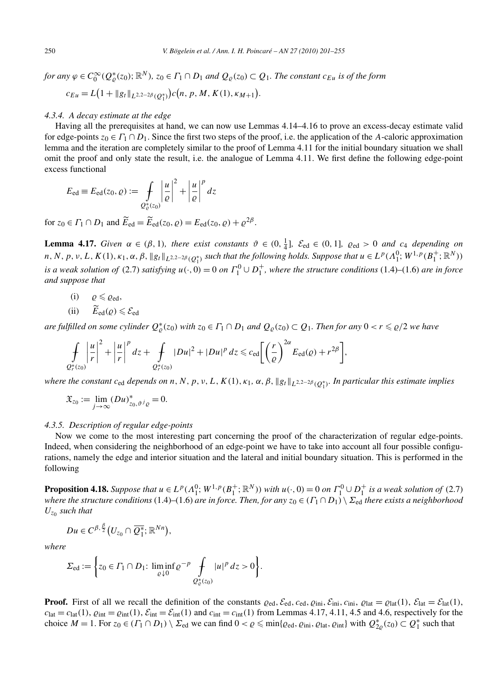for any  $\varphi \in C_0^{\infty}(Q_{\varrho}^*(z_0); \mathbb{R}^N)$ ,  $z_0 \in \varGamma_1 \cap D_1$  and  $Q_{\varrho}(z_0) \subset Q_1$ . The constant  $c_{Eu}$  is of the form  $c_{Eu} = L(1 + ||g_t||_{L^{2,2-2\beta}(Q_1^*)})c(n, p, M, K(1), \kappa_{M+1}).$ 

#### *4.3.4. A decay estimate at the edge*

Having all the prerequisites at hand, we can now use Lemmas 4.14–4.16 to prove an excess-decay estimate valid for edge-points  $z_0 \in \Gamma_1 \cap D_1$ . Since the first two steps of the proof, i.e. the application of the *A*-caloric approximation lemma and the iteration are completely similar to the proof of Lemma 4.11 for the initial boundary situation we shall omit the proof and only state the result, i.e. the analogue of Lemma 4.11. We first define the following edge-point excess functional

$$
E_{\text{ed}} \equiv E_{\text{ed}}(z_0, \varrho) := \int\limits_{Q_{\varrho}^*(z_0)} \left| \frac{u}{\varrho} \right|^2 + \left| \frac{u}{\varrho} \right|^p dz
$$

for  $z_0 \in \Gamma_1 \cap D_1$  and  $\widetilde{E}_{\text{ed}} = \widetilde{E}_{\text{ed}}(z_0, \varrho) = E_{\text{ed}}(z_0, \varrho) + \varrho^{2\beta}$ .

**Lemma 4.17.** Given  $\alpha \in (\beta, 1)$ , there exist constants  $\vartheta \in (0, \frac{1}{4}]$ ,  $\mathcal{E}_{ed} \in (0, 1]$ ,  $\varrho_{ed} > 0$  and  $c_4$  depending on n, N, p, v, L,  $K(1)$ ,  $\kappa_1$ ,  $\alpha$ ,  $\beta$ ,  $\|g_t\|_{L^{2,2-2\beta}(Q_1^*)}$  such that the following holds. Suppose that  $u \in L^p(\Lambda_1^0; W^{1,p}(B_1^+; \mathbb{R}^N))$ *is a weak solution of* (2.7) *satisfying*  $u(\cdot, 0) = 0$  *on*  $\Gamma_1^0 \cup D_1^+$ *, where the structure conditions* (1.4)–(1.6) *are in force and suppose that*

- $(i)$   $\varrho \leqslant \varrho_{\text{ed}},$
- (ii)  $E_{\text{ed}}(\varrho) \leq \mathcal{E}_{\text{ed}}$

*are fulfilled on some cylinder*  $Q_{\varrho}^*(z_0)$  *with*  $z_0 \in \Gamma_1 \cap D_1$  *and*  $Q_{\varrho}(z_0) \subset Q_1$ *. Then for any*  $0 < r \leq \varrho/2$  *we have* 

$$
\int_{Q_r^*(z_0)}\left|\frac{u}{r}\right|^2+\left|\frac{u}{r}\right|^p dz+\int_{Q_r^*(z_0)}|Du|^2+|Du|^p dz \leqslant c_{\text{ed}}\bigg[\bigg(\frac{r}{\varrho}\bigg)^{2\alpha}E_{\text{ed}}(\varrho)+r^{2\beta}\bigg],
$$

 $\omega$  *where the constant*  $c_{ed}$  *depends on*  $n, N, p, v, L, K(1), \kappa_1, \alpha, \beta, \|g_t\|_{L^{2,2-2\beta}(Q_1^*)}$ *. In particular this estimate implies* 

$$
\mathfrak{X}_{z_0} := \lim_{j \to \infty} (Du)^*_{z_0, \vartheta^j \varrho} = 0.
$$

#### *4.3.5. Description of regular edge-points*

Now we come to the most interesting part concerning the proof of the characterization of regular edge-points. Indeed, when considering the neighborhood of an edge-point we have to take into account all four possible configurations, namely the edge and interior situation and the lateral and initial boundary situation. This is performed in the following

**Proposition 4.18.** Suppose that  $u \in L^p(\Lambda_1^0; W^{1,p}(B_1^+; \mathbb{R}^N))$  with  $u(\cdot, 0) = 0$  on  $\Gamma_1^0 \cup D_1^+$  is a weak solution of (2.7) *where the structure conditions* (1.4)–(1.6) *are in force. Then, for any*  $z_0 \in (\Gamma_1 \cap D_1) \setminus \Sigma_{ed}$  *there exists a neighborhood*  $U_{z_0}$  *such that* 

$$
Du\in C^{\beta,\frac{\beta}{2}}(U_{z_0}\cap \overline{Q_1^*};\mathbb{R}^{Nn}),
$$

*where*

$$
\Sigma_{\text{ed}} := \left\{ z_0 \in \Gamma_1 \cap D_1 \colon \liminf_{\varrho \downarrow 0} \varrho^{-p} \int_{\mathcal{Q}^*_{\varrho}(z_0)} |u|^p \, dz > 0 \right\}.
$$

**Proof.** First of all we recall the definition of the constants  $\varrho_{ed}$ ,  $\mathcal{E}_{ed}$ ,  $\varrho_{ed}$ ,  $\varrho_{ini}$ ,  $\mathcal{E}_{ini}$ ,  $\varrho_{int}$ ,  $\varrho_{lat} = \varrho_{lat}(1)$ ,  $\mathcal{E}_{lat} = \mathcal{E}_{lat}(1)$ ,  $c_{\text{lat}} = c_{\text{lat}}(1)$ ,  $\varrho_{\text{int}} = \varrho_{\text{int}}(1)$ ,  $\mathcal{E}_{\text{int}} = \mathcal{E}_{\text{int}}(1)$  and  $c_{\text{int}} = c_{\text{int}}(1)$  from Lemmas 4.17, 4.11, 4.5 and 4.6, respectively for the choice  $M = 1$ . For  $z_0 \in (\Gamma_1 \cap D_1) \setminus \Sigma_{\text{ed}}$  we can find  $0 < \varrho \le \min\{\varrho_{\text{ed}}, \varrho_{\text{ini}}, \varrho_{\text{lat}}, \varrho_{\text{int}}\}$  with  $Q_{2\varrho}^*(z_0) \subset Q_1^*$  such that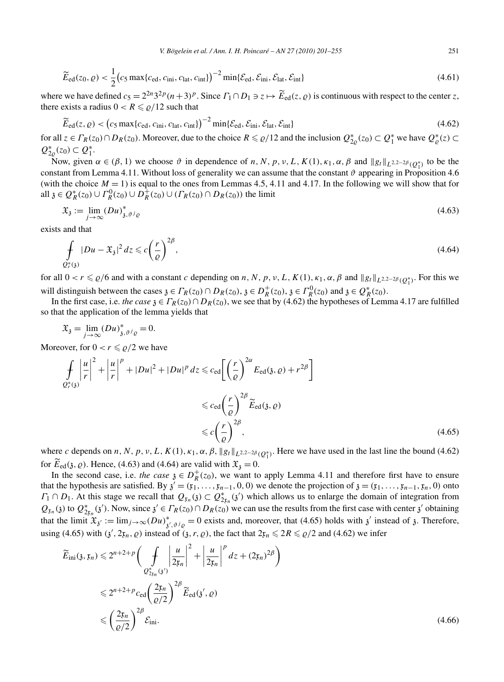$$
\widetilde{E}_{\rm ed}(z_0,\varrho) < \frac{1}{2} \left( c_5 \max\{c_{\rm ed}, c_{\rm ini}, c_{\rm lat}, c_{\rm int}\} \right)^{-2} \min\{\mathcal{E}_{\rm ed}, \mathcal{E}_{\rm ini}, \mathcal{E}_{\rm lat}, \mathcal{E}_{\rm int}\} \tag{4.61}
$$

where we have defined  $c_5 = 2^{2n}3^{2p}(n+3)^p$ . Since  $\Gamma_1 \cap D_1 \ni z \mapsto \widetilde{E}_{\text{ed}}(z, \varrho)$  is continuous with respect to the center *z*, there exists a radius  $0 < R \le \rho/12$  such that

$$
\widetilde{E}_{\text{ed}}(z,\varrho) < \left(c_5 \max\{c_{\text{ed}}, c_{\text{ini}}, c_{\text{lat}}, c_{\text{int}}\}\right)^{-2} \min\{\mathcal{E}_{\text{ed}}, \mathcal{E}_{\text{ini}}, \mathcal{E}_{\text{lat}}, \mathcal{E}_{\text{int}}\}\tag{4.62}
$$

for all  $z \in \Gamma_R(z_0) \cap D_R(z_0)$ . Moreover, due to the choice  $R \le \rho/12$  and the inclusion  $Q_{2\rho}^*(z_0) \subset Q_1^*$  we have  $Q_{\rho}^*(z) \subset Q_2^*$  $Q_{2\varrho}^{*}(z_0) \subset Q_1^{*}.$ 

Now, given *α* ∈ (*β*, 1) we choose *δ* in dependence of *n*, *N*, *p*, *v*, *L*, *K*(1), *κ*<sub>1</sub>, *α*, *β* and  $||g_t||_{L^{2,2-2β}}(Q_1^*)$  to be the constant from Lemma 4.11. Without loss of generality we can assume that the constant  $\vartheta$  appearing in Proposition 4.6 (with the choice  $M = 1$ ) is equal to the ones from Lemmas 4.5, 4.11 and 4.17. In the following we will show that for all  $\mathfrak{z} \in Q_R^*(z_0) \cup \Gamma_R^0(z_0) \cup D_R^+(z_0) \cup (\Gamma_R(z_0) \cap D_R(z_0))$  the limit

$$
\mathfrak{X}_{\mathfrak{z}} := \lim_{j \to \infty} (Du)^*_{\mathfrak{z}, \vartheta^j \varrho} \tag{4.63}
$$

exists and that

$$
\int_{Q_r^*(3)} |Du - \mathfrak{X}_3|^2 dz \leqslant c \left(\frac{r}{\varrho}\right)^{2\beta},\tag{4.64}
$$

for all  $0 < r \leq \rho/6$  and with a constant *c* depending on *n*, *N*, *p*, *v*, *L*, *K*(1),  $\kappa_1$ ,  $\alpha$ ,  $\beta$  and  $||g_t||_{L^{2,2-2\beta}(Q_1^*)}$ . For this we will distinguish between the cases  $\mathfrak{z} \in \Gamma_R(z_0) \cap D_R(z_0), \mathfrak{z} \in D_R^+(z_0), \mathfrak{z} \in \Gamma_R^0(z_0)$  and  $\mathfrak{z} \in Q_R^*(z_0)$ .

In the first case, i.e. *the case*  $\chi \in \Gamma_R(z_0) \cap D_R(z_0)$ , we see that by (4.62) the hypotheses of Lemma 4.17 are fulfilled so that the application of the lemma yields that

$$
\mathfrak{X}_{\mathfrak{z}} = \lim_{j \to \infty} (Du)^*_{\mathfrak{z}, \vartheta^j \varrho} = 0.
$$

Moreover, for  $0 < r \le \rho/2$  we have

$$
\int_{Q_r^*(3)} \left| \frac{u}{r} \right|^2 + \left| \frac{u}{r} \right|^p + |Du|^2 + |Du|^p \, dz \leqslant c_{\text{ed}} \left[ \left( \frac{r}{\varrho} \right)^{2\alpha} E_{\text{ed}}(3, \varrho) + r^{2\beta} \right]
$$
\n
$$
\leqslant c_{\text{ed}} \left( \frac{r}{\varrho} \right)^{2\beta} \widetilde{E}_{\text{ed}}(3, \varrho)
$$
\n
$$
\leqslant c \left( \frac{r}{\varrho} \right)^{2\beta}, \tag{4.65}
$$

where *c* depends on *n*, *N*, *p*, *v*, *L*, *K*(1),  $\kappa_1$ ,  $\alpha$ ,  $\beta$ ,  $\|g_t\|_{L^{2,2-2\beta}(\mathcal{Q}_1^*)}$ . Here we have used in the last line the bound (4.62) for  $E_{\text{ed}}(\mathfrak{z},\varrho)$ . Hence, (4.63) and (4.64) are valid with  $\mathfrak{X}_{\mathfrak{z}}=0$ .

In the second case, i.e. *the case*  $\mathfrak{z} \in D_R^+(z_0)$ , we want to apply Lemma 4.11 and therefore first have to ensure that the hypothesis are satisfied. By  $\chi' = (\mathfrak{x}_1, \ldots, \mathfrak{x}_{n-1}, 0, 0)$  we denote the projection of  $\chi = (\mathfrak{x}_1, \ldots, \mathfrak{x}_{n-1}, \mathfrak{x}_n, 0)$  onto  $\Gamma_1 \cap D_1$ . At this stage we recall that  $Q_{\mathfrak{X}_n}(\mathfrak{z}) \subset Q_{2\mathfrak{X}_n}^*(\mathfrak{z}')$  which allows us to enlarge the domain of integration from  $Q_{\xi_n}(3)$  to  $Q_{2\xi_n}^*(3')$ . Now, since  $3' \in \Gamma_R(z_0) \cap D_R(z_0)$  we can use the results from the first case with center  $3'$  obtaining that the limit  $\mathfrak{X}_{\mathfrak{z}} := \lim_{j \to \infty} (Du)^*_{\mathfrak{z}',\mathfrak{z}^j} = 0$  exists and, moreover, that (4.65) holds with  $\mathfrak{z}'$  instead of  $\mathfrak{z}$ . Therefore, using (4.65) with  $(\chi', 2x_n, \rho)$  instead of  $(\chi, r, \rho)$ , the fact that  $2x_n \leq 2R \leq \rho/2$  and (4.62) we infer

$$
\widetilde{E}_{\text{ini}}(\mathfrak{z}, \mathfrak{x}_n) \leq 2^{n+2+p} \bigg( \int_{\mathcal{Q}^*_{2\mathfrak{x}_n}(\mathfrak{z}')} \left| \frac{u}{2\mathfrak{x}_n} \right|^2 + \left| \frac{u}{2\mathfrak{x}_n} \right|^p dz + (2\mathfrak{x}_n)^{2\beta} \bigg)
$$
\n
$$
\leq 2^{n+2+p} c_{\text{ed}} \bigg( \frac{2\mathfrak{x}_n}{\varrho/2} \bigg)^{2\beta} \widetilde{E}_{\text{ed}}(\mathfrak{z}', \varrho)
$$
\n
$$
\leq \bigg( \frac{2\mathfrak{x}_n}{\varrho/2} \bigg)^{2\beta} \mathcal{E}_{\text{ini}}.
$$
\n(4.66)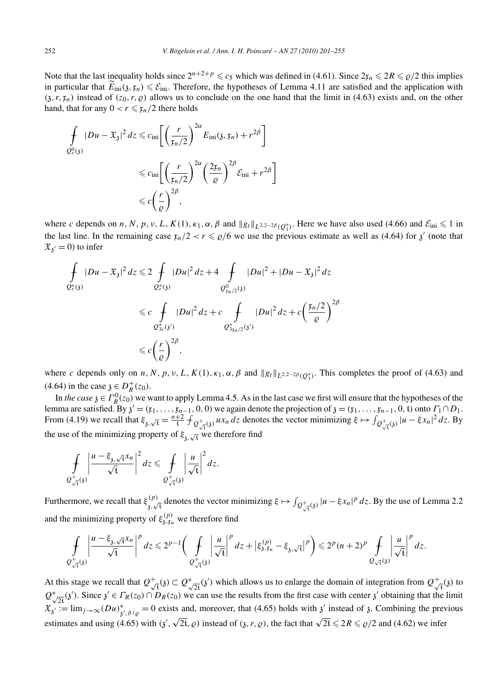Note that the last inequality holds since  $2^{n+2+p} \le c_5$  which was defined in (4.61). Since  $2r_n \le 2R \le \rho/2$  this implies in particular that  $E_{\text{ini}}(3, \mathfrak{x}_n) \leq \mathcal{E}_{\text{ini}}$ . Therefore, the hypotheses of Lemma 4.11 are satisfied and the application with  $(3, r, \mathfrak{x}_n)$  instead of  $(z_0, r, \varrho)$  allows us to conclude on the one hand that the limit in (4.63) exists and, on the other hand, that for any  $0 < r \leq \frac{r}{2}$  there holds

$$
\int_{Q_r^0(3)} |Du - \mathfrak{X}_3|^2 dz \leqslant c_{\text{ini}} \left[ \left( \frac{r}{\mathfrak{x}_n/2} \right)^{2\alpha} E_{\text{ini}}(\mathfrak{z}, \mathfrak{x}_n) + r^{2\beta} \right]
$$
\n
$$
\leqslant c_{\text{ini}} \left[ \left( \frac{r}{\mathfrak{x}_n/2} \right)^{2\alpha} \left( \frac{2\mathfrak{x}_n}{\varrho} \right)^{2\beta} \mathcal{E}_{\text{ini}} + r^{2\beta} \right]
$$
\n
$$
\leqslant c \left( \frac{r}{\varrho} \right)^{2\beta},
$$

where *c* depends on *n*, *N*, *p*, *v*, *L*, *K*(1),  $\kappa_1$ ,  $\alpha$ ,  $\beta$  and  $||g_t||_{L^{2,2-2\beta}(Q_1^*)}$ . Here we have also used (4.66) and  $\mathcal{E}_{\text{ini}} \le 1$  in the last line. In the remaining case  $x_n/2 < r \le \rho/6$  we use the previous estimate as well as (4.64) for  $\chi'$  (note that  $\mathfrak{X}_{3'} = 0$  to infer

$$
\int_{Q_r^*(3)} |Du - \mathfrak{X}_{\mathfrak{z}}|^2 dz \le 2 \int_{Q_r^*(3)} |Du|^2 dz + 4 \int_{Q_{\mathfrak{x}_{n/2}}^0(3)} |Du|^2 + |Du - \mathfrak{X}_{\mathfrak{z}}|^2 dz
$$
\n
$$
\le c \int_{Q_{\mathfrak{z}_r}^*(3')} |Du|^2 dz + c \int_{Q_{\mathfrak{z}_{\mathfrak{x}_{n/2}}^*(3')}^0 |Du|^2 dz + c \left(\frac{\mathfrak{x}_n/2}{\varrho}\right)^{2\beta}
$$
\n
$$
\le c \left(\frac{r}{\varrho}\right)^{2\beta},
$$

where *c* depends only on *n*, *N*, *p*, *v*, *L*, *K*(1),  $\kappa_1$ ,  $\alpha$ ,  $\beta$  and  $||g_t||_{L^{2,2-2\beta}(Q_1^*)}$ . This completes the proof of (4.63) and  $(4.64)$  in the case  $\mathfrak{z} \in D_R^+(z_0)$ .

In *the case*  $\mathfrak{z} \in \Gamma_R^0(z_0)$  we want to apply Lemma 4.5. As in the last case we first will ensure that the hypotheses of the lemma are satisfied. By  $\chi' = (\mathfrak{x}_1, \ldots, \mathfrak{x}_{n-1}, 0, 0)$  we again denote the projection of  $\chi = (\mathfrak{x}_1, \ldots, \mathfrak{x}_{n-1}, 0, t)$  onto  $\Gamma_1 \cap D_1$ . From (4.19) we recall that  $\xi_{3,\sqrt{t}} = \frac{n+2}{t} f_{Q_{\sqrt{t}}^+(3)} u x_n dz$  denotes the vector minimizing  $\xi \mapsto \int_{Q_{\sqrt{t}}^+(3)} |u - \xi x_n|^2 dz$ . By the use of the minimizing property of  $\xi_{\mathfrak{z},\sqrt{\mathfrak{t}}}$  we therefore find

$$
\int\limits_{\mathcal{Q}^+_{\sqrt{t}}(3)}\left|\frac{u-\xi_{3,\sqrt{t}}x_n}{\sqrt{t}}\right|^2dz\leqslant \int\limits_{\mathcal{Q}^+_{\sqrt{t}}(3)}\left|\frac{u}{\sqrt{t}}\right|^2dz.
$$

Furthermore, we recall that  $\xi_{3}^{(p)}$ , denotes the vector minimizing  $\xi \mapsto \int_{Q_{\sqrt{t}}^+(3)} |u - \xi x_n|^p dz$ . By the use of Lemma 2.2 and the minimizing property of  $\xi_{3,\xi_n}^{(p)}$  we therefore find

$$
\int\limits_{\mathcal{Q}^+_{\sqrt{t}}(3)} \left|\frac{u-\xi_{3,\sqrt{t}}x_n}{\sqrt{t}}\right|^p dz \leq 2^{p-1} \bigg(\int\limits_{\mathcal{Q}^+_{\sqrt{t}}(3)} \left|\frac{u}{\sqrt{t}}\right|^p dz + \left|\xi_{3,\zeta_n}^{(p)} - \xi_{3,\sqrt{t}}\right|^p\bigg) \leq 2^p (n+2)^p \int\limits_{\mathcal{Q}^-_{\sqrt{t}}(3)} \left|\frac{u}{\sqrt{t}}\right|^p dz.
$$

At this stage we recall that  $Q_{\sqrt{t}}^+(z) \subset Q_{\sqrt{2t}}^+(z')$  which allows us to enlarge the domain of integration from  $Q_{\sqrt{t}}^+(z)$  to  $Q^*_{\sqrt{2t}}(3')$ . Since  $3' \in \Gamma_R(z_0) \cap D_R(z_0)$  we can use the results from the first case with center  $3'$  obtaining that the limit  $\mathfrak{X}_{\mathfrak{z}} := \lim_{j \to \infty} (Du)^*_{\mathfrak{z}', \vartheta^j \varrho} = 0$  exists and, moreover, that (4.65) holds with  $\mathfrak{z}'$  instead of  $\mathfrak{z}$ . Combining the previous estimates and using (4.65) with  $(\chi', \sqrt{2t}, \rho)$  instead of  $(\chi, r, \rho)$ , the fact that  $\sqrt{2t} \leq 2R \leq \rho/2$  and (4.62) we infer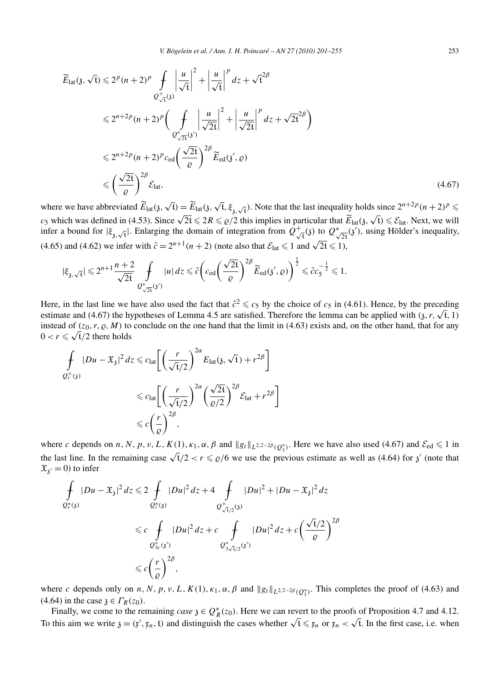$$
\widetilde{E}_{\text{lat}}(\mathfrak{z}, \sqrt{t}) \leq 2^{p} (n+2)^{p} \int_{Q_{\sqrt{t}}^{+}(\mathfrak{z})} \left| \frac{u}{\sqrt{t}} \right|^{2} + \left| \frac{u}{\sqrt{t}} \right|^{p} dz + \sqrt{t}^{2\beta}
$$
\n
$$
\leq 2^{n+2p} (n+2)^{p} \left( \int_{Q_{\sqrt{2t}}^{+}(\mathfrak{z})} \left| \frac{u}{\sqrt{2t}} \right|^{2} + \left| \frac{u}{\sqrt{2t}} \right|^{p} dz + \sqrt{2t}^{2\beta} \right)
$$
\n
$$
\leq 2^{n+2p} (n+2)^{p} c_{\text{ed}} \left( \frac{\sqrt{2t}}{\varrho} \right)^{2\beta} \widetilde{E}_{\text{ed}}(\mathfrak{z}', \varrho)
$$
\n
$$
\leq \left( \frac{\sqrt{2t}}{\varrho} \right)^{2\beta} \mathcal{E}_{\text{lat}}, \tag{4.67}
$$

where we have abbreviated  $\widetilde{E}_{\text{lat}}(\mathfrak{z}, \sqrt{t}) = \widetilde{E}_{\text{lat}}(\mathfrak{z}, \sqrt{t}, \xi_{\mathfrak{z}, \sqrt{t}})$ . Note that the last inequality holds since  $2^{n+2p}(n+2)^p \le$ *c<sub>5</sub>* which was defined in (4.53). Since  $\sqrt{2t} \leq 2R \leq \varrho/2$  this implies in particular that  $\widetilde{E}_{\text{lat}}(\mathfrak{z}, \sqrt{t}) \leq \mathcal{E}_{\text{lat}}$ . Next, we will infer a bound for  $|\xi_{3}, \sqrt{t}|$ . Enlarging the domain of integration from  $Q^+_{\sqrt{t}}(3)$  to  $Q^*_{\sqrt{2t}}(3)$ , using Hölder's inequality, (4.65) and (4.62) we infer with  $\tilde{c} = 2^{n+1}(n+2)$  (note also that  $\mathcal{E}_{\text{lat}} \le 1$  and  $\sqrt{2t} \le 1$ ),

$$
|\xi_{\mathfrak{z},\sqrt{\mathfrak{t}}}| \leqslant 2^{n+1} \frac{n+2}{\sqrt{2\mathfrak{t}}} \mathop{\,\rlap{-} \int}\limits_{\mathcal{Q}_{\sqrt[4]{2\mathfrak{t}}}^*/3} |u|\, dz \leqslant \tilde{c} \bigg( c_{\text{ed}} \bigg( \frac{\sqrt{2\mathfrak{t}}}{\varrho} \bigg)^{2\beta} \widetilde{E}_{\text{ed}}(\mathfrak{z}',\varrho) \bigg)^{\frac{1}{2}} \leqslant \tilde{c} c_5^{-\frac{1}{2}} \leqslant 1.
$$

Here, in the last line we have also used the fact that  $\tilde{c}^2 \leq c_5$  by the choice of  $c_5$  in (4.61). Hence, by the preceding estimate and (4.67) the hypotheses of Lemma 4.5 are satisfied. Therefore the lemma can be applied with  $(3, r, \sqrt{t}, 1)$ instead of  $(z_0, r, \varrho, M)$  to conclude on the one hand that the limit in (4.63) exists and, on the other hand, that for any  $0 < r \leqslant \sqrt{t}/2$  there holds

$$
\int_{Q_r^+(3)} |Du - \mathfrak{X}_3|^2 dz \leq c_{\text{lat}} \left[ \left( \frac{r}{\sqrt{t}/2} \right)^{2\alpha} E_{\text{lat}}(3, \sqrt{t}) + r^{2\beta} \right]
$$
\n
$$
\leq c_{\text{lat}} \left[ \left( \frac{r}{\sqrt{t}/2} \right)^{2\alpha} \left( \frac{\sqrt{2t}}{\varrho/2} \right)^{2\beta} \mathcal{E}_{\text{lat}} + r^{2\beta} \right]
$$
\n
$$
\leq c \left( \frac{r}{\varrho} \right)^{2\beta},
$$

where *c* depends on *n*, *N*, *p*, *v*, *L*, *K*(1),  $\kappa_1$ ,  $\alpha$ ,  $\beta$  and  $||g_t||_{L^{2,2-2\beta}(Q_1^*)}$ . Here we have also used (4.67) and  $\mathcal{E}_{ed} \le 1$  in the last line. In the remaining case  $\sqrt{t}/2 < r \le \rho/6$  we use the previous estimate as well as (4.64) for  $\chi'$  (note that  $\mathfrak{X}_{\mathfrak{z}'} = 0$  to infer

$$
\int_{Q_r^*(3)} |Du - \mathfrak{X}_3|^2 dz \le 2 \int_{Q_r^*(3)} |Du|^2 dz + 4 \int_{Q_{\sqrt{t}/2}^+(3)} |Du|^2 + |Du - \mathfrak{X}_3|^2 dz
$$
\n
$$
\le c \int_{Q_{3r}^*(3')} |Du|^2 dz + c \int_{Q_{3\sqrt{t}/2}^*(3')} |Du|^2 dz + c \left(\frac{\sqrt{t}/2}{\varrho}\right)^{2\beta}
$$
\n
$$
\le c \left(\frac{r}{\varrho}\right)^{2\beta},
$$

where *c* depends only on *n*, *N*, *p*, *v*, *L*, *K*(1),  $\kappa_1$ ,  $\alpha$ ,  $\beta$  and  $||g_t||_{L^{2,2-2\beta}(Q_1^*)}$ . This completes the proof of (4.63) and (4.64) in the case  $\lambda \in \Gamma_R(z_0)$ .

Finally, we come to the remaining *case*  $\mathfrak{z} \in Q_R^*(z_0)$ . Here we can revert to the proofs of Proposition 4.7 and 4.12. To this aim we write  $\mathfrak{z} = (\mathfrak{x}', \mathfrak{x}_n, \mathfrak{t})$  and distinguish the cases whether  $\sqrt{\mathfrak{t}} \leq \mathfrak{x}_n$  or  $\mathfrak{x}_n < \sqrt{\mathfrak{t}}$ . In the first case, i.e. when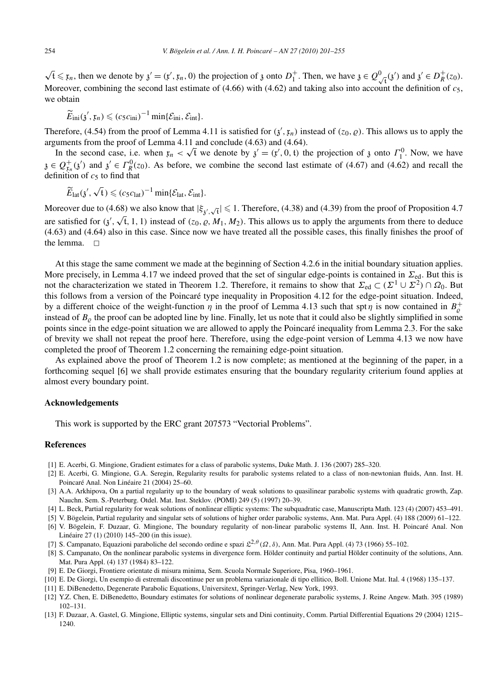$\sqrt{t} \leq x_n$ , then we denote by  $\gamma' = (\gamma', \gamma_n, 0)$  the projection of  $\gamma$  onto  $D_1^+$ . Then, we have  $\gamma \in Q^0_{\sqrt{t}}(\gamma')$  and  $\gamma' \in D^+R(\gamma_0)$ . Moreover, combining the second last estimate of  $(4.66)$  with  $(4.62)$  and taking also into account the definition of  $c_5$ , we obtain

 $\widetilde{E}_{\text{ini}}(\mathfrak{z}', \mathfrak{x}_n) \leqslant (c_5 c_{\text{ini}})^{-1} \min\{\mathcal{E}_{\text{ini}}, \mathcal{E}_{\text{int}}\}.$ 

Therefore, (4.54) from the proof of Lemma 4.11 is satisfied for  $(\chi', \mathfrak{x}_n)$  instead of  $(z_0, \varrho)$ . This allows us to apply the arguments from the proof of Lemma 4.11 and conclude (4.63) and (4.64).

In the second case, i.e. when  $x_n < \sqrt{t}$  we denote by  $\chi' = (x', 0, t)$  the projection of  $\chi$  onto  $\Gamma_1^0$ . Now, we have  $\mathfrak{z} \in Q_{\mathfrak{x}_n}^+(3)$  and  $\mathfrak{z}' \in \Gamma_R^0(z_0)$ . As before, we combine the second last estimate of (4.67) and (4.62) and recall the definition of  $c<sub>5</sub>$  to find that

$$
\widetilde{E}_{lat}(\mathfrak{z}',\sqrt{t})\leqslant (c_5c_{lat})^{-1}\min\{\mathcal{E}_{lat},\mathcal{E}_{int}\}.
$$

Moreover due to (4.68) we also know that  $|\xi_{\chi',\sqrt{t}}| \leq 1$ . Therefore, (4.38) and (4.39) from the proof of Proposition 4.7 are satisfied for  $(\mathbf{i}', \sqrt{t}, 1, 1)$  instead of  $(z_0, \varrho, M_1, M_2)$ . This allows us to apply the arguments from there to deduce (4.63) and (4.64) also in this case. Since now we have treated all the possible cases, this finally finishes the proof of the lemma.  $\square$ 

At this stage the same comment we made at the beginning of Section 4.2.6 in the initial boundary situation applies. More precisely, in Lemma 4.17 we indeed proved that the set of singular edge-points is contained in  $\Sigma_{\text{ed}}$ . But this is not the characterization we stated in Theorem 1.2. Therefore, it remains to show that  $\Sigma_{ed} \subset (\Sigma^1 \cup \Sigma^2) \cap \Omega_0$ . But this follows from a version of the Poincaré type inequality in Proposition 4.12 for the edge-point situation. Indeed, by a different choice of the weight-function  $\eta$  in the proof of Lemma 4.13 such that spt  $\eta$  is now contained in  $B_{\varrho}^+$ instead of  $B<sub>o</sub>$  the proof can be adopted line by line. Finally, let us note that it could also be slightly simplified in some points since in the edge-point situation we are allowed to apply the Poincaré inequality from Lemma 2.3. For the sake of brevity we shall not repeat the proof here. Therefore, using the edge-point version of Lemma 4.13 we now have completed the proof of Theorem 1.2 concerning the remaining edge-point situation.

As explained above the proof of Theorem 1.2 is now complete; as mentioned at the beginning of the paper, in a forthcoming sequel [6] we shall provide estimates ensuring that the boundary regularity criterium found applies at almost every boundary point.

## **Acknowledgements**

This work is supported by the ERC grant 207573 "Vectorial Problems".

## **References**

- [1] E. Acerbi, G. Mingione, Gradient estimates for a class of parabolic systems, Duke Math. J. 136 (2007) 285–320.
- [2] E. Acerbi, G. Mingione, G.A. Seregin, Regularity results for parabolic systems related to a class of non-newtonian fluids, Ann. Inst. H. Poincaré Anal. Non Linéaire 21 (2004) 25–60.
- [3] A.A. Arkhipova, On a partial regularity up to the boundary of weak solutions to quasilinear parabolic systems with quadratic growth, Zap. Nauchn. Sem. S.-Peterburg. Otdel. Mat. Inst. Steklov. (POMI) 249 (5) (1997) 20–39.
- [4] L. Beck, Partial regularity for weak solutions of nonlinear elliptic systems: The subquadratic case, Manuscripta Math. 123 (4) (2007) 453–491.
- [5] V. Bögelein, Partial regularity and singular sets of solutions of higher order parabolic systems, Ann. Mat. Pura Appl. (4) 188 (2009) 61–122.
- [6] V. Bögelein, F. Duzaar, G. Mingione, The boundary regularity of non-linear parabolic systems II, Ann. Inst. H. Poincaré Anal. Non Linéaire 27 (1) (2010) 145–200 (in this issue).
- [7] S. Campanato, Equazioni paraboliche del secondo ordine e spazi L2*,θ (Ω,δ)*, Ann. Mat. Pura Appl. (4) 73 (1966) 55–102.
- [8] S. Campanato, On the nonlinear parabolic systems in divergence form. Hölder continuity and partial Hölder continuity of the solutions, Ann. Mat. Pura Appl. (4) 137 (1984) 83–122.
- [9] E. De Giorgi, Frontiere orientate di misura minima, Sem. Scuola Normale Superiore, Pisa, 1960–1961.
- [10] E. De Giorgi, Un esempio di estremali discontinue per un problema variazionale di tipo ellitico, Boll. Unione Mat. Ital. 4 (1968) 135–137.
- [11] E. DiBenedetto, Degenerate Parabolic Equations, Universitext, Springer-Verlag, New York, 1993.
- [12] Y.Z. Chen, E. DiBenedetto, Boundary estimates for solutions of nonlinear degenerate parabolic systems, J. Reine Angew. Math. 395 (1989) 102–131.
- [13] F. Duzaar, A. Gastel, G. Mingione, Elliptic systems, singular sets and Dini continuity, Comm. Partial Differential Equations 29 (2004) 1215– 1240.